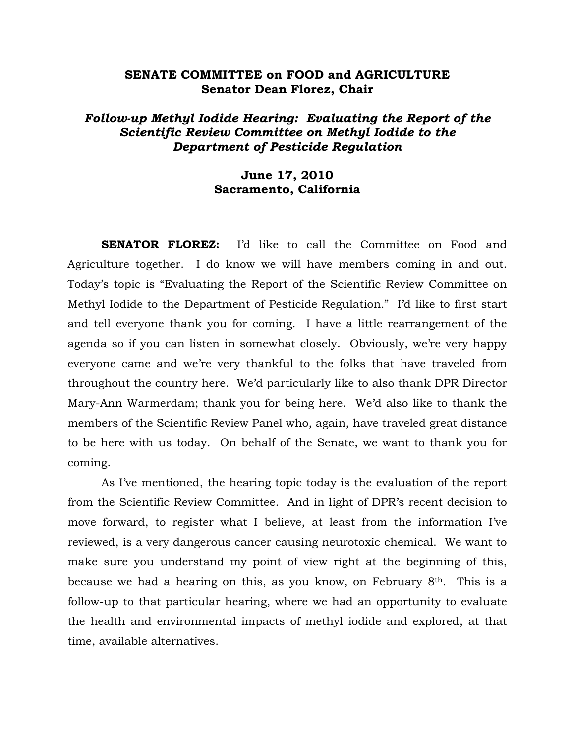# **SENATE COMMITTEE on FOOD and AGRICULTURE Senator Dean Florez, Chair**

# *Follow-up Methyl Iodide Hearing: Evaluating the Report of the Scientific Review Committee on Methyl Iodide to the Department of Pesticide Regulation*

# **June 17, 2010 Sacramento, California**

**SENATOR FLOREZ:** I'd like to call the Committee on Food and Agriculture together. I do know we will have members coming in and out. Today's topic is "Evaluating the Report of the Scientific Review Committee on Methyl Iodide to the Department of Pesticide Regulation*.*" I'd like to first start and tell everyone thank you for coming. I have a little rearrangement of the agenda so if you can listen in somewhat closely. Obviously, we're very happy everyone came and we're very thankful to the folks that have traveled from throughout the country here. We'd particularly like to also thank DPR Director Mary-Ann Warmerdam; thank you for being here. We'd also like to thank the members of the Scientific Review Panel who, again, have traveled great distance to be here with us today. On behalf of the Senate, we want to thank you for coming.

 As I've mentioned, the hearing topic today is the evaluation of the report from the Scientific Review Committee. And in light of DPR's recent decision to move forward, to register what I believe, at least from the information I've reviewed, is a very dangerous cancer causing neurotoxic chemical. We want to make sure you understand my point of view right at the beginning of this, because we had a hearing on this, as you know, on February 8th. This is a follow-up to that particular hearing, where we had an opportunity to evaluate the health and environmental impacts of methyl iodide and explored, at that time, available alternatives.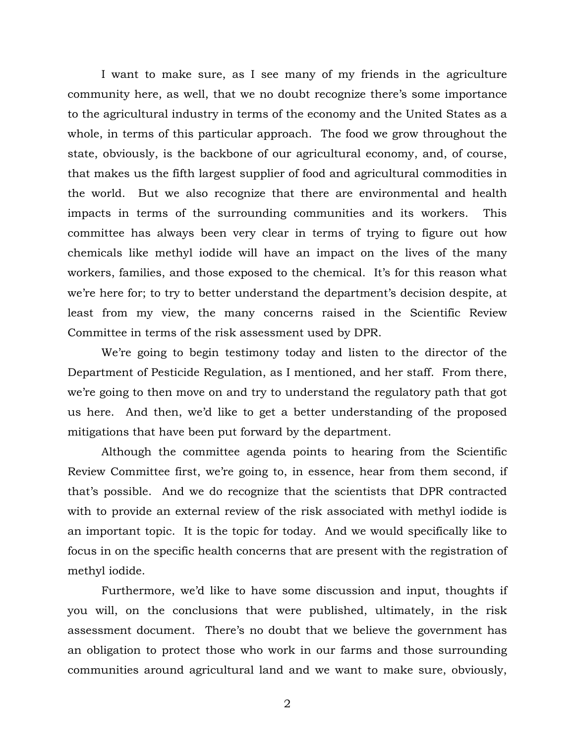I want to make sure, as I see many of my friends in the agriculture community here, as well, that we no doubt recognize there's some importance to the agricultural industry in terms of the economy and the United States as a whole, in terms of this particular approach. The food we grow throughout the state, obviously, is the backbone of our agricultural economy, and, of course, that makes us the fifth largest supplier of food and agricultural commodities in the world. But we also recognize that there are environmental and health impacts in terms of the surrounding communities and its workers. This committee has always been very clear in terms of trying to figure out how chemicals like methyl iodide will have an impact on the lives of the many workers, families, and those exposed to the chemical. It's for this reason what we're here for; to try to better understand the department's decision despite, at least from my view, the many concerns raised in the Scientific Review Committee in terms of the risk assessment used by DPR.

 We're going to begin testimony today and listen to the director of the Department of Pesticide Regulation, as I mentioned, and her staff. From there, we're going to then move on and try to understand the regulatory path that got us here. And then, we'd like to get a better understanding of the proposed mitigations that have been put forward by the department.

 Although the committee agenda points to hearing from the Scientific Review Committee first, we're going to, in essence, hear from them second, if that's possible. And we do recognize that the scientists that DPR contracted with to provide an external review of the risk associated with methyl iodide is an important topic. It is the topic for today. And we would specifically like to focus in on the specific health concerns that are present with the registration of methyl iodide.

Furthermore, we'd like to have some discussion and input, thoughts if you will, on the conclusions that were published, ultimately, in the risk assessment document. There's no doubt that we believe the government has an obligation to protect those who work in our farms and those surrounding communities around agricultural land and we want to make sure, obviously,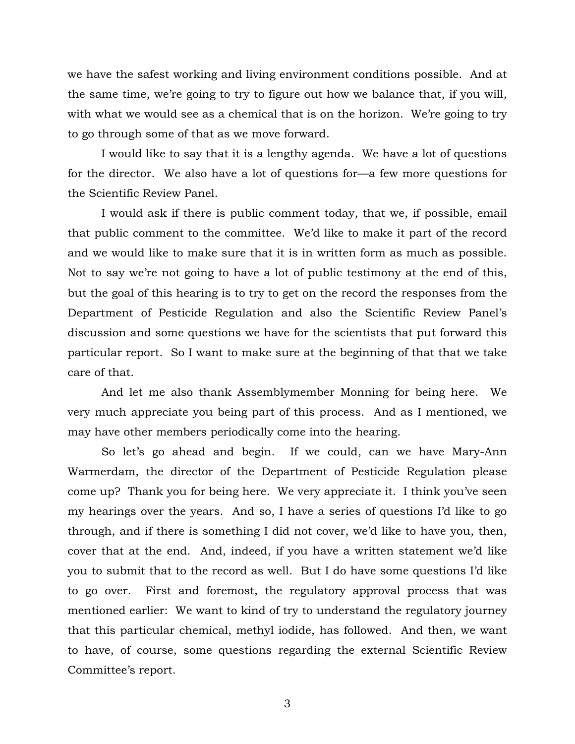we have the safest working and living environment conditions possible. And at the same time, we're going to try to figure out how we balance that, if you will, with what we would see as a chemical that is on the horizon. We're going to try to go through some of that as we move forward.

 I would like to say that it is a lengthy agenda. We have a lot of questions for the director. We also have a lot of questions for—a few more questions for the Scientific Review Panel.

 I would ask if there is public comment today, that we, if possible, email that public comment to the committee. We'd like to make it part of the record and we would like to make sure that it is in written form as much as possible. Not to say we're not going to have a lot of public testimony at the end of this, but the goal of this hearing is to try to get on the record the responses from the Department of Pesticide Regulation and also the Scientific Review Panel's discussion and some questions we have for the scientists that put forward this particular report. So I want to make sure at the beginning of that that we take care of that.

 And let me also thank Assemblymember Monning for being here. We very much appreciate you being part of this process. And as I mentioned, we may have other members periodically come into the hearing.

 So let's go ahead and begin. If we could, can we have Mary-Ann Warmerdam, the director of the Department of Pesticide Regulation please come up? Thank you for being here. We very appreciate it. I think you've seen my hearings over the years. And so, I have a series of questions I'd like to go through, and if there is something I did not cover, we'd like to have you, then, cover that at the end. And, indeed, if you have a written statement we'd like you to submit that to the record as well. But I do have some questions I'd like to go over. First and foremost, the regulatory approval process that was mentioned earlier: We want to kind of try to understand the regulatory journey that this particular chemical, methyl iodide, has followed. And then, we want to have, of course, some questions regarding the external Scientific Review Committee's report.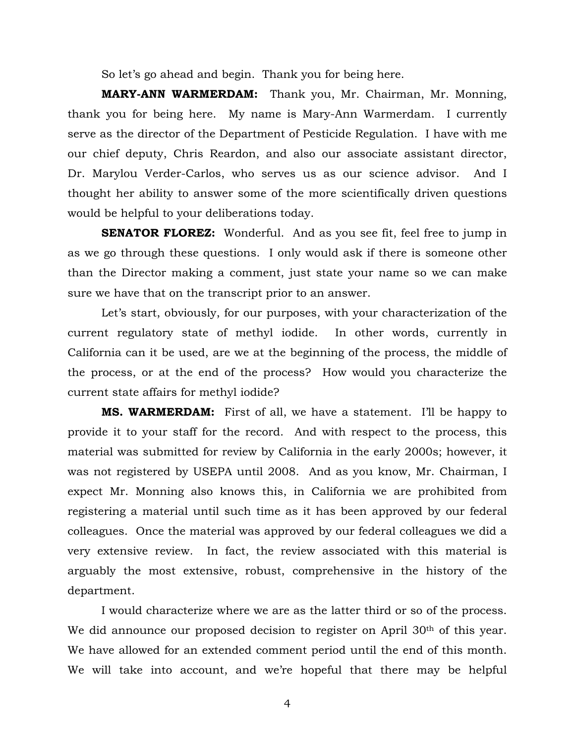So let's go ahead and begin. Thank you for being here.

**MARY-ANN WARMERDAM:** Thank you, Mr. Chairman, Mr. Monning, thank you for being here. My name is Mary-Ann Warmerdam. I currently serve as the director of the Department of Pesticide Regulation. I have with me our chief deputy, Chris Reardon, and also our associate assistant director, Dr. Marylou Verder-Carlos, who serves us as our science advisor. And I thought her ability to answer some of the more scientifically driven questions would be helpful to your deliberations today.

**SENATOR FLOREZ:** Wonderful. And as you see fit, feel free to jump in as we go through these questions. I only would ask if there is someone other than the Director making a comment, just state your name so we can make sure we have that on the transcript prior to an answer.

 Let's start, obviously, for our purposes, with your characterization of the current regulatory state of methyl iodide. In other words, currently in California can it be used, are we at the beginning of the process, the middle of the process, or at the end of the process? How would you characterize the current state affairs for methyl iodide?

**MS. WARMERDAM:** First of all, we have a statement. I'll be happy to provide it to your staff for the record. And with respect to the process, this material was submitted for review by California in the early 2000s; however, it was not registered by USEPA until 2008. And as you know, Mr. Chairman, I expect Mr. Monning also knows this, in California we are prohibited from registering a material until such time as it has been approved by our federal colleagues. Once the material was approved by our federal colleagues we did a very extensive review. In fact, the review associated with this material is arguably the most extensive, robust, comprehensive in the history of the department.

 I would characterize where we are as the latter third or so of the process. We did announce our proposed decision to register on April 30<sup>th</sup> of this year. We have allowed for an extended comment period until the end of this month. We will take into account, and we're hopeful that there may be helpful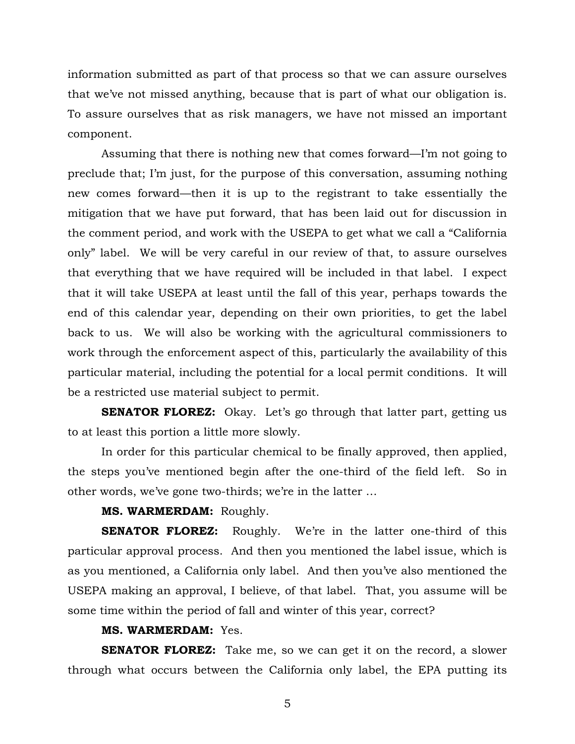information submitted as part of that process so that we can assure ourselves that we've not missed anything, because that is part of what our obligation is. To assure ourselves that as risk managers, we have not missed an important component.

 Assuming that there is nothing new that comes forward—I'm not going to preclude that; I'm just, for the purpose of this conversation, assuming nothing new comes forward—then it is up to the registrant to take essentially the mitigation that we have put forward, that has been laid out for discussion in the comment period, and work with the USEPA to get what we call a "California only" label. We will be very careful in our review of that, to assure ourselves that everything that we have required will be included in that label. I expect that it will take USEPA at least until the fall of this year, perhaps towards the end of this calendar year, depending on their own priorities, to get the label back to us. We will also be working with the agricultural commissioners to work through the enforcement aspect of this, particularly the availability of this particular material, including the potential for a local permit conditions. It will be a restricted use material subject to permit.

**SENATOR FLOREZ:** Okay. Let's go through that latter part, getting us to at least this portion a little more slowly.

 In order for this particular chemical to be finally approved, then applied, the steps you've mentioned begin after the one-third of the field left. So in other words, we've gone two-thirds; we're in the latter …

## **MS. WARMERDAM:** Roughly.

**SENATOR FLOREZ:** Roughly. We're in the latter one-third of this particular approval process. And then you mentioned the label issue, which is as you mentioned, a California only label. And then you've also mentioned the USEPA making an approval, I believe, of that label. That, you assume will be some time within the period of fall and winter of this year, correct?

# **MS. WARMERDAM:** Yes.

**SENATOR FLOREZ:** Take me, so we can get it on the record, a slower through what occurs between the California only label, the EPA putting its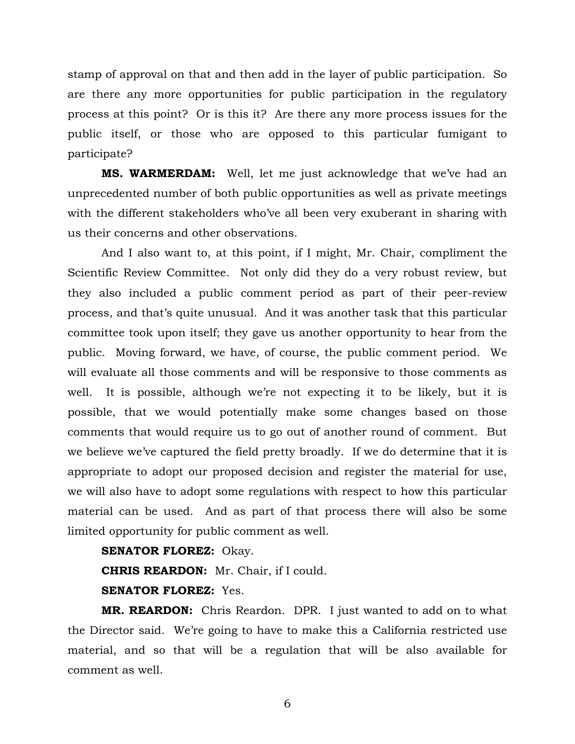stamp of approval on that and then add in the layer of public participation. So are there any more opportunities for public participation in the regulatory process at this point? Or is this it? Are there any more process issues for the public itself, or those who are opposed to this particular fumigant to participate?

**MS. WARMERDAM:** Well, let me just acknowledge that we've had an unprecedented number of both public opportunities as well as private meetings with the different stakeholders who've all been very exuberant in sharing with us their concerns and other observations.

And I also want to, at this point, if I might, Mr. Chair, compliment the Scientific Review Committee. Not only did they do a very robust review, but they also included a public comment period as part of their peer-review process, and that's quite unusual. And it was another task that this particular committee took upon itself; they gave us another opportunity to hear from the public. Moving forward, we have, of course, the public comment period. We will evaluate all those comments and will be responsive to those comments as well. It is possible, although we're not expecting it to be likely, but it is possible, that we would potentially make some changes based on those comments that would require us to go out of another round of comment. But we believe we've captured the field pretty broadly. If we do determine that it is appropriate to adopt our proposed decision and register the material for use, we will also have to adopt some regulations with respect to how this particular material can be used. And as part of that process there will also be some limited opportunity for public comment as well.

**SENATOR FLOREZ:** Okay.

**CHRIS REARDON:** Mr. Chair, if I could.

# **SENATOR FLOREZ:** Yes.

**MR. REARDON:** Chris Reardon. DPR. I just wanted to add on to what the Director said. We're going to have to make this a California restricted use material, and so that will be a regulation that will be also available for comment as well.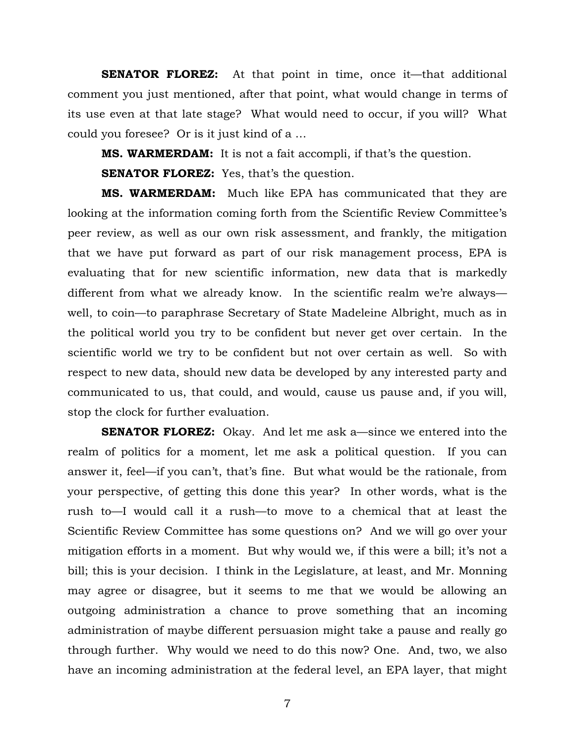**SENATOR FLOREZ:** At that point in time, once it—that additional comment you just mentioned, after that point, what would change in terms of its use even at that late stage? What would need to occur, if you will? What could you foresee? Or is it just kind of a …

**MS. WARMERDAM:** It is not a fait accompli, if that's the question.

**SENATOR FLOREZ:** Yes, that's the question.

**MS. WARMERDAM:** Much like EPA has communicated that they are looking at the information coming forth from the Scientific Review Committee's peer review, as well as our own risk assessment, and frankly, the mitigation that we have put forward as part of our risk management process, EPA is evaluating that for new scientific information, new data that is markedly different from what we already know. In the scientific realm we're always well, to coin—to paraphrase Secretary of State Madeleine Albright, much as in the political world you try to be confident but never get over certain. In the scientific world we try to be confident but not over certain as well. So with respect to new data, should new data be developed by any interested party and communicated to us, that could, and would, cause us pause and, if you will, stop the clock for further evaluation.

**SENATOR FLOREZ:** Okay. And let me ask a—since we entered into the realm of politics for a moment, let me ask a political question. If you can answer it, feel—if you can't, that's fine. But what would be the rationale, from your perspective, of getting this done this year? In other words, what is the rush to—I would call it a rush—to move to a chemical that at least the Scientific Review Committee has some questions on? And we will go over your mitigation efforts in a moment. But why would we, if this were a bill; it's not a bill; this is your decision. I think in the Legislature, at least, and Mr. Monning may agree or disagree, but it seems to me that we would be allowing an outgoing administration a chance to prove something that an incoming administration of maybe different persuasion might take a pause and really go through further. Why would we need to do this now? One. And, two, we also have an incoming administration at the federal level, an EPA layer, that might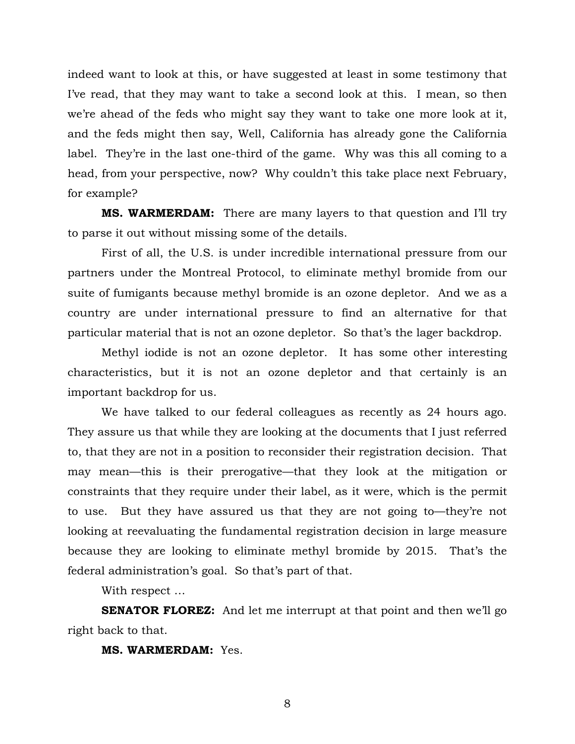indeed want to look at this, or have suggested at least in some testimony that I've read, that they may want to take a second look at this. I mean, so then we're ahead of the feds who might say they want to take one more look at it, and the feds might then say, Well, California has already gone the California label. They're in the last one-third of the game. Why was this all coming to a head, from your perspective, now? Why couldn't this take place next February, for example?

**MS. WARMERDAM:** There are many layers to that question and I'll try to parse it out without missing some of the details.

First of all, the U.S. is under incredible international pressure from our partners under the Montreal Protocol, to eliminate methyl bromide from our suite of fumigants because methyl bromide is an ozone depletor. And we as a country are under international pressure to find an alternative for that particular material that is not an ozone depletor. So that's the lager backdrop.

Methyl iodide is not an ozone depletor. It has some other interesting characteristics, but it is not an ozone depletor and that certainly is an important backdrop for us.

We have talked to our federal colleagues as recently as 24 hours ago. They assure us that while they are looking at the documents that I just referred to, that they are not in a position to reconsider their registration decision. That may mean—this is their prerogative—that they look at the mitigation or constraints that they require under their label, as it were, which is the permit to use. But they have assured us that they are not going to—they're not looking at reevaluating the fundamental registration decision in large measure because they are looking to eliminate methyl bromide by 2015. That's the federal administration's goal. So that's part of that.

With respect …

**SENATOR FLOREZ:** And let me interrupt at that point and then we'll go right back to that.

**MS. WARMERDAM:** Yes.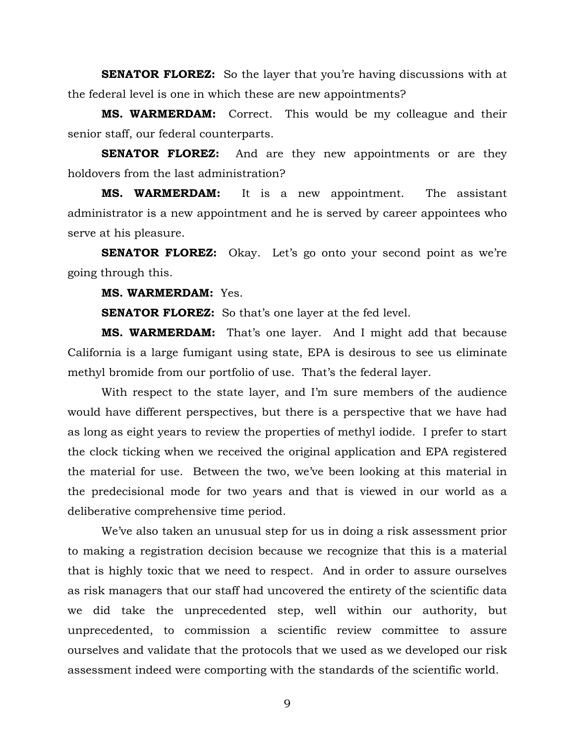**SENATOR FLOREZ:** So the layer that you're having discussions with at the federal level is one in which these are new appointments?

**MS. WARMERDAM:** Correct. This would be my colleague and their senior staff, our federal counterparts.

**SENATOR FLOREZ:** And are they new appointments or are they holdovers from the last administration?

**MS. WARMERDAM:** It is a new appointment. The assistant administrator is a new appointment and he is served by career appointees who serve at his pleasure.

**SENATOR FLOREZ:** Okay. Let's go onto your second point as we're going through this.

**MS. WARMERDAM:** Yes.

**SENATOR FLOREZ:** So that's one layer at the fed level.

**MS. WARMERDAM:** That's one layer. And I might add that because California is a large fumigant using state, EPA is desirous to see us eliminate methyl bromide from our portfolio of use. That's the federal layer.

With respect to the state layer, and I'm sure members of the audience would have different perspectives, but there is a perspective that we have had as long as eight years to review the properties of methyl iodide. I prefer to start the clock ticking when we received the original application and EPA registered the material for use. Between the two, we've been looking at this material in the predecisional mode for two years and that is viewed in our world as a deliberative comprehensive time period.

We've also taken an unusual step for us in doing a risk assessment prior to making a registration decision because we recognize that this is a material that is highly toxic that we need to respect. And in order to assure ourselves as risk managers that our staff had uncovered the entirety of the scientific data we did take the unprecedented step, well within our authority, but unprecedented, to commission a scientific review committee to assure ourselves and validate that the protocols that we used as we developed our risk assessment indeed were comporting with the standards of the scientific world.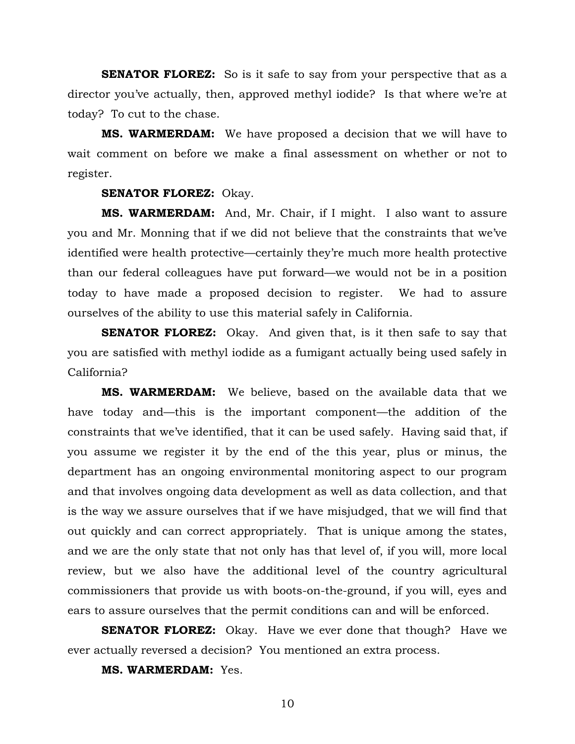**SENATOR FLOREZ:** So is it safe to say from your perspective that as a director you've actually, then, approved methyl iodide? Is that where we're at today? To cut to the chase.

**MS. WARMERDAM:** We have proposed a decision that we will have to wait comment on before we make a final assessment on whether or not to register.

### **SENATOR FLOREZ:** Okay.

**MS. WARMERDAM:** And, Mr. Chair, if I might. I also want to assure you and Mr. Monning that if we did not believe that the constraints that we've identified were health protective—certainly they're much more health protective than our federal colleagues have put forward—we would not be in a position today to have made a proposed decision to register. We had to assure ourselves of the ability to use this material safely in California.

**SENATOR FLOREZ:** Okay. And given that, is it then safe to say that you are satisfied with methyl iodide as a fumigant actually being used safely in California?

**MS. WARMERDAM:** We believe, based on the available data that we have today and—this is the important component—the addition of the constraints that we've identified, that it can be used safely. Having said that, if you assume we register it by the end of the this year, plus or minus, the department has an ongoing environmental monitoring aspect to our program and that involves ongoing data development as well as data collection, and that is the way we assure ourselves that if we have misjudged, that we will find that out quickly and can correct appropriately. That is unique among the states, and we are the only state that not only has that level of, if you will, more local review, but we also have the additional level of the country agricultural commissioners that provide us with boots-on-the-ground, if you will, eyes and ears to assure ourselves that the permit conditions can and will be enforced.

**SENATOR FLOREZ:** Okay. Have we ever done that though? Have we ever actually reversed a decision? You mentioned an extra process.

**MS. WARMERDAM:** Yes.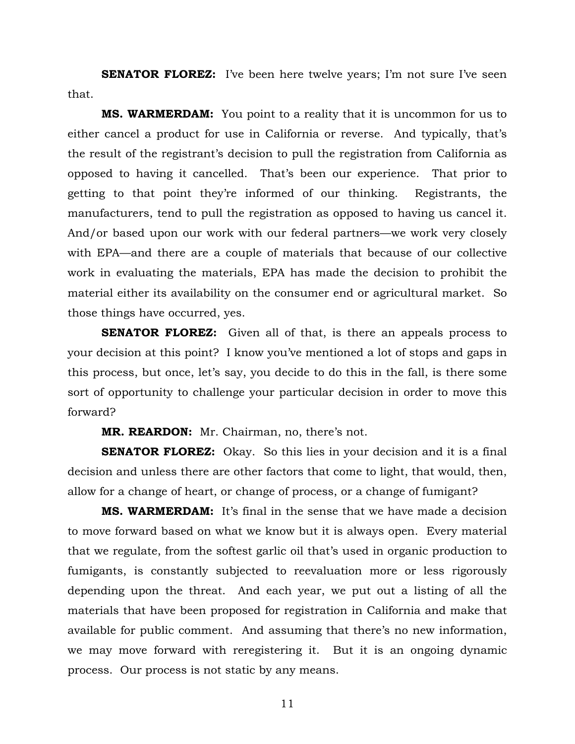**SENATOR FLOREZ:** I've been here twelve years; I'm not sure I've seen that.

**MS. WARMERDAM:** You point to a reality that it is uncommon for us to either cancel a product for use in California or reverse. And typically, that's the result of the registrant's decision to pull the registration from California as opposed to having it cancelled. That's been our experience. That prior to getting to that point they're informed of our thinking. Registrants, the manufacturers, tend to pull the registration as opposed to having us cancel it. And/or based upon our work with our federal partners—we work very closely with EPA—and there are a couple of materials that because of our collective work in evaluating the materials, EPA has made the decision to prohibit the material either its availability on the consumer end or agricultural market. So those things have occurred, yes.

**SENATOR FLOREZ:** Given all of that, is there an appeals process to your decision at this point? I know you've mentioned a lot of stops and gaps in this process, but once, let's say, you decide to do this in the fall, is there some sort of opportunity to challenge your particular decision in order to move this forward?

**MR. REARDON:** Mr. Chairman, no, there's not.

**SENATOR FLOREZ:** Okay. So this lies in your decision and it is a final decision and unless there are other factors that come to light, that would, then, allow for a change of heart, or change of process, or a change of fumigant?

**MS. WARMERDAM:** It's final in the sense that we have made a decision to move forward based on what we know but it is always open. Every material that we regulate, from the softest garlic oil that's used in organic production to fumigants, is constantly subjected to reevaluation more or less rigorously depending upon the threat. And each year, we put out a listing of all the materials that have been proposed for registration in California and make that available for public comment. And assuming that there's no new information, we may move forward with reregistering it. But it is an ongoing dynamic process. Our process is not static by any means.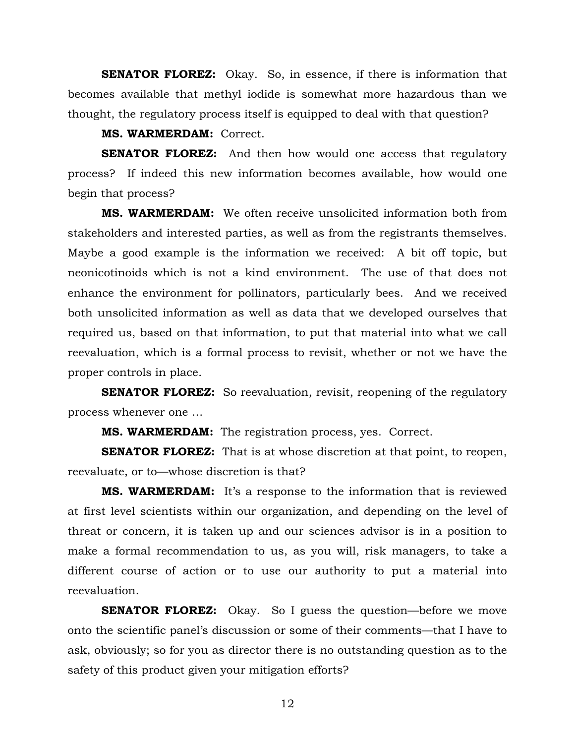**SENATOR FLOREZ:** Okay. So, in essence, if there is information that becomes available that methyl iodide is somewhat more hazardous than we thought, the regulatory process itself is equipped to deal with that question?

**MS. WARMERDAM:** Correct.

**SENATOR FLOREZ:** And then how would one access that regulatory process? If indeed this new information becomes available, how would one begin that process?

**MS. WARMERDAM:** We often receive unsolicited information both from stakeholders and interested parties, as well as from the registrants themselves. Maybe a good example is the information we received: A bit off topic, but neonicotinoids which is not a kind environment. The use of that does not enhance the environment for pollinators, particularly bees. And we received both unsolicited information as well as data that we developed ourselves that required us, based on that information, to put that material into what we call reevaluation, which is a formal process to revisit, whether or not we have the proper controls in place.

**SENATOR FLOREZ:** So reevaluation, revisit, reopening of the regulatory process whenever one …

**MS. WARMERDAM:** The registration process, yes. Correct.

**SENATOR FLOREZ:** That is at whose discretion at that point, to reopen, reevaluate, or to—whose discretion is that?

**MS. WARMERDAM:** It's a response to the information that is reviewed at first level scientists within our organization, and depending on the level of threat or concern, it is taken up and our sciences advisor is in a position to make a formal recommendation to us, as you will, risk managers, to take a different course of action or to use our authority to put a material into reevaluation.

**SENATOR FLOREZ:** Okay. So I guess the question—before we move onto the scientific panel's discussion or some of their comments—that I have to ask, obviously; so for you as director there is no outstanding question as to the safety of this product given your mitigation efforts?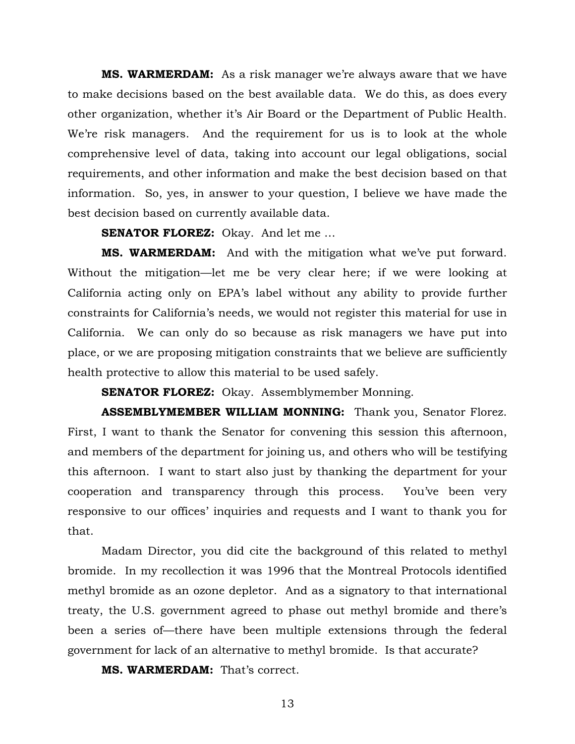**MS. WARMERDAM:** As a risk manager we're always aware that we have to make decisions based on the best available data. We do this, as does every other organization, whether it's Air Board or the Department of Public Health. We're risk managers. And the requirement for us is to look at the whole comprehensive level of data, taking into account our legal obligations, social requirements, and other information and make the best decision based on that information. So, yes, in answer to your question, I believe we have made the best decision based on currently available data.

**SENATOR FLOREZ:** Okay. And let me …

**MS. WARMERDAM:** And with the mitigation what we've put forward. Without the mitigation—let me be very clear here; if we were looking at California acting only on EPA's label without any ability to provide further constraints for California's needs, we would not register this material for use in California. We can only do so because as risk managers we have put into place, or we are proposing mitigation constraints that we believe are sufficiently health protective to allow this material to be used safely.

**SENATOR FLOREZ:** Okay. Assemblymember Monning.

**ASSEMBLYMEMBER WILLIAM MONNING:** Thank you, Senator Florez. First, I want to thank the Senator for convening this session this afternoon, and members of the department for joining us, and others who will be testifying this afternoon. I want to start also just by thanking the department for your cooperation and transparency through this process. You've been very responsive to our offices' inquiries and requests and I want to thank you for that.

Madam Director, you did cite the background of this related to methyl bromide. In my recollection it was 1996 that the Montreal Protocols identified methyl bromide as an ozone depletor. And as a signatory to that international treaty, the U.S. government agreed to phase out methyl bromide and there's been a series of—there have been multiple extensions through the federal government for lack of an alternative to methyl bromide. Is that accurate?

**MS. WARMERDAM:** That's correct.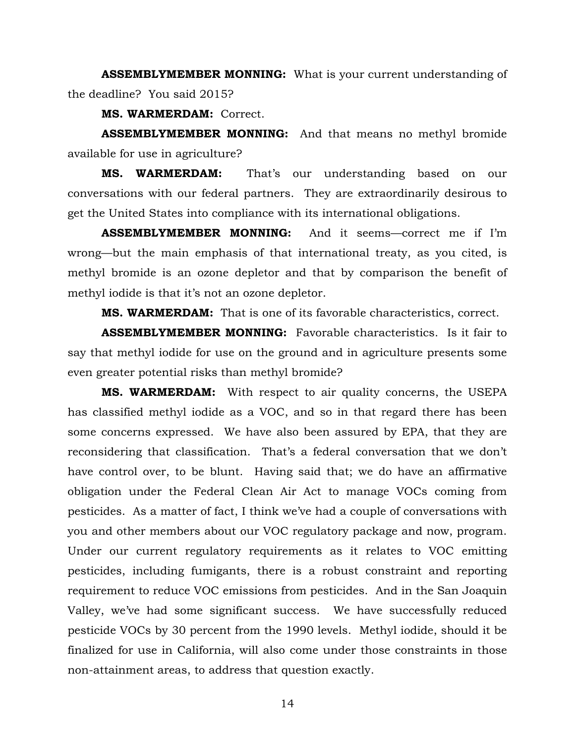**ASSEMBLYMEMBER MONNING:** What is your current understanding of the deadline? You said 2015?

**MS. WARMERDAM:** Correct.

**ASSEMBLYMEMBER MONNING:** And that means no methyl bromide available for use in agriculture?

**MS. WARMERDAM:** That's our understanding based on our conversations with our federal partners. They are extraordinarily desirous to get the United States into compliance with its international obligations.

**ASSEMBLYMEMBER MONNING:** And it seems—correct me if I'm wrong—but the main emphasis of that international treaty, as you cited, is methyl bromide is an ozone depletor and that by comparison the benefit of methyl iodide is that it's not an ozone depletor.

**MS. WARMERDAM:** That is one of its favorable characteristics, correct.

**ASSEMBLYMEMBER MONNING:** Favorable characteristics. Is it fair to say that methyl iodide for use on the ground and in agriculture presents some even greater potential risks than methyl bromide?

**MS. WARMERDAM:** With respect to air quality concerns, the USEPA has classified methyl iodide as a VOC, and so in that regard there has been some concerns expressed. We have also been assured by EPA, that they are reconsidering that classification. That's a federal conversation that we don't have control over, to be blunt. Having said that; we do have an affirmative obligation under the Federal Clean Air Act to manage VOCs coming from pesticides. As a matter of fact, I think we've had a couple of conversations with you and other members about our VOC regulatory package and now, program. Under our current regulatory requirements as it relates to VOC emitting pesticides, including fumigants, there is a robust constraint and reporting requirement to reduce VOC emissions from pesticides. And in the San Joaquin Valley, we've had some significant success. We have successfully reduced pesticide VOCs by 30 percent from the 1990 levels. Methyl iodide, should it be finalized for use in California, will also come under those constraints in those non-attainment areas, to address that question exactly.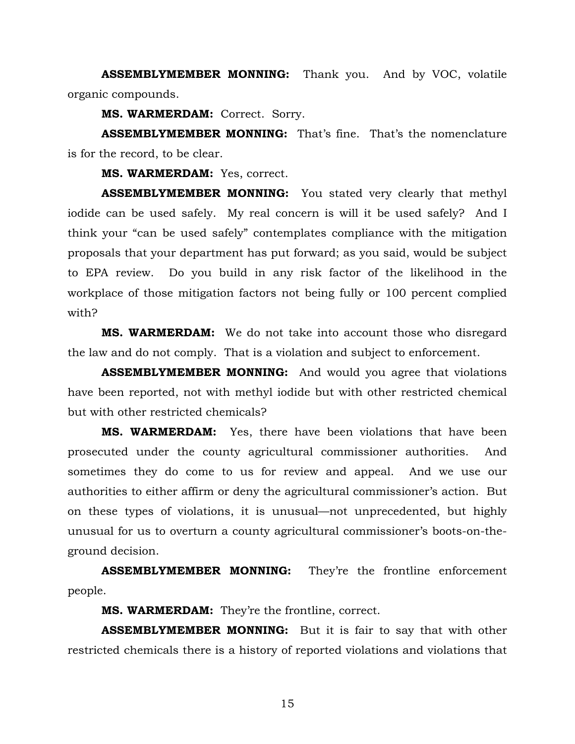**ASSEMBLYMEMBER MONNING:** Thank you. And by VOC, volatile organic compounds.

**MS. WARMERDAM:** Correct. Sorry.

**ASSEMBLYMEMBER MONNING:** That's fine. That's the nomenclature is for the record, to be clear.

**MS. WARMERDAM:** Yes, correct.

**ASSEMBLYMEMBER MONNING:** You stated very clearly that methyl iodide can be used safely. My real concern is will it be used safely? And I think your "can be used safely" contemplates compliance with the mitigation proposals that your department has put forward; as you said, would be subject to EPA review. Do you build in any risk factor of the likelihood in the workplace of those mitigation factors not being fully or 100 percent complied with?

**MS. WARMERDAM:** We do not take into account those who disregard the law and do not comply. That is a violation and subject to enforcement.

**ASSEMBLYMEMBER MONNING:** And would you agree that violations have been reported, not with methyl iodide but with other restricted chemical but with other restricted chemicals?

**MS. WARMERDAM:** Yes, there have been violations that have been prosecuted under the county agricultural commissioner authorities. And sometimes they do come to us for review and appeal. And we use our authorities to either affirm or deny the agricultural commissioner's action. But on these types of violations, it is unusual—not unprecedented, but highly unusual for us to overturn a county agricultural commissioner's boots-on-theground decision.

**ASSEMBLYMEMBER MONNING:** They're the frontline enforcement people.

**MS. WARMERDAM:** They're the frontline, correct.

**ASSEMBLYMEMBER MONNING:** But it is fair to say that with other restricted chemicals there is a history of reported violations and violations that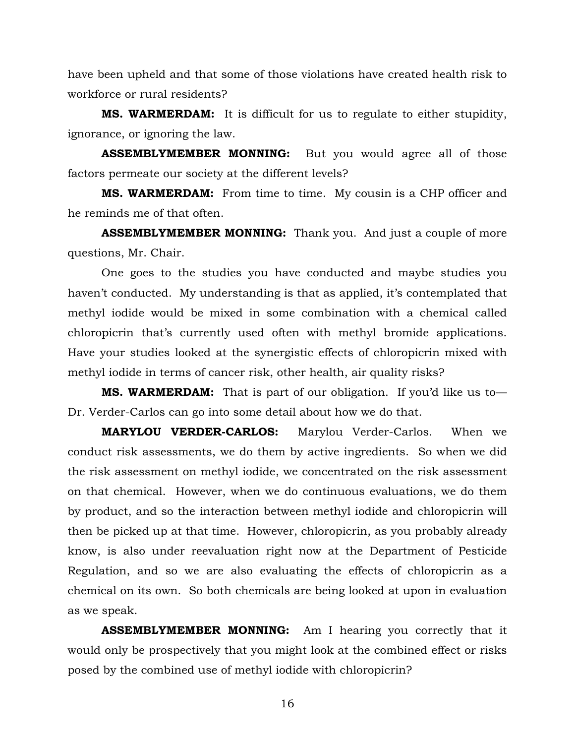have been upheld and that some of those violations have created health risk to workforce or rural residents?

**MS. WARMERDAM:** It is difficult for us to regulate to either stupidity, ignorance, or ignoring the law.

**ASSEMBLYMEMBER MONNING:** But you would agree all of those factors permeate our society at the different levels?

**MS. WARMERDAM:** From time to time. My cousin is a CHP officer and he reminds me of that often.

**ASSEMBLYMEMBER MONNING:** Thank you. And just a couple of more questions, Mr. Chair.

One goes to the studies you have conducted and maybe studies you haven't conducted. My understanding is that as applied, it's contemplated that methyl iodide would be mixed in some combination with a chemical called chloropicrin that's currently used often with methyl bromide applications. Have your studies looked at the synergistic effects of chloropicrin mixed with methyl iodide in terms of cancer risk, other health, air quality risks?

**MS. WARMERDAM:** That is part of our obligation. If you'd like us to— Dr. Verder-Carlos can go into some detail about how we do that.

**MARYLOU VERDER-CARLOS:** Marylou Verder-Carlos. When we conduct risk assessments, we do them by active ingredients. So when we did the risk assessment on methyl iodide, we concentrated on the risk assessment on that chemical. However, when we do continuous evaluations, we do them by product, and so the interaction between methyl iodide and chloropicrin will then be picked up at that time. However, chloropicrin, as you probably already know, is also under reevaluation right now at the Department of Pesticide Regulation, and so we are also evaluating the effects of chloropicrin as a chemical on its own. So both chemicals are being looked at upon in evaluation as we speak.

**ASSEMBLYMEMBER MONNING:** Am I hearing you correctly that it would only be prospectively that you might look at the combined effect or risks posed by the combined use of methyl iodide with chloropicrin?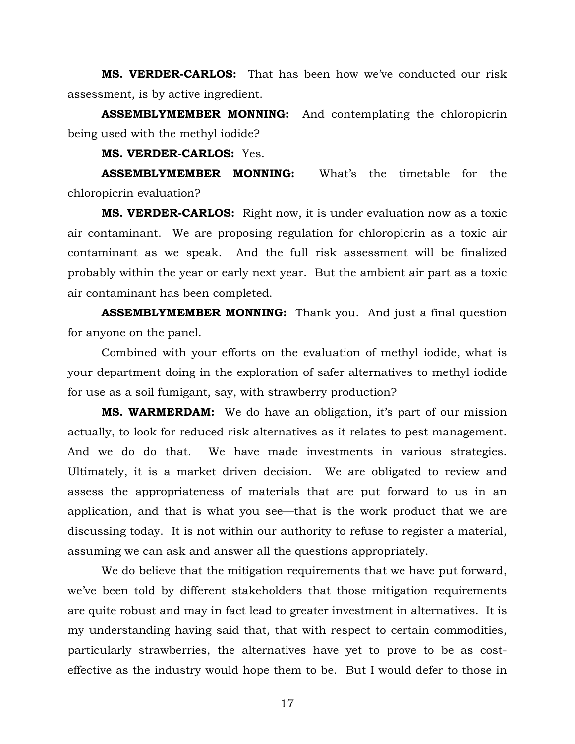**MS. VERDER-CARLOS:** That has been how we've conducted our risk assessment, is by active ingredient.

**ASSEMBLYMEMBER MONNING:** And contemplating the chloropicrin being used with the methyl iodide?

#### **MS. VERDER-CARLOS:** Yes.

**ASSEMBLYMEMBER MONNING:** What's the timetable for the chloropicrin evaluation?

**MS. VERDER-CARLOS:** Right now, it is under evaluation now as a toxic air contaminant. We are proposing regulation for chloropicrin as a toxic air contaminant as we speak. And the full risk assessment will be finalized probably within the year or early next year. But the ambient air part as a toxic air contaminant has been completed.

**ASSEMBLYMEMBER MONNING:** Thank you. And just a final question for anyone on the panel.

Combined with your efforts on the evaluation of methyl iodide, what is your department doing in the exploration of safer alternatives to methyl iodide for use as a soil fumigant, say, with strawberry production?

**MS. WARMERDAM:** We do have an obligation, it's part of our mission actually, to look for reduced risk alternatives as it relates to pest management. And we do do that. We have made investments in various strategies. Ultimately, it is a market driven decision. We are obligated to review and assess the appropriateness of materials that are put forward to us in an application, and that is what you see—that is the work product that we are discussing today. It is not within our authority to refuse to register a material, assuming we can ask and answer all the questions appropriately.

We do believe that the mitigation requirements that we have put forward, we've been told by different stakeholders that those mitigation requirements are quite robust and may in fact lead to greater investment in alternatives. It is my understanding having said that, that with respect to certain commodities, particularly strawberries, the alternatives have yet to prove to be as costeffective as the industry would hope them to be. But I would defer to those in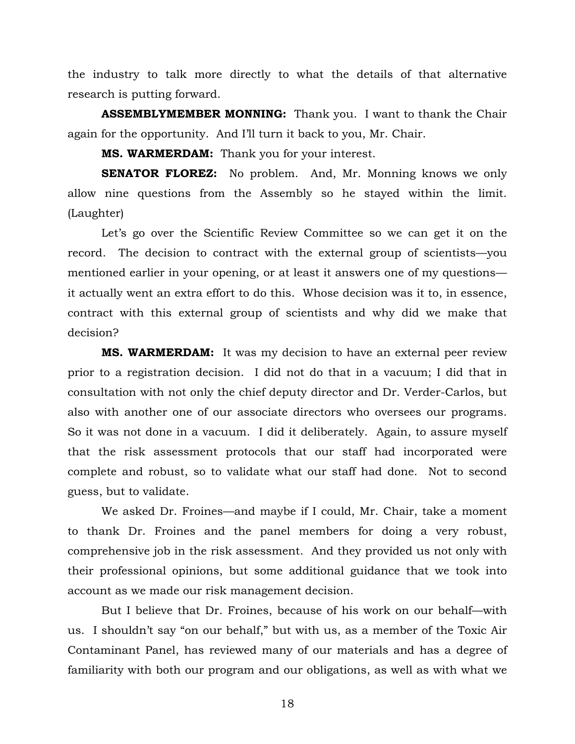the industry to talk more directly to what the details of that alternative research is putting forward.

**ASSEMBLYMEMBER MONNING:** Thank you. I want to thank the Chair again for the opportunity. And I'll turn it back to you, Mr. Chair.

**MS. WARMERDAM:** Thank you for your interest.

**SENATOR FLOREZ:** No problem. And, Mr. Monning knows we only allow nine questions from the Assembly so he stayed within the limit. (Laughter)

Let's go over the Scientific Review Committee so we can get it on the record. The decision to contract with the external group of scientists—you mentioned earlier in your opening, or at least it answers one of my questions it actually went an extra effort to do this. Whose decision was it to, in essence, contract with this external group of scientists and why did we make that decision?

**MS. WARMERDAM:** It was my decision to have an external peer review prior to a registration decision. I did not do that in a vacuum; I did that in consultation with not only the chief deputy director and Dr. Verder-Carlos, but also with another one of our associate directors who oversees our programs. So it was not done in a vacuum. I did it deliberately. Again, to assure myself that the risk assessment protocols that our staff had incorporated were complete and robust, so to validate what our staff had done. Not to second guess, but to validate.

We asked Dr. Froines—and maybe if I could, Mr. Chair, take a moment to thank Dr. Froines and the panel members for doing a very robust, comprehensive job in the risk assessment. And they provided us not only with their professional opinions, but some additional guidance that we took into account as we made our risk management decision.

But I believe that Dr. Froines, because of his work on our behalf—with us. I shouldn't say "on our behalf," but with us, as a member of the Toxic Air Contaminant Panel, has reviewed many of our materials and has a degree of familiarity with both our program and our obligations, as well as with what we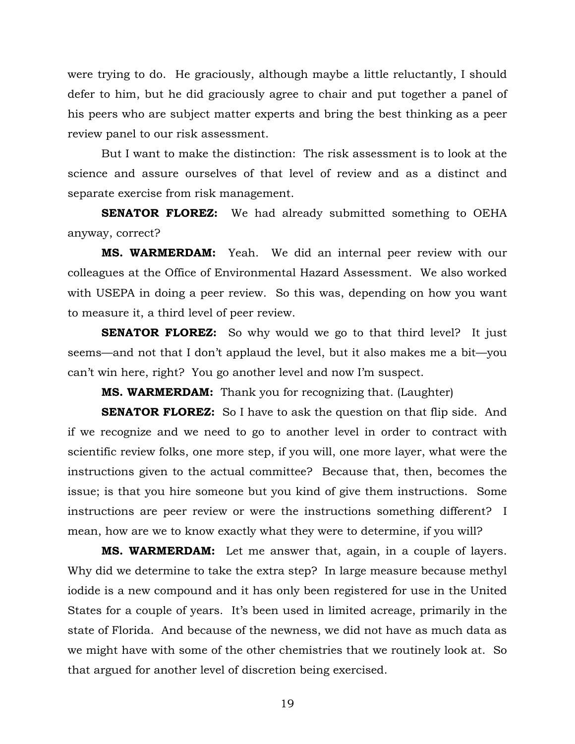were trying to do. He graciously, although maybe a little reluctantly, I should defer to him, but he did graciously agree to chair and put together a panel of his peers who are subject matter experts and bring the best thinking as a peer review panel to our risk assessment.

But I want to make the distinction: The risk assessment is to look at the science and assure ourselves of that level of review and as a distinct and separate exercise from risk management.

**SENATOR FLOREZ:** We had already submitted something to OEHA anyway, correct?

**MS. WARMERDAM:** Yeah. We did an internal peer review with our colleagues at the Office of Environmental Hazard Assessment. We also worked with USEPA in doing a peer review. So this was, depending on how you want to measure it, a third level of peer review.

**SENATOR FLOREZ:** So why would we go to that third level? It just seems—and not that I don't applaud the level, but it also makes me a bit—you can't win here, right? You go another level and now I'm suspect.

**MS. WARMERDAM:** Thank you for recognizing that. (Laughter)

**SENATOR FLOREZ:** So I have to ask the question on that flip side. And if we recognize and we need to go to another level in order to contract with scientific review folks, one more step, if you will, one more layer, what were the instructions given to the actual committee? Because that, then, becomes the issue; is that you hire someone but you kind of give them instructions. Some instructions are peer review or were the instructions something different? I mean, how are we to know exactly what they were to determine, if you will?

**MS. WARMERDAM:** Let me answer that, again, in a couple of layers. Why did we determine to take the extra step? In large measure because methyl iodide is a new compound and it has only been registered for use in the United States for a couple of years. It's been used in limited acreage, primarily in the state of Florida. And because of the newness, we did not have as much data as we might have with some of the other chemistries that we routinely look at. So that argued for another level of discretion being exercised.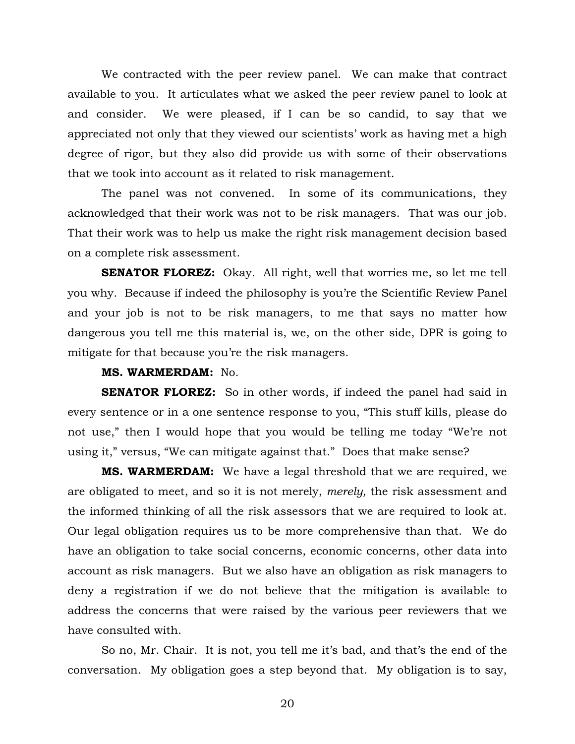We contracted with the peer review panel. We can make that contract available to you. It articulates what we asked the peer review panel to look at and consider. We were pleased, if I can be so candid, to say that we appreciated not only that they viewed our scientists' work as having met a high degree of rigor, but they also did provide us with some of their observations that we took into account as it related to risk management.

The panel was not convened. In some of its communications, they acknowledged that their work was not to be risk managers. That was our job. That their work was to help us make the right risk management decision based on a complete risk assessment.

**SENATOR FLOREZ:** Okay. All right, well that worries me, so let me tell you why. Because if indeed the philosophy is you're the Scientific Review Panel and your job is not to be risk managers, to me that says no matter how dangerous you tell me this material is, we, on the other side, DPR is going to mitigate for that because you're the risk managers.

## **MS. WARMERDAM:** No.

**SENATOR FLOREZ:** So in other words, if indeed the panel had said in every sentence or in a one sentence response to you, "This stuff kills, please do not use," then I would hope that you would be telling me today "We're not using it," versus, "We can mitigate against that." Does that make sense?

**MS. WARMERDAM:** We have a legal threshold that we are required, we are obligated to meet, and so it is not merely, *merely,* the risk assessment and the informed thinking of all the risk assessors that we are required to look at. Our legal obligation requires us to be more comprehensive than that. We do have an obligation to take social concerns, economic concerns, other data into account as risk managers. But we also have an obligation as risk managers to deny a registration if we do not believe that the mitigation is available to address the concerns that were raised by the various peer reviewers that we have consulted with.

So no, Mr. Chair. It is not, you tell me it's bad, and that's the end of the conversation. My obligation goes a step beyond that. My obligation is to say,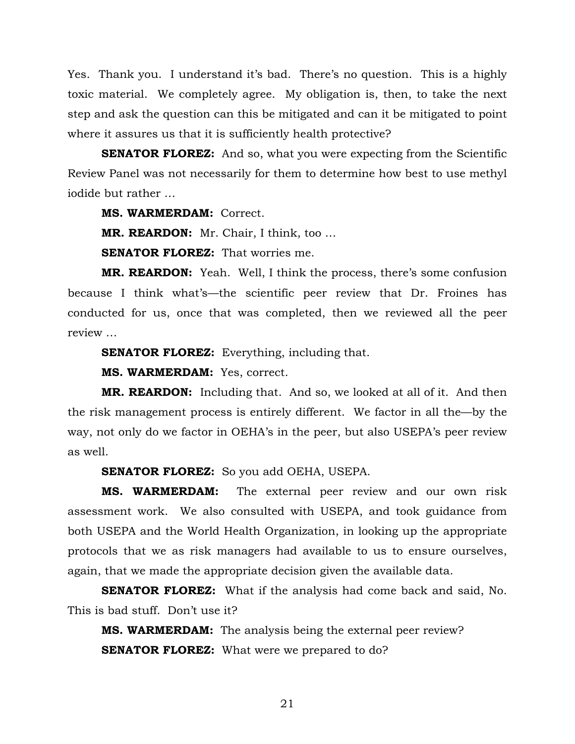Yes. Thank you. I understand it's bad. There's no question. This is a highly toxic material. We completely agree. My obligation is, then, to take the next step and ask the question can this be mitigated and can it be mitigated to point where it assures us that it is sufficiently health protective?

**SENATOR FLOREZ:** And so, what you were expecting from the Scientific Review Panel was not necessarily for them to determine how best to use methyl iodide but rather …

**MS. WARMERDAM:** Correct.

**MR. REARDON:** Mr. Chair, I think, too …

**SENATOR FLOREZ:** That worries me.

**MR. REARDON:** Yeah. Well, I think the process, there's some confusion because I think what's—the scientific peer review that Dr. Froines has conducted for us, once that was completed, then we reviewed all the peer review …

**SENATOR FLOREZ:** Everything, including that.

**MS. WARMERDAM:** Yes, correct.

**MR. REARDON:** Including that. And so, we looked at all of it. And then the risk management process is entirely different. We factor in all the—by the way, not only do we factor in OEHA's in the peer, but also USEPA's peer review as well.

**SENATOR FLOREZ:** So you add OEHA, USEPA.

**MS. WARMERDAM:** The external peer review and our own risk assessment work. We also consulted with USEPA, and took guidance from both USEPA and the World Health Organization, in looking up the appropriate protocols that we as risk managers had available to us to ensure ourselves, again, that we made the appropriate decision given the available data.

**SENATOR FLOREZ:** What if the analysis had come back and said, No. This is bad stuff. Don't use it?

**MS. WARMERDAM:** The analysis being the external peer review? **SENATOR FLOREZ:** What were we prepared to do?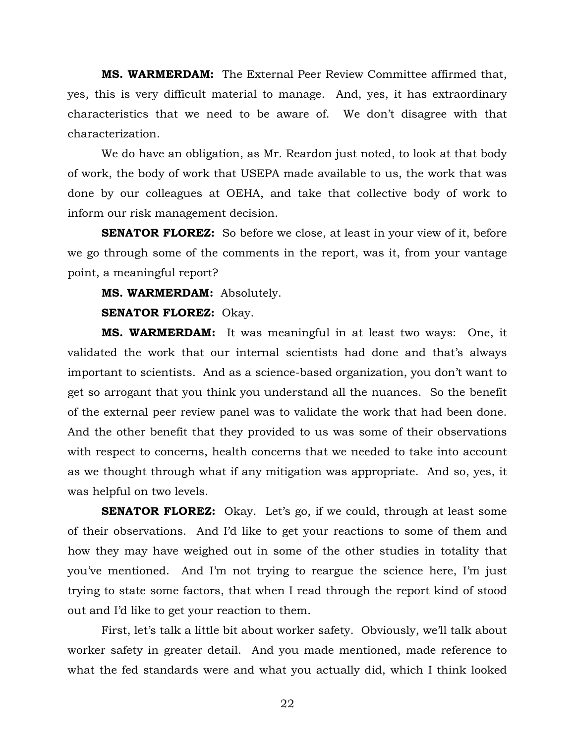**MS. WARMERDAM:** The External Peer Review Committee affirmed that, yes, this is very difficult material to manage. And, yes, it has extraordinary characteristics that we need to be aware of. We don't disagree with that characterization.

We do have an obligation, as Mr. Reardon just noted, to look at that body of work, the body of work that USEPA made available to us, the work that was done by our colleagues at OEHA, and take that collective body of work to inform our risk management decision.

**SENATOR FLOREZ:** So before we close, at least in your view of it, before we go through some of the comments in the report, was it, from your vantage point, a meaningful report?

**MS. WARMERDAM:** Absolutely.

### **SENATOR FLOREZ:** Okay.

**MS. WARMERDAM:** It was meaningful in at least two ways: One, it validated the work that our internal scientists had done and that's always important to scientists. And as a science-based organization, you don't want to get so arrogant that you think you understand all the nuances. So the benefit of the external peer review panel was to validate the work that had been done. And the other benefit that they provided to us was some of their observations with respect to concerns, health concerns that we needed to take into account as we thought through what if any mitigation was appropriate. And so, yes, it was helpful on two levels.

**SENATOR FLOREZ:** Okay. Let's go, if we could, through at least some of their observations. And I'd like to get your reactions to some of them and how they may have weighed out in some of the other studies in totality that you've mentioned. And I'm not trying to reargue the science here, I'm just trying to state some factors, that when I read through the report kind of stood out and I'd like to get your reaction to them.

First, let's talk a little bit about worker safety. Obviously, we'll talk about worker safety in greater detail. And you made mentioned, made reference to what the fed standards were and what you actually did, which I think looked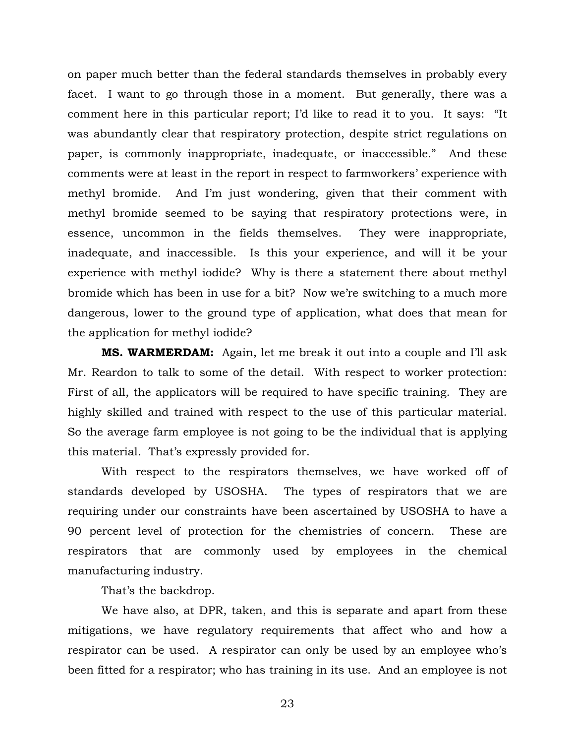on paper much better than the federal standards themselves in probably every facet. I want to go through those in a moment. But generally, there was a comment here in this particular report; I'd like to read it to you. It says: "It was abundantly clear that respiratory protection, despite strict regulations on paper, is commonly inappropriate, inadequate, or inaccessible." And these comments were at least in the report in respect to farmworkers' experience with methyl bromide. And I'm just wondering, given that their comment with methyl bromide seemed to be saying that respiratory protections were, in essence, uncommon in the fields themselves. They were inappropriate, inadequate, and inaccessible. Is this your experience, and will it be your experience with methyl iodide? Why is there a statement there about methyl bromide which has been in use for a bit? Now we're switching to a much more dangerous, lower to the ground type of application, what does that mean for the application for methyl iodide?

**MS. WARMERDAM:** Again, let me break it out into a couple and I'll ask Mr. Reardon to talk to some of the detail. With respect to worker protection: First of all, the applicators will be required to have specific training. They are highly skilled and trained with respect to the use of this particular material. So the average farm employee is not going to be the individual that is applying this material. That's expressly provided for.

With respect to the respirators themselves, we have worked off of standards developed by USOSHA. The types of respirators that we are requiring under our constraints have been ascertained by USOSHA to have a 90 percent level of protection for the chemistries of concern. These are respirators that are commonly used by employees in the chemical manufacturing industry.

That's the backdrop.

We have also, at DPR, taken, and this is separate and apart from these mitigations, we have regulatory requirements that affect who and how a respirator can be used. A respirator can only be used by an employee who's been fitted for a respirator; who has training in its use. And an employee is not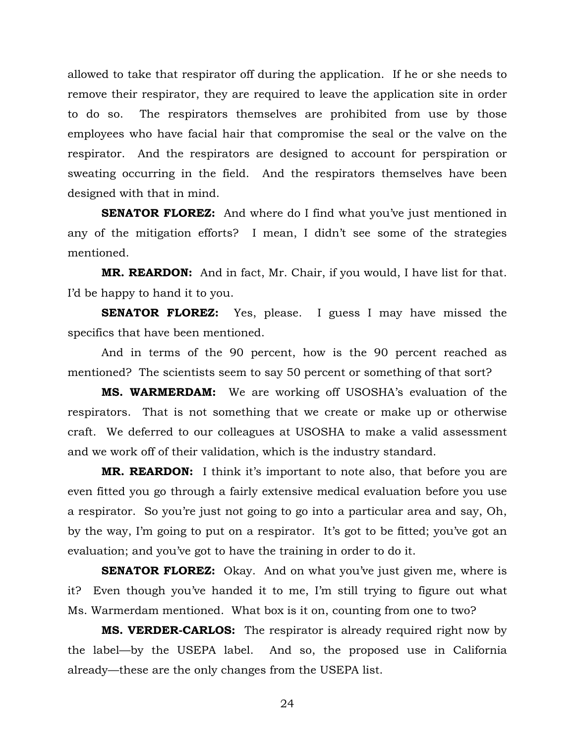allowed to take that respirator off during the application. If he or she needs to remove their respirator, they are required to leave the application site in order to do so. The respirators themselves are prohibited from use by those employees who have facial hair that compromise the seal or the valve on the respirator. And the respirators are designed to account for perspiration or sweating occurring in the field. And the respirators themselves have been designed with that in mind.

**SENATOR FLOREZ:** And where do I find what you've just mentioned in any of the mitigation efforts? I mean, I didn't see some of the strategies mentioned.

**MR. REARDON:** And in fact, Mr. Chair, if you would, I have list for that. I'd be happy to hand it to you.

**SENATOR FLOREZ:** Yes, please. I guess I may have missed the specifics that have been mentioned.

And in terms of the 90 percent, how is the 90 percent reached as mentioned? The scientists seem to say 50 percent or something of that sort?

**MS. WARMERDAM:** We are working off USOSHA's evaluation of the respirators. That is not something that we create or make up or otherwise craft. We deferred to our colleagues at USOSHA to make a valid assessment and we work off of their validation, which is the industry standard.

**MR. REARDON:** I think it's important to note also, that before you are even fitted you go through a fairly extensive medical evaluation before you use a respirator. So you're just not going to go into a particular area and say, Oh, by the way, I'm going to put on a respirator. It's got to be fitted; you've got an evaluation; and you've got to have the training in order to do it.

**SENATOR FLOREZ:** Okay. And on what you've just given me, where is it? Even though you've handed it to me, I'm still trying to figure out what Ms. Warmerdam mentioned. What box is it on, counting from one to two?

**MS. VERDER-CARLOS:** The respirator is already required right now by the label—by the USEPA label. And so, the proposed use in California already—these are the only changes from the USEPA list.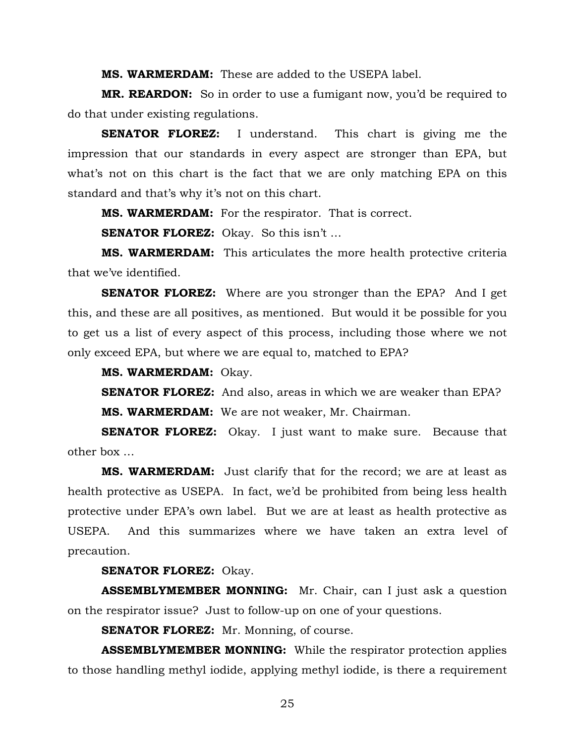**MS. WARMERDAM:** These are added to the USEPA label.

**MR. REARDON:** So in order to use a fumigant now, you'd be required to do that under existing regulations.

**SENATOR FLOREZ:** I understand. This chart is giving me the impression that our standards in every aspect are stronger than EPA, but what's not on this chart is the fact that we are only matching EPA on this standard and that's why it's not on this chart.

**MS. WARMERDAM:** For the respirator. That is correct.

**SENATOR FLOREZ:** Okay. So this isn't …

**MS. WARMERDAM:** This articulates the more health protective criteria that we've identified.

**SENATOR FLOREZ:** Where are you stronger than the EPA? And I get this, and these are all positives, as mentioned. But would it be possible for you to get us a list of every aspect of this process, including those where we not only exceed EPA, but where we are equal to, matched to EPA?

**MS. WARMERDAM:** Okay.

**SENATOR FLOREZ:** And also, areas in which we are weaker than EPA? **MS. WARMERDAM:** We are not weaker, Mr. Chairman.

**SENATOR FLOREZ:** Okay. I just want to make sure. Because that other box …

**MS. WARMERDAM:** Just clarify that for the record; we are at least as health protective as USEPA. In fact, we'd be prohibited from being less health protective under EPA's own label. But we are at least as health protective as USEPA. And this summarizes where we have taken an extra level of precaution.

**SENATOR FLOREZ:** Okay.

**ASSEMBLYMEMBER MONNING:** Mr. Chair, can I just ask a question on the respirator issue? Just to follow-up on one of your questions.

**SENATOR FLOREZ:** Mr. Monning, of course.

**ASSEMBLYMEMBER MONNING:** While the respirator protection applies to those handling methyl iodide, applying methyl iodide, is there a requirement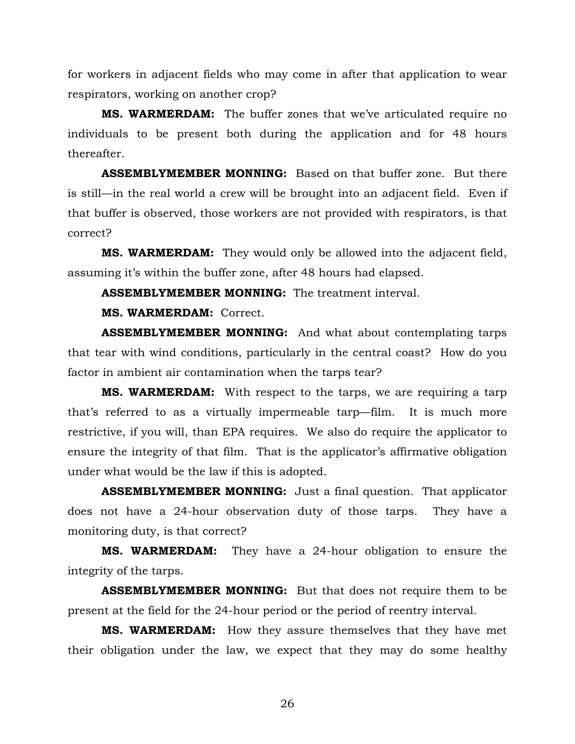for workers in adjacent fields who may come in after that application to wear respirators, working on another crop?

**MS. WARMERDAM:** The buffer zones that we've articulated require no individuals to be present both during the application and for 48 hours thereafter.

**ASSEMBLYMEMBER MONNING:** Based on that buffer zone. But there is still—in the real world a crew will be brought into an adjacent field. Even if that buffer is observed, those workers are not provided with respirators, is that correct?

**MS. WARMERDAM:** They would only be allowed into the adjacent field, assuming it's within the buffer zone, after 48 hours had elapsed.

**ASSEMBLYMEMBER MONNING:** The treatment interval.

**MS. WARMERDAM:** Correct.

**ASSEMBLYMEMBER MONNING:** And what about contemplating tarps that tear with wind conditions, particularly in the central coast? How do you factor in ambient air contamination when the tarps tear?

**MS. WARMERDAM:** With respect to the tarps, we are requiring a tarp that's referred to as a virtually impermeable tarp—film. It is much more restrictive, if you will, than EPA requires. We also do require the applicator to ensure the integrity of that film. That is the applicator's affirmative obligation under what would be the law if this is adopted.

**ASSEMBLYMEMBER MONNING:** Just a final question. That applicator does not have a 24-hour observation duty of those tarps. They have a monitoring duty, is that correct?

**MS. WARMERDAM:** They have a 24-hour obligation to ensure the integrity of the tarps.

**ASSEMBLYMEMBER MONNING:** But that does not require them to be present at the field for the 24-hour period or the period of reentry interval.

**MS. WARMERDAM:** How they assure themselves that they have met their obligation under the law, we expect that they may do some healthy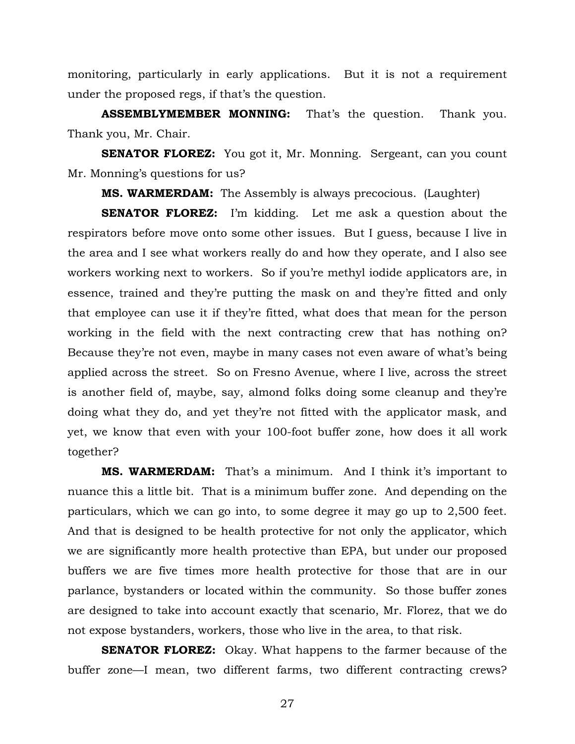monitoring, particularly in early applications. But it is not a requirement under the proposed regs, if that's the question.

**ASSEMBLYMEMBER MONNING:** That's the question. Thank you. Thank you, Mr. Chair.

**SENATOR FLOREZ:** You got it, Mr. Monning. Sergeant, can you count Mr. Monning's questions for us?

**MS. WARMERDAM:** The Assembly is always precocious. (Laughter)

**SENATOR FLOREZ:** I'm kidding. Let me ask a question about the respirators before move onto some other issues. But I guess, because I live in the area and I see what workers really do and how they operate, and I also see workers working next to workers. So if you're methyl iodide applicators are, in essence, trained and they're putting the mask on and they're fitted and only that employee can use it if they're fitted, what does that mean for the person working in the field with the next contracting crew that has nothing on? Because they're not even, maybe in many cases not even aware of what's being applied across the street. So on Fresno Avenue, where I live, across the street is another field of, maybe, say, almond folks doing some cleanup and they're doing what they do, and yet they're not fitted with the applicator mask, and yet, we know that even with your 100-foot buffer zone, how does it all work together?

**MS. WARMERDAM:** That's a minimum. And I think it's important to nuance this a little bit. That is a minimum buffer zone. And depending on the particulars, which we can go into, to some degree it may go up to 2,500 feet. And that is designed to be health protective for not only the applicator, which we are significantly more health protective than EPA, but under our proposed buffers we are five times more health protective for those that are in our parlance, bystanders or located within the community. So those buffer zones are designed to take into account exactly that scenario, Mr. Florez, that we do not expose bystanders, workers, those who live in the area, to that risk.

**SENATOR FLOREZ:** Okay. What happens to the farmer because of the buffer zone—I mean, two different farms, two different contracting crews?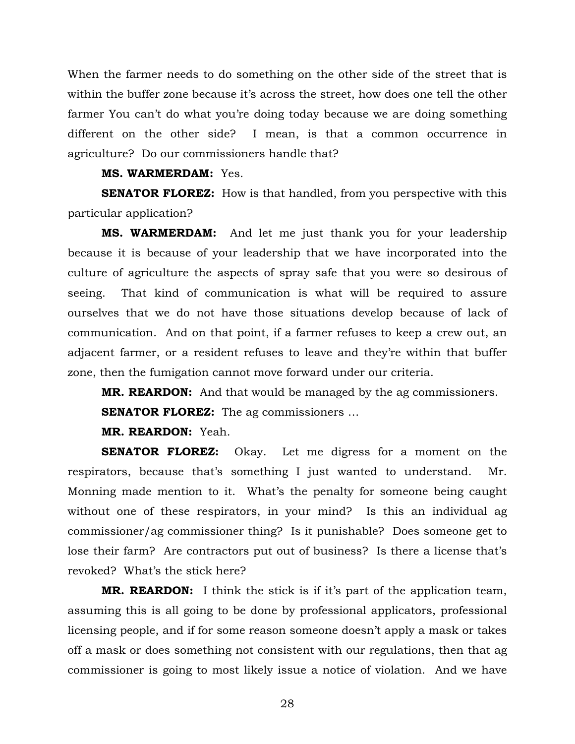When the farmer needs to do something on the other side of the street that is within the buffer zone because it's across the street, how does one tell the other farmer You can't do what you're doing today because we are doing something different on the other side? I mean, is that a common occurrence in agriculture? Do our commissioners handle that?

## **MS. WARMERDAM:** Yes.

**SENATOR FLOREZ:** How is that handled, from you perspective with this particular application?

**MS. WARMERDAM:** And let me just thank you for your leadership because it is because of your leadership that we have incorporated into the culture of agriculture the aspects of spray safe that you were so desirous of seeing. That kind of communication is what will be required to assure ourselves that we do not have those situations develop because of lack of communication. And on that point, if a farmer refuses to keep a crew out, an adjacent farmer, or a resident refuses to leave and they're within that buffer zone, then the fumigation cannot move forward under our criteria.

**MR. REARDON:** And that would be managed by the ag commissioners.

**SENATOR FLOREZ:** The ag commissioners ...

**MR. REARDON:** Yeah.

**SENATOR FLOREZ:** Okay. Let me digress for a moment on the respirators, because that's something I just wanted to understand. Mr. Monning made mention to it. What's the penalty for someone being caught without one of these respirators, in your mind? Is this an individual ag commissioner/ag commissioner thing? Is it punishable? Does someone get to lose their farm? Are contractors put out of business? Is there a license that's revoked? What's the stick here?

**MR. REARDON:** I think the stick is if it's part of the application team, assuming this is all going to be done by professional applicators, professional licensing people, and if for some reason someone doesn't apply a mask or takes off a mask or does something not consistent with our regulations, then that ag commissioner is going to most likely issue a notice of violation. And we have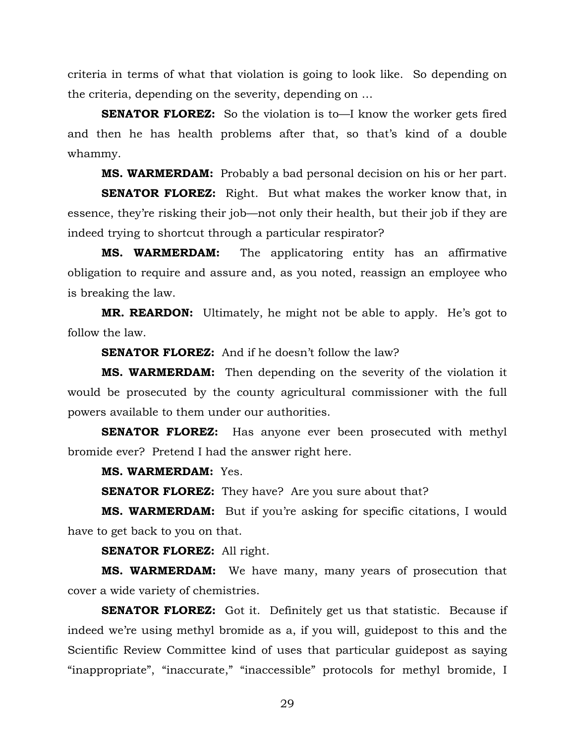criteria in terms of what that violation is going to look like. So depending on the criteria, depending on the severity, depending on …

**SENATOR FLOREZ:** So the violation is to—I know the worker gets fired and then he has health problems after that, so that's kind of a double whammy.

**MS. WARMERDAM:** Probably a bad personal decision on his or her part.

**SENATOR FLOREZ:** Right. But what makes the worker know that, in essence, they're risking their job—not only their health, but their job if they are indeed trying to shortcut through a particular respirator?

**MS. WARMERDAM:** The applicatoring entity has an affirmative obligation to require and assure and, as you noted, reassign an employee who is breaking the law.

**MR. REARDON:** Ultimately, he might not be able to apply. He's got to follow the law.

**SENATOR FLOREZ:** And if he doesn't follow the law?

**MS. WARMERDAM:** Then depending on the severity of the violation it would be prosecuted by the county agricultural commissioner with the full powers available to them under our authorities.

**SENATOR FLOREZ:** Has anyone ever been prosecuted with methyl bromide ever? Pretend I had the answer right here.

**MS. WARMERDAM:** Yes.

**SENATOR FLOREZ:** They have? Are you sure about that?

**MS. WARMERDAM:** But if you're asking for specific citations, I would have to get back to you on that.

**SENATOR FLOREZ:** All right.

**MS. WARMERDAM:** We have many, many years of prosecution that cover a wide variety of chemistries.

**SENATOR FLOREZ:** Got it. Definitely get us that statistic. Because if indeed we're using methyl bromide as a, if you will, guidepost to this and the Scientific Review Committee kind of uses that particular guidepost as saying "inappropriate", "inaccurate," "inaccessible" protocols for methyl bromide, I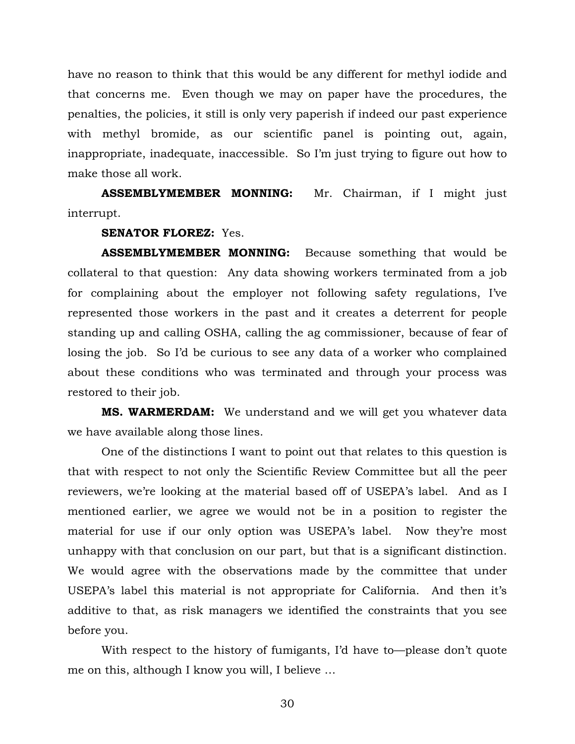have no reason to think that this would be any different for methyl iodide and that concerns me. Even though we may on paper have the procedures, the penalties, the policies, it still is only very paperish if indeed our past experience with methyl bromide, as our scientific panel is pointing out, again, inappropriate, inadequate, inaccessible. So I'm just trying to figure out how to make those all work.

**ASSEMBLYMEMBER MONNING:** Mr. Chairman, if I might just interrupt.

**SENATOR FLOREZ:** Yes.

**ASSEMBLYMEMBER MONNING:** Because something that would be collateral to that question: Any data showing workers terminated from a job for complaining about the employer not following safety regulations, I've represented those workers in the past and it creates a deterrent for people standing up and calling OSHA, calling the ag commissioner, because of fear of losing the job. So I'd be curious to see any data of a worker who complained about these conditions who was terminated and through your process was restored to their job.

**MS. WARMERDAM:** We understand and we will get you whatever data we have available along those lines.

One of the distinctions I want to point out that relates to this question is that with respect to not only the Scientific Review Committee but all the peer reviewers, we're looking at the material based off of USEPA's label. And as I mentioned earlier, we agree we would not be in a position to register the material for use if our only option was USEPA's label. Now they're most unhappy with that conclusion on our part, but that is a significant distinction. We would agree with the observations made by the committee that under USEPA's label this material is not appropriate for California. And then it's additive to that, as risk managers we identified the constraints that you see before you.

With respect to the history of fumigants, I'd have to—please don't quote me on this, although I know you will, I believe …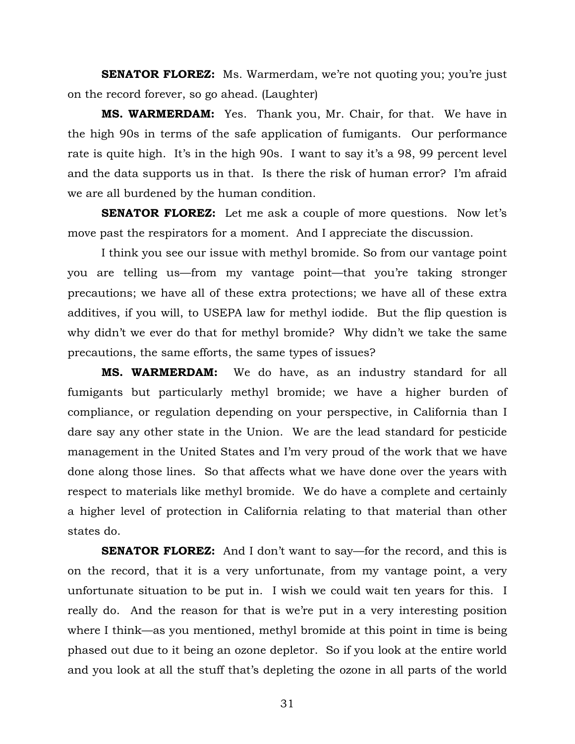**SENATOR FLOREZ:** Ms. Warmerdam, we're not quoting you; you're just on the record forever, so go ahead. (Laughter)

**MS. WARMERDAM:** Yes. Thank you, Mr. Chair, for that. We have in the high 90s in terms of the safe application of fumigants. Our performance rate is quite high. It's in the high 90s. I want to say it's a 98, 99 percent level and the data supports us in that. Is there the risk of human error? I'm afraid we are all burdened by the human condition.

**SENATOR FLOREZ:** Let me ask a couple of more questions. Now let's move past the respirators for a moment. And I appreciate the discussion.

I think you see our issue with methyl bromide. So from our vantage point you are telling us—from my vantage point—that you're taking stronger precautions; we have all of these extra protections; we have all of these extra additives, if you will, to USEPA law for methyl iodide. But the flip question is why didn't we ever do that for methyl bromide? Why didn't we take the same precautions, the same efforts, the same types of issues?

**MS. WARMERDAM:** We do have, as an industry standard for all fumigants but particularly methyl bromide; we have a higher burden of compliance, or regulation depending on your perspective, in California than I dare say any other state in the Union. We are the lead standard for pesticide management in the United States and I'm very proud of the work that we have done along those lines. So that affects what we have done over the years with respect to materials like methyl bromide. We do have a complete and certainly a higher level of protection in California relating to that material than other states do.

**SENATOR FLOREZ:** And I don't want to say—for the record, and this is on the record, that it is a very unfortunate, from my vantage point, a very unfortunate situation to be put in. I wish we could wait ten years for this. I really do. And the reason for that is we're put in a very interesting position where I think—as you mentioned, methyl bromide at this point in time is being phased out due to it being an ozone depletor. So if you look at the entire world and you look at all the stuff that's depleting the ozone in all parts of the world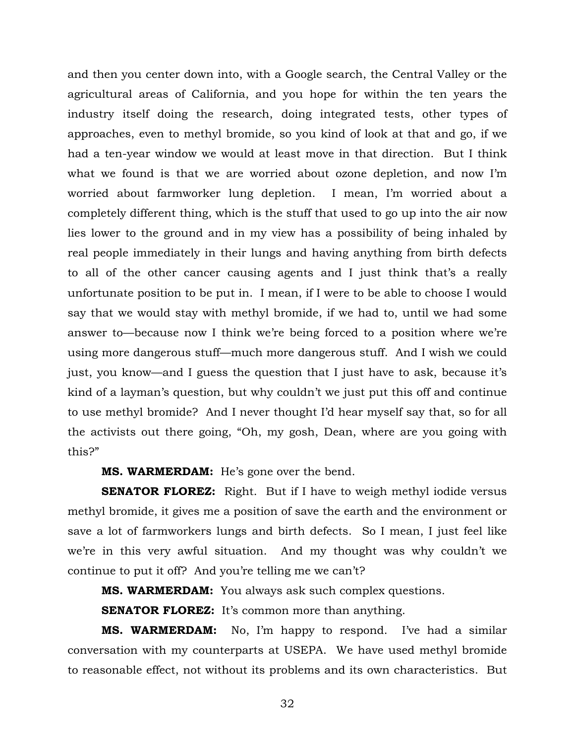and then you center down into, with a Google search, the Central Valley or the agricultural areas of California, and you hope for within the ten years the industry itself doing the research, doing integrated tests, other types of approaches, even to methyl bromide, so you kind of look at that and go, if we had a ten-year window we would at least move in that direction. But I think what we found is that we are worried about ozone depletion, and now I'm worried about farmworker lung depletion. I mean, I'm worried about a completely different thing, which is the stuff that used to go up into the air now lies lower to the ground and in my view has a possibility of being inhaled by real people immediately in their lungs and having anything from birth defects to all of the other cancer causing agents and I just think that's a really unfortunate position to be put in. I mean, if I were to be able to choose I would say that we would stay with methyl bromide, if we had to, until we had some answer to—because now I think we're being forced to a position where we're using more dangerous stuff—much more dangerous stuff. And I wish we could just, you know—and I guess the question that I just have to ask, because it's kind of a layman's question, but why couldn't we just put this off and continue to use methyl bromide? And I never thought I'd hear myself say that, so for all the activists out there going, "Oh, my gosh, Dean, where are you going with this?"

**MS. WARMERDAM:** He's gone over the bend.

**SENATOR FLOREZ:** Right. But if I have to weigh methyl iodide versus methyl bromide, it gives me a position of save the earth and the environment or save a lot of farmworkers lungs and birth defects. So I mean, I just feel like we're in this very awful situation. And my thought was why couldn't we continue to put it off? And you're telling me we can't?

**MS. WARMERDAM:** You always ask such complex questions.

**SENATOR FLOREZ:** It's common more than anything.

**MS. WARMERDAM:** No, I'm happy to respond. I've had a similar conversation with my counterparts at USEPA. We have used methyl bromide to reasonable effect, not without its problems and its own characteristics. But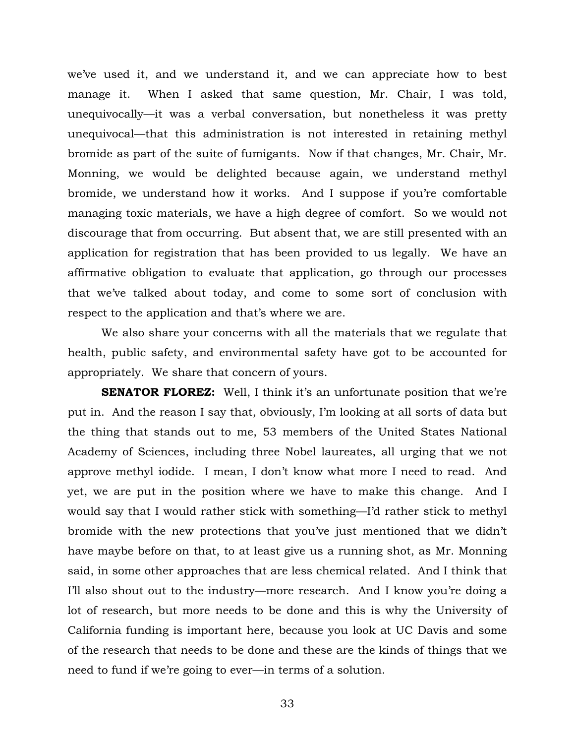we've used it, and we understand it, and we can appreciate how to best manage it. When I asked that same question, Mr. Chair, I was told, unequivocally—it was a verbal conversation, but nonetheless it was pretty unequivocal—that this administration is not interested in retaining methyl bromide as part of the suite of fumigants. Now if that changes, Mr. Chair, Mr. Monning, we would be delighted because again, we understand methyl bromide, we understand how it works. And I suppose if you're comfortable managing toxic materials, we have a high degree of comfort. So we would not discourage that from occurring. But absent that, we are still presented with an application for registration that has been provided to us legally. We have an affirmative obligation to evaluate that application, go through our processes that we've talked about today, and come to some sort of conclusion with respect to the application and that's where we are.

We also share your concerns with all the materials that we regulate that health, public safety, and environmental safety have got to be accounted for appropriately. We share that concern of yours.

**SENATOR FLOREZ:** Well, I think it's an unfortunate position that we're put in. And the reason I say that, obviously, I'm looking at all sorts of data but the thing that stands out to me, 53 members of the United States National Academy of Sciences, including three Nobel laureates, all urging that we not approve methyl iodide. I mean, I don't know what more I need to read. And yet, we are put in the position where we have to make this change. And I would say that I would rather stick with something—I'd rather stick to methyl bromide with the new protections that you've just mentioned that we didn't have maybe before on that, to at least give us a running shot, as Mr. Monning said, in some other approaches that are less chemical related. And I think that I'll also shout out to the industry—more research. And I know you're doing a lot of research, but more needs to be done and this is why the University of California funding is important here, because you look at UC Davis and some of the research that needs to be done and these are the kinds of things that we need to fund if we're going to ever—in terms of a solution.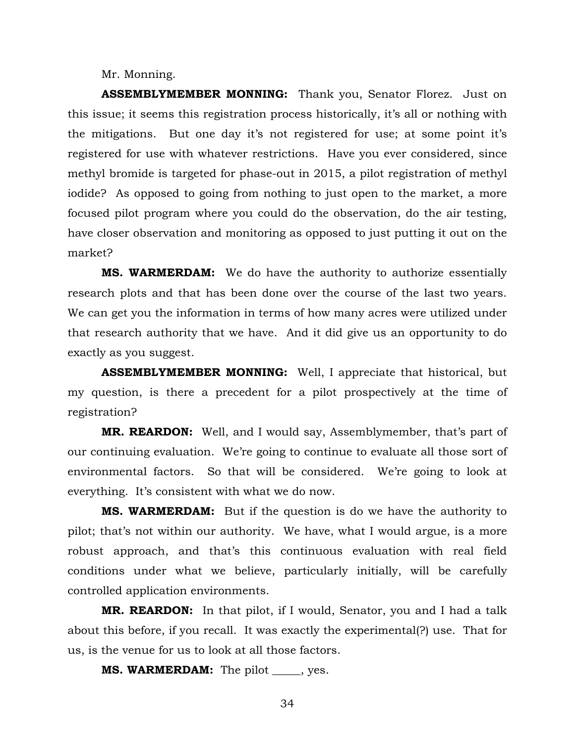Mr. Monning.

**ASSEMBLYMEMBER MONNING:** Thank you, Senator Florez. Just on this issue; it seems this registration process historically, it's all or nothing with the mitigations. But one day it's not registered for use; at some point it's registered for use with whatever restrictions. Have you ever considered, since methyl bromide is targeted for phase-out in 2015, a pilot registration of methyl iodide? As opposed to going from nothing to just open to the market, a more focused pilot program where you could do the observation, do the air testing, have closer observation and monitoring as opposed to just putting it out on the market?

**MS. WARMERDAM:** We do have the authority to authorize essentially research plots and that has been done over the course of the last two years. We can get you the information in terms of how many acres were utilized under that research authority that we have. And it did give us an opportunity to do exactly as you suggest.

**ASSEMBLYMEMBER MONNING:** Well, I appreciate that historical, but my question, is there a precedent for a pilot prospectively at the time of registration?

**MR. REARDON:** Well, and I would say, Assemblymember, that's part of our continuing evaluation. We're going to continue to evaluate all those sort of environmental factors. So that will be considered. We're going to look at everything. It's consistent with what we do now.

**MS. WARMERDAM:** But if the question is do we have the authority to pilot; that's not within our authority. We have, what I would argue, is a more robust approach, and that's this continuous evaluation with real field conditions under what we believe, particularly initially, will be carefully controlled application environments.

**MR. REARDON:** In that pilot, if I would, Senator, you and I had a talk about this before, if you recall. It was exactly the experimental(?) use. That for us, is the venue for us to look at all those factors.

**MS. WARMERDAM:** The pilot \_\_\_\_\_, yes.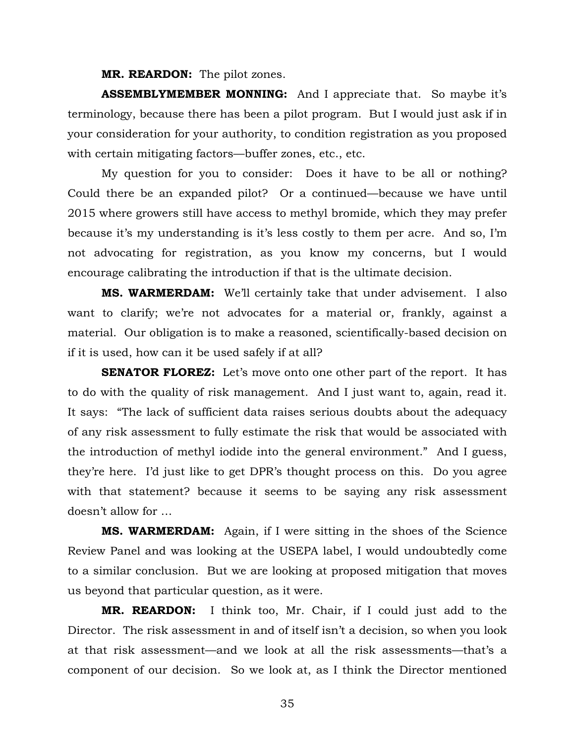**MR. REARDON:** The pilot zones.

**ASSEMBLYMEMBER MONNING:** And I appreciate that. So maybe it's terminology, because there has been a pilot program. But I would just ask if in your consideration for your authority, to condition registration as you proposed with certain mitigating factors—buffer zones, etc., etc.

My question for you to consider: Does it have to be all or nothing? Could there be an expanded pilot? Or a continued—because we have until 2015 where growers still have access to methyl bromide, which they may prefer because it's my understanding is it's less costly to them per acre. And so, I'm not advocating for registration, as you know my concerns, but I would encourage calibrating the introduction if that is the ultimate decision.

**MS. WARMERDAM:** We'll certainly take that under advisement. I also want to clarify; we're not advocates for a material or, frankly, against a material. Our obligation is to make a reasoned, scientifically-based decision on if it is used, how can it be used safely if at all?

**SENATOR FLOREZ:** Let's move onto one other part of the report. It has to do with the quality of risk management. And I just want to, again, read it. It says: "The lack of sufficient data raises serious doubts about the adequacy of any risk assessment to fully estimate the risk that would be associated with the introduction of methyl iodide into the general environment." And I guess, they're here. I'd just like to get DPR's thought process on this. Do you agree with that statement? because it seems to be saying any risk assessment doesn't allow for …

**MS. WARMERDAM:** Again, if I were sitting in the shoes of the Science Review Panel and was looking at the USEPA label, I would undoubtedly come to a similar conclusion. But we are looking at proposed mitigation that moves us beyond that particular question, as it were.

**MR. REARDON:** I think too, Mr. Chair, if I could just add to the Director. The risk assessment in and of itself isn't a decision, so when you look at that risk assessment—and we look at all the risk assessments—that's a component of our decision. So we look at, as I think the Director mentioned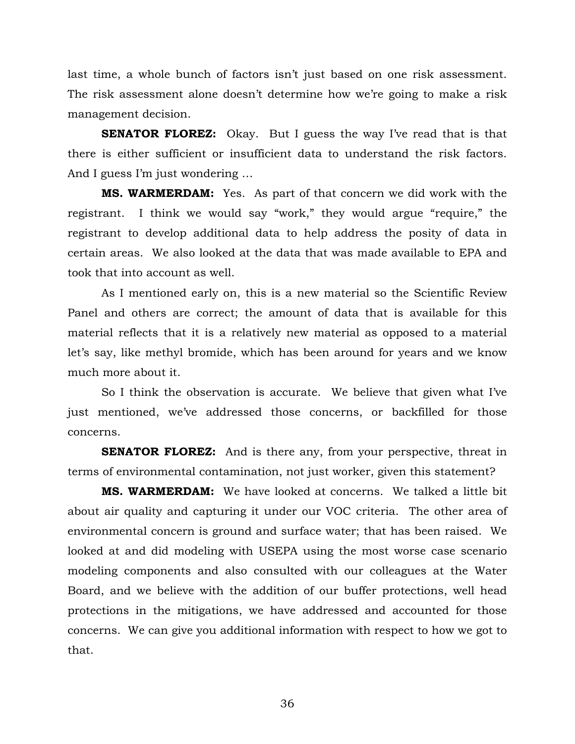last time, a whole bunch of factors isn't just based on one risk assessment. The risk assessment alone doesn't determine how we're going to make a risk management decision.

**SENATOR FLOREZ:** Okay. But I guess the way I've read that is that there is either sufficient or insufficient data to understand the risk factors. And I guess I'm just wondering …

**MS. WARMERDAM:** Yes. As part of that concern we did work with the registrant. I think we would say "work," they would argue "require," the registrant to develop additional data to help address the posity of data in certain areas. We also looked at the data that was made available to EPA and took that into account as well.

As I mentioned early on, this is a new material so the Scientific Review Panel and others are correct; the amount of data that is available for this material reflects that it is a relatively new material as opposed to a material let's say, like methyl bromide, which has been around for years and we know much more about it.

So I think the observation is accurate. We believe that given what I've just mentioned, we've addressed those concerns, or backfilled for those concerns.

**SENATOR FLOREZ:** And is there any, from your perspective, threat in terms of environmental contamination, not just worker, given this statement?

**MS. WARMERDAM:** We have looked at concerns. We talked a little bit about air quality and capturing it under our VOC criteria. The other area of environmental concern is ground and surface water; that has been raised. We looked at and did modeling with USEPA using the most worse case scenario modeling components and also consulted with our colleagues at the Water Board, and we believe with the addition of our buffer protections, well head protections in the mitigations, we have addressed and accounted for those concerns. We can give you additional information with respect to how we got to that.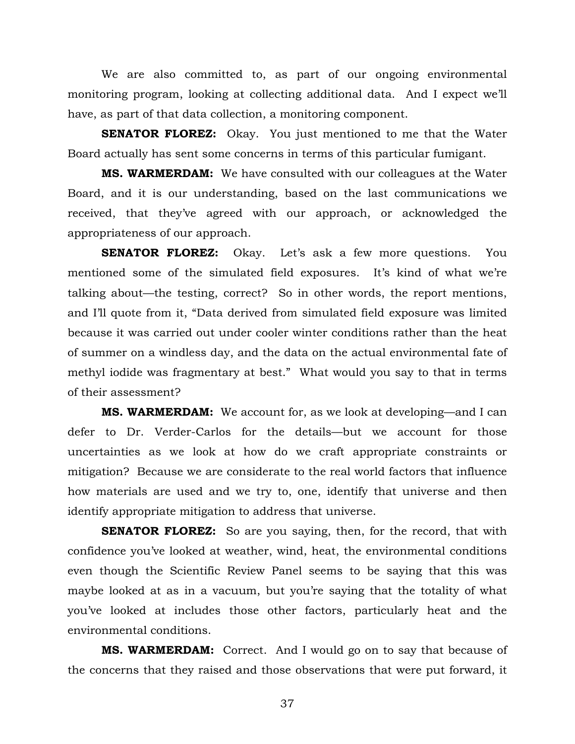We are also committed to, as part of our ongoing environmental monitoring program, looking at collecting additional data. And I expect we'll have, as part of that data collection, a monitoring component.

**SENATOR FLOREZ:** Okay. You just mentioned to me that the Water Board actually has sent some concerns in terms of this particular fumigant.

**MS. WARMERDAM:** We have consulted with our colleagues at the Water Board, and it is our understanding, based on the last communications we received, that they've agreed with our approach, or acknowledged the appropriateness of our approach.

**SENATOR FLOREZ:** Okay. Let's ask a few more questions. You mentioned some of the simulated field exposures. It's kind of what we're talking about—the testing, correct? So in other words, the report mentions, and I'll quote from it, "Data derived from simulated field exposure was limited because it was carried out under cooler winter conditions rather than the heat of summer on a windless day, and the data on the actual environmental fate of methyl iodide was fragmentary at best." What would you say to that in terms of their assessment?

**MS. WARMERDAM:** We account for, as we look at developing—and I can defer to Dr. Verder-Carlos for the details—but we account for those uncertainties as we look at how do we craft appropriate constraints or mitigation? Because we are considerate to the real world factors that influence how materials are used and we try to, one, identify that universe and then identify appropriate mitigation to address that universe.

**SENATOR FLOREZ:** So are you saying, then, for the record, that with confidence you've looked at weather, wind, heat, the environmental conditions even though the Scientific Review Panel seems to be saying that this was maybe looked at as in a vacuum, but you're saying that the totality of what you've looked at includes those other factors, particularly heat and the environmental conditions.

**MS. WARMERDAM:** Correct. And I would go on to say that because of the concerns that they raised and those observations that were put forward, it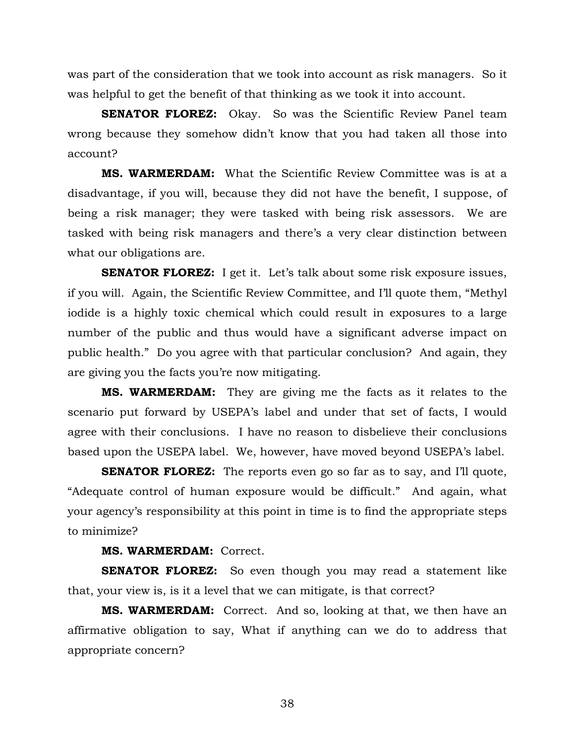was part of the consideration that we took into account as risk managers. So it was helpful to get the benefit of that thinking as we took it into account.

**SENATOR FLOREZ:** Okay. So was the Scientific Review Panel team wrong because they somehow didn't know that you had taken all those into account?

**MS. WARMERDAM:** What the Scientific Review Committee was is at a disadvantage, if you will, because they did not have the benefit, I suppose, of being a risk manager; they were tasked with being risk assessors. We are tasked with being risk managers and there's a very clear distinction between what our obligations are.

**SENATOR FLOREZ:** I get it. Let's talk about some risk exposure issues, if you will. Again, the Scientific Review Committee, and I'll quote them, "Methyl iodide is a highly toxic chemical which could result in exposures to a large number of the public and thus would have a significant adverse impact on public health." Do you agree with that particular conclusion? And again, they are giving you the facts you're now mitigating.

**MS. WARMERDAM:** They are giving me the facts as it relates to the scenario put forward by USEPA's label and under that set of facts, I would agree with their conclusions. I have no reason to disbelieve their conclusions based upon the USEPA label. We, however, have moved beyond USEPA's label.

**SENATOR FLOREZ:** The reports even go so far as to say, and I'll quote, "Adequate control of human exposure would be difficult." And again, what your agency's responsibility at this point in time is to find the appropriate steps to minimize?

## **MS. WARMERDAM:** Correct.

**SENATOR FLOREZ:** So even though you may read a statement like that, your view is, is it a level that we can mitigate, is that correct?

**MS. WARMERDAM:** Correct. And so, looking at that, we then have an affirmative obligation to say, What if anything can we do to address that appropriate concern?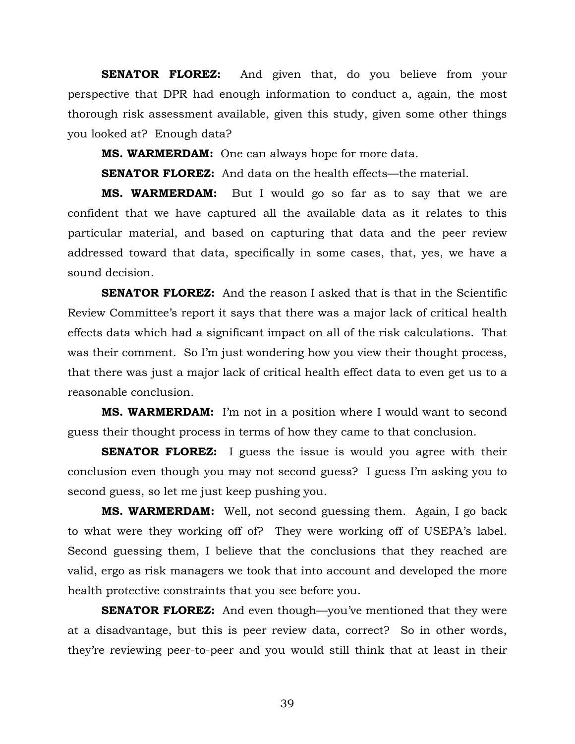**SENATOR FLOREZ:** And given that, do you believe from your perspective that DPR had enough information to conduct a, again, the most thorough risk assessment available, given this study, given some other things you looked at? Enough data?

**MS. WARMERDAM:** One can always hope for more data.

**SENATOR FLOREZ:** And data on the health effects—the material.

**MS. WARMERDAM:** But I would go so far as to say that we are confident that we have captured all the available data as it relates to this particular material, and based on capturing that data and the peer review addressed toward that data, specifically in some cases, that, yes, we have a sound decision.

**SENATOR FLOREZ:** And the reason I asked that is that in the Scientific Review Committee's report it says that there was a major lack of critical health effects data which had a significant impact on all of the risk calculations. That was their comment. So I'm just wondering how you view their thought process, that there was just a major lack of critical health effect data to even get us to a reasonable conclusion.

**MS. WARMERDAM:** I'm not in a position where I would want to second guess their thought process in terms of how they came to that conclusion.

**SENATOR FLOREZ:** I guess the issue is would you agree with their conclusion even though you may not second guess? I guess I'm asking you to second guess, so let me just keep pushing you.

**MS. WARMERDAM:** Well, not second guessing them. Again, I go back to what were they working off of? They were working off of USEPA's label. Second guessing them, I believe that the conclusions that they reached are valid, ergo as risk managers we took that into account and developed the more health protective constraints that you see before you.

**SENATOR FLOREZ:** And even though—you've mentioned that they were at a disadvantage, but this is peer review data, correct? So in other words, they're reviewing peer-to-peer and you would still think that at least in their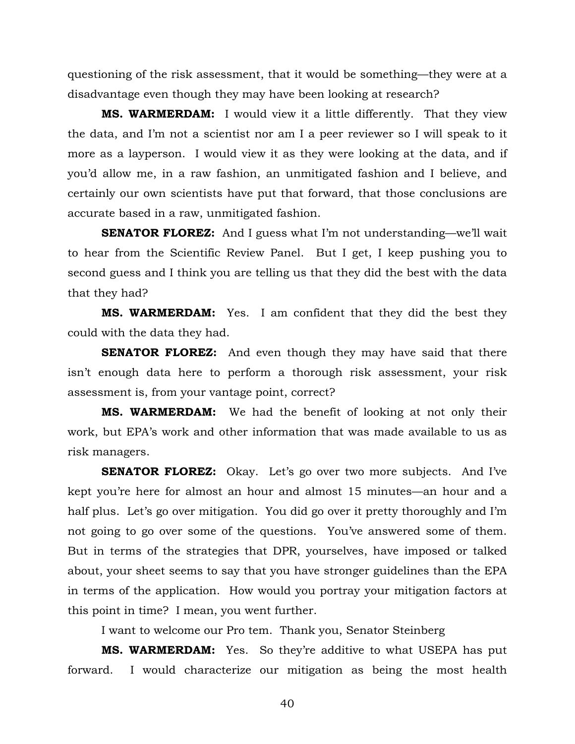questioning of the risk assessment, that it would be something—they were at a disadvantage even though they may have been looking at research?

**MS. WARMERDAM:** I would view it a little differently. That they view the data, and I'm not a scientist nor am I a peer reviewer so I will speak to it more as a layperson. I would view it as they were looking at the data, and if you'd allow me, in a raw fashion, an unmitigated fashion and I believe, and certainly our own scientists have put that forward, that those conclusions are accurate based in a raw, unmitigated fashion.

**SENATOR FLOREZ:** And I guess what I'm not understanding—we'll wait to hear from the Scientific Review Panel. But I get, I keep pushing you to second guess and I think you are telling us that they did the best with the data that they had?

**MS. WARMERDAM:** Yes. I am confident that they did the best they could with the data they had.

**SENATOR FLOREZ:** And even though they may have said that there isn't enough data here to perform a thorough risk assessment, your risk assessment is, from your vantage point, correct?

**MS. WARMERDAM:** We had the benefit of looking at not only their work, but EPA's work and other information that was made available to us as risk managers.

**SENATOR FLOREZ:** Okay. Let's go over two more subjects. And I've kept you're here for almost an hour and almost 15 minutes—an hour and a half plus. Let's go over mitigation. You did go over it pretty thoroughly and I'm not going to go over some of the questions. You've answered some of them. But in terms of the strategies that DPR, yourselves, have imposed or talked about, your sheet seems to say that you have stronger guidelines than the EPA in terms of the application. How would you portray your mitigation factors at this point in time? I mean, you went further.

I want to welcome our Pro tem. Thank you, Senator Steinberg

**MS. WARMERDAM:** Yes. So they're additive to what USEPA has put forward. I would characterize our mitigation as being the most health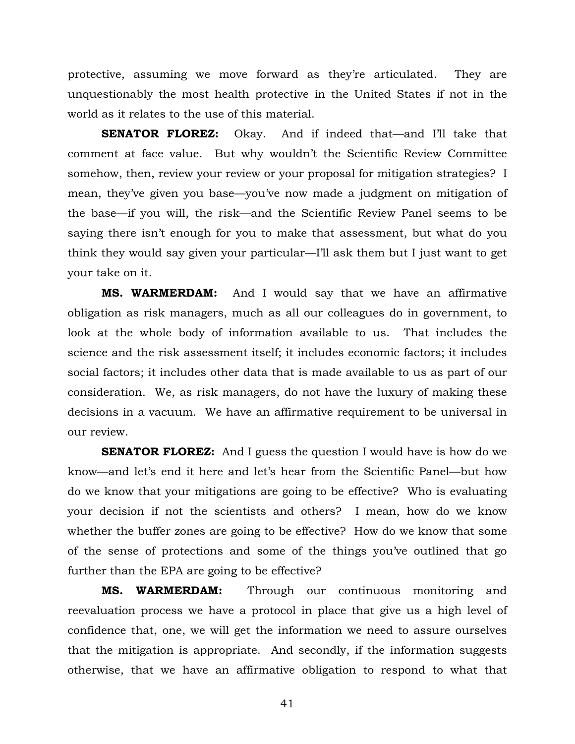protective, assuming we move forward as they're articulated. They are unquestionably the most health protective in the United States if not in the world as it relates to the use of this material.

**SENATOR FLOREZ:** Okay. And if indeed that—and I'll take that comment at face value. But why wouldn't the Scientific Review Committee somehow, then, review your review or your proposal for mitigation strategies? I mean, they've given you base—you've now made a judgment on mitigation of the base—if you will, the risk—and the Scientific Review Panel seems to be saying there isn't enough for you to make that assessment, but what do you think they would say given your particular—I'll ask them but I just want to get your take on it.

**MS. WARMERDAM:** And I would say that we have an affirmative obligation as risk managers, much as all our colleagues do in government, to look at the whole body of information available to us. That includes the science and the risk assessment itself; it includes economic factors; it includes social factors; it includes other data that is made available to us as part of our consideration. We, as risk managers, do not have the luxury of making these decisions in a vacuum. We have an affirmative requirement to be universal in our review.

**SENATOR FLOREZ:** And I guess the question I would have is how do we know—and let's end it here and let's hear from the Scientific Panel—but how do we know that your mitigations are going to be effective? Who is evaluating your decision if not the scientists and others? I mean, how do we know whether the buffer zones are going to be effective? How do we know that some of the sense of protections and some of the things you've outlined that go further than the EPA are going to be effective?

**MS. WARMERDAM:** Through our continuous monitoring and reevaluation process we have a protocol in place that give us a high level of confidence that, one, we will get the information we need to assure ourselves that the mitigation is appropriate. And secondly, if the information suggests otherwise, that we have an affirmative obligation to respond to what that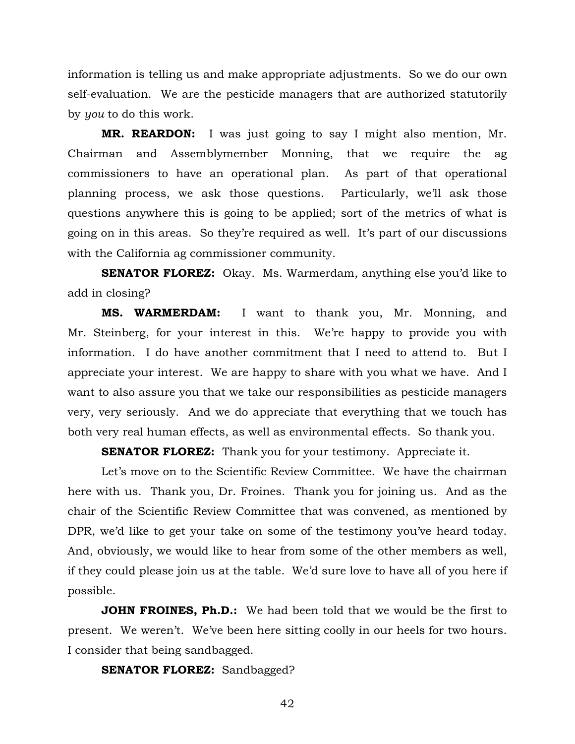information is telling us and make appropriate adjustments. So we do our own self-evaluation. We are the pesticide managers that are authorized statutorily by *you* to do this work.

**MR. REARDON:** I was just going to say I might also mention, Mr. Chairman and Assemblymember Monning, that we require the ag commissioners to have an operational plan. As part of that operational planning process, we ask those questions. Particularly, we'll ask those questions anywhere this is going to be applied; sort of the metrics of what is going on in this areas. So they're required as well. It's part of our discussions with the California ag commissioner community.

**SENATOR FLOREZ:** Okay. Ms. Warmerdam, anything else you'd like to add in closing?

**MS. WARMERDAM:** I want to thank you, Mr. Monning, and Mr. Steinberg, for your interest in this. We're happy to provide you with information. I do have another commitment that I need to attend to. But I appreciate your interest. We are happy to share with you what we have. And I want to also assure you that we take our responsibilities as pesticide managers very, very seriously. And we do appreciate that everything that we touch has both very real human effects, as well as environmental effects. So thank you.

**SENATOR FLOREZ:** Thank you for your testimony. Appreciate it.

Let's move on to the Scientific Review Committee. We have the chairman here with us. Thank you, Dr. Froines. Thank you for joining us. And as the chair of the Scientific Review Committee that was convened, as mentioned by DPR, we'd like to get your take on some of the testimony you've heard today. And, obviously, we would like to hear from some of the other members as well, if they could please join us at the table. We'd sure love to have all of you here if possible.

**JOHN FROINES, Ph.D.:** We had been told that we would be the first to present. We weren't. We've been here sitting coolly in our heels for two hours. I consider that being sandbagged.

**SENATOR FLOREZ:** Sandbagged?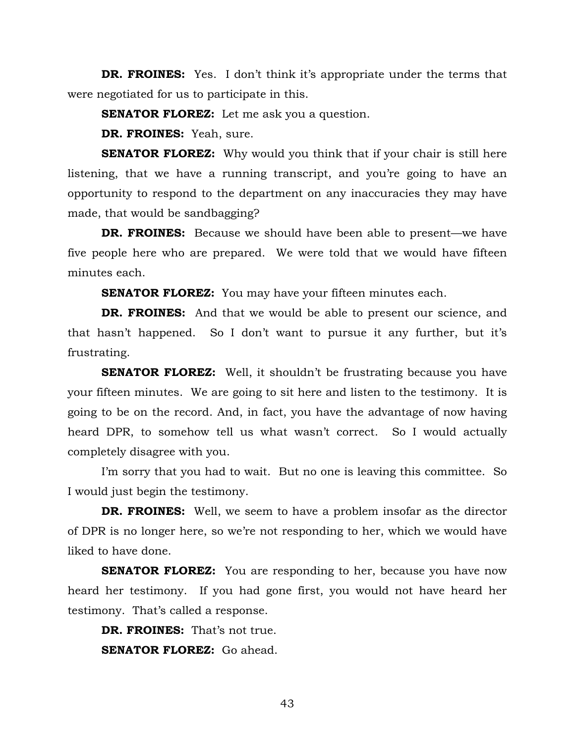**DR. FROINES:** Yes. I don't think it's appropriate under the terms that were negotiated for us to participate in this.

**SENATOR FLOREZ:** Let me ask you a question.

**DR. FROINES:** Yeah, sure.

**SENATOR FLOREZ:** Why would you think that if your chair is still here listening, that we have a running transcript, and you're going to have an opportunity to respond to the department on any inaccuracies they may have made, that would be sandbagging?

**DR. FROINES:** Because we should have been able to present—we have five people here who are prepared. We were told that we would have fifteen minutes each.

**SENATOR FLOREZ:** You may have your fifteen minutes each.

**DR. FROINES:** And that we would be able to present our science, and that hasn't happened. So I don't want to pursue it any further, but it's frustrating.

**SENATOR FLOREZ:** Well, it shouldn't be frustrating because you have your fifteen minutes. We are going to sit here and listen to the testimony. It is going to be on the record. And, in fact, you have the advantage of now having heard DPR, to somehow tell us what wasn't correct. So I would actually completely disagree with you.

I'm sorry that you had to wait. But no one is leaving this committee. So I would just begin the testimony.

**DR. FROINES:** Well, we seem to have a problem insofar as the director of DPR is no longer here, so we're not responding to her, which we would have liked to have done.

**SENATOR FLOREZ:** You are responding to her, because you have now heard her testimony. If you had gone first, you would not have heard her testimony. That's called a response.

**DR. FROINES:** That's not true. **SENATOR FLOREZ:** Go ahead.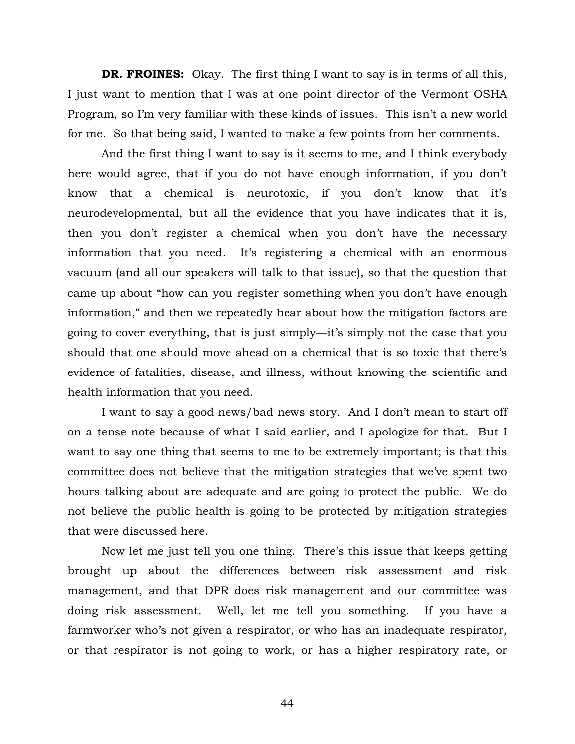**DR. FROINES:** Okay. The first thing I want to say is in terms of all this, I just want to mention that I was at one point director of the Vermont OSHA Program, so I'm very familiar with these kinds of issues. This isn't a new world for me. So that being said, I wanted to make a few points from her comments.

And the first thing I want to say is it seems to me, and I think everybody here would agree, that if you do not have enough information, if you don't know that a chemical is neurotoxic, if you don't know that it's neurodevelopmental, but all the evidence that you have indicates that it is, then you don't register a chemical when you don't have the necessary information that you need. It's registering a chemical with an enormous vacuum (and all our speakers will talk to that issue), so that the question that came up about "how can you register something when you don't have enough information," and then we repeatedly hear about how the mitigation factors are going to cover everything, that is just simply—it's simply not the case that you should that one should move ahead on a chemical that is so toxic that there's evidence of fatalities, disease, and illness, without knowing the scientific and health information that you need.

I want to say a good news/bad news story. And I don't mean to start off on a tense note because of what I said earlier, and I apologize for that. But I want to say one thing that seems to me to be extremely important; is that this committee does not believe that the mitigation strategies that we've spent two hours talking about are adequate and are going to protect the public. We do not believe the public health is going to be protected by mitigation strategies that were discussed here.

Now let me just tell you one thing. There's this issue that keeps getting brought up about the differences between risk assessment and risk management, and that DPR does risk management and our committee was doing risk assessment. Well, let me tell you something. If you have a farmworker who's not given a respirator, or who has an inadequate respirator, or that respirator is not going to work, or has a higher respiratory rate, or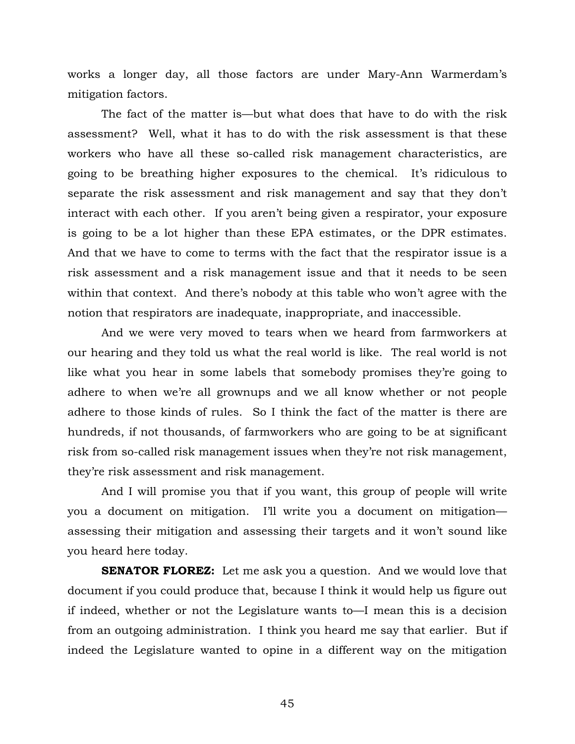works a longer day, all those factors are under Mary-Ann Warmerdam's mitigation factors.

The fact of the matter is—but what does that have to do with the risk assessment? Well, what it has to do with the risk assessment is that these workers who have all these so-called risk management characteristics, are going to be breathing higher exposures to the chemical. It's ridiculous to separate the risk assessment and risk management and say that they don't interact with each other. If you aren't being given a respirator, your exposure is going to be a lot higher than these EPA estimates, or the DPR estimates. And that we have to come to terms with the fact that the respirator issue is a risk assessment and a risk management issue and that it needs to be seen within that context. And there's nobody at this table who won't agree with the notion that respirators are inadequate, inappropriate, and inaccessible.

And we were very moved to tears when we heard from farmworkers at our hearing and they told us what the real world is like. The real world is not like what you hear in some labels that somebody promises they're going to adhere to when we're all grownups and we all know whether or not people adhere to those kinds of rules. So I think the fact of the matter is there are hundreds, if not thousands, of farmworkers who are going to be at significant risk from so-called risk management issues when they're not risk management, they're risk assessment and risk management.

And I will promise you that if you want, this group of people will write you a document on mitigation. I'll write you a document on mitigation assessing their mitigation and assessing their targets and it won't sound like you heard here today.

**SENATOR FLOREZ:** Let me ask you a question. And we would love that document if you could produce that, because I think it would help us figure out if indeed, whether or not the Legislature wants to—I mean this is a decision from an outgoing administration. I think you heard me say that earlier. But if indeed the Legislature wanted to opine in a different way on the mitigation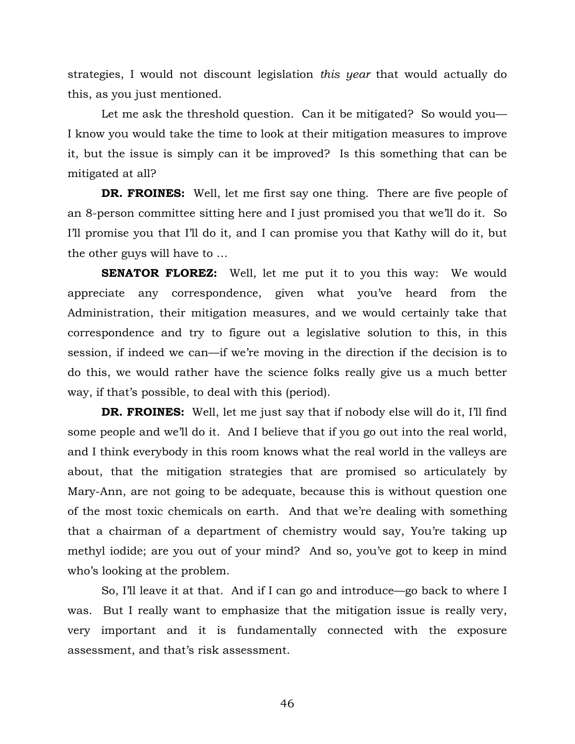strategies, I would not discount legislation *this year* that would actually do this, as you just mentioned.

Let me ask the threshold question. Can it be mitigated? So would you— I know you would take the time to look at their mitigation measures to improve it, but the issue is simply can it be improved? Is this something that can be mitigated at all?

**DR. FROINES:** Well, let me first say one thing. There are five people of an 8-person committee sitting here and I just promised you that we'll do it. So I'll promise you that I'll do it, and I can promise you that Kathy will do it, but the other guys will have to …

**SENATOR FLOREZ:** Well, let me put it to you this way: We would appreciate any correspondence, given what you've heard from the Administration, their mitigation measures, and we would certainly take that correspondence and try to figure out a legislative solution to this, in this session, if indeed we can—if we're moving in the direction if the decision is to do this, we would rather have the science folks really give us a much better way, if that's possible, to deal with this (period).

**DR. FROINES:** Well, let me just say that if nobody else will do it, I'll find some people and we'll do it. And I believe that if you go out into the real world, and I think everybody in this room knows what the real world in the valleys are about, that the mitigation strategies that are promised so articulately by Mary-Ann, are not going to be adequate, because this is without question one of the most toxic chemicals on earth. And that we're dealing with something that a chairman of a department of chemistry would say, You're taking up methyl iodide; are you out of your mind? And so, you've got to keep in mind who's looking at the problem.

So, I'll leave it at that. And if I can go and introduce—go back to where I was. But I really want to emphasize that the mitigation issue is really very, very important and it is fundamentally connected with the exposure assessment, and that's risk assessment.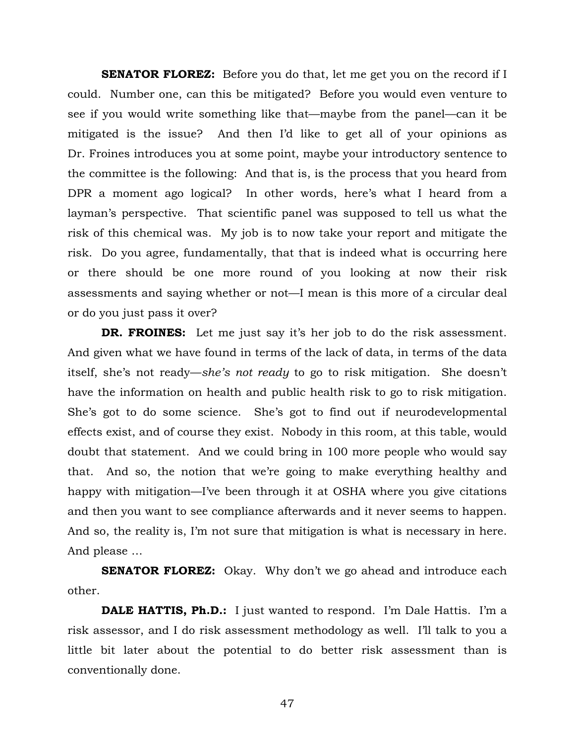**SENATOR FLOREZ:** Before you do that, let me get you on the record if I could. Number one, can this be mitigated? Before you would even venture to see if you would write something like that—maybe from the panel—can it be mitigated is the issue? And then I'd like to get all of your opinions as Dr. Froines introduces you at some point, maybe your introductory sentence to the committee is the following: And that is, is the process that you heard from DPR a moment ago logical? In other words, here's what I heard from a layman's perspective. That scientific panel was supposed to tell us what the risk of this chemical was. My job is to now take your report and mitigate the risk. Do you agree, fundamentally, that that is indeed what is occurring here or there should be one more round of you looking at now their risk assessments and saying whether or not—I mean is this more of a circular deal or do you just pass it over?

**DR. FROINES:** Let me just say it's her job to do the risk assessment. And given what we have found in terms of the lack of data, in terms of the data itself, she's not ready—*she's not ready* to go to risk mitigation. She doesn't have the information on health and public health risk to go to risk mitigation. She's got to do some science. She's got to find out if neurodevelopmental effects exist, and of course they exist. Nobody in this room, at this table, would doubt that statement. And we could bring in 100 more people who would say that. And so, the notion that we're going to make everything healthy and happy with mitigation—I've been through it at OSHA where you give citations and then you want to see compliance afterwards and it never seems to happen. And so, the reality is, I'm not sure that mitigation is what is necessary in here. And please …

**SENATOR FLOREZ:** Okay. Why don't we go ahead and introduce each other.

**DALE HATTIS, Ph.D.:** I just wanted to respond. I'm Dale Hattis. I'm a risk assessor, and I do risk assessment methodology as well. I'll talk to you a little bit later about the potential to do better risk assessment than is conventionally done.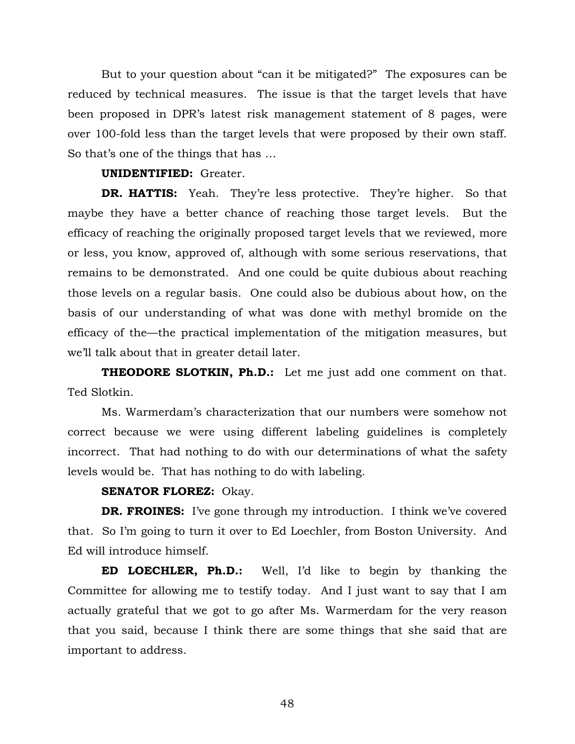But to your question about "can it be mitigated?" The exposures can be reduced by technical measures. The issue is that the target levels that have been proposed in DPR's latest risk management statement of 8 pages, were over 100-fold less than the target levels that were proposed by their own staff. So that's one of the things that has …

## **UNIDENTIFIED:** Greater.

**DR. HATTIS:** Yeah. They're less protective. They're higher. So that maybe they have a better chance of reaching those target levels. But the efficacy of reaching the originally proposed target levels that we reviewed, more or less, you know, approved of, although with some serious reservations, that remains to be demonstrated. And one could be quite dubious about reaching those levels on a regular basis. One could also be dubious about how, on the basis of our understanding of what was done with methyl bromide on the efficacy of the—the practical implementation of the mitigation measures, but we'll talk about that in greater detail later.

**THEODORE SLOTKIN, Ph.D.:** Let me just add one comment on that. Ted Slotkin.

Ms. Warmerdam's characterization that our numbers were somehow not correct because we were using different labeling guidelines is completely incorrect. That had nothing to do with our determinations of what the safety levels would be. That has nothing to do with labeling.

**SENATOR FLOREZ:** Okay.

**DR. FROINES:** I've gone through my introduction. I think we've covered that. So I'm going to turn it over to Ed Loechler, from Boston University. And Ed will introduce himself.

**ED LOECHLER, Ph.D.:** Well, I'd like to begin by thanking the Committee for allowing me to testify today. And I just want to say that I am actually grateful that we got to go after Ms. Warmerdam for the very reason that you said, because I think there are some things that she said that are important to address.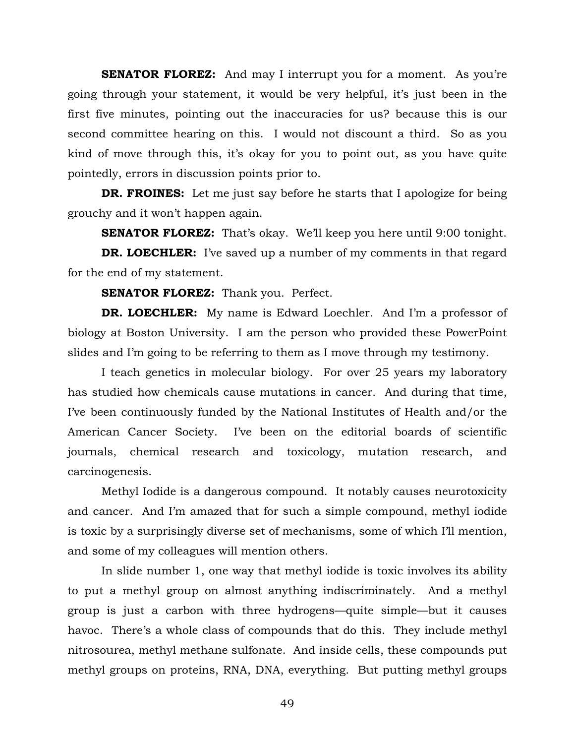**SENATOR FLOREZ:** And may I interrupt you for a moment. As you're going through your statement, it would be very helpful, it's just been in the first five minutes, pointing out the inaccuracies for us? because this is our second committee hearing on this. I would not discount a third. So as you kind of move through this, it's okay for you to point out, as you have quite pointedly, errors in discussion points prior to.

**DR. FROINES:** Let me just say before he starts that I apologize for being grouchy and it won't happen again.

**SENATOR FLOREZ:** That's okay. We'll keep you here until 9:00 tonight.

**DR. LOECHLER:** I've saved up a number of my comments in that regard for the end of my statement.

**SENATOR FLOREZ:** Thank you. Perfect.

**DR. LOECHLER:** My name is Edward Loechler. And I'm a professor of biology at Boston University. I am the person who provided these PowerPoint slides and I'm going to be referring to them as I move through my testimony.

I teach genetics in molecular biology. For over 25 years my laboratory has studied how chemicals cause mutations in cancer. And during that time, I've been continuously funded by the National Institutes of Health and/or the American Cancer Society. I've been on the editorial boards of scientific journals, chemical research and toxicology, mutation research, and carcinogenesis.

Methyl Iodide is a dangerous compound. It notably causes neurotoxicity and cancer. And I'm amazed that for such a simple compound, methyl iodide is toxic by a surprisingly diverse set of mechanisms, some of which I'll mention, and some of my colleagues will mention others.

In slide number 1, one way that methyl iodide is toxic involves its ability to put a methyl group on almost anything indiscriminately. And a methyl group is just a carbon with three hydrogens—quite simple—but it causes havoc. There's a whole class of compounds that do this. They include methyl nitrosourea, methyl methane sulfonate. And inside cells, these compounds put methyl groups on proteins, RNA, DNA, everything. But putting methyl groups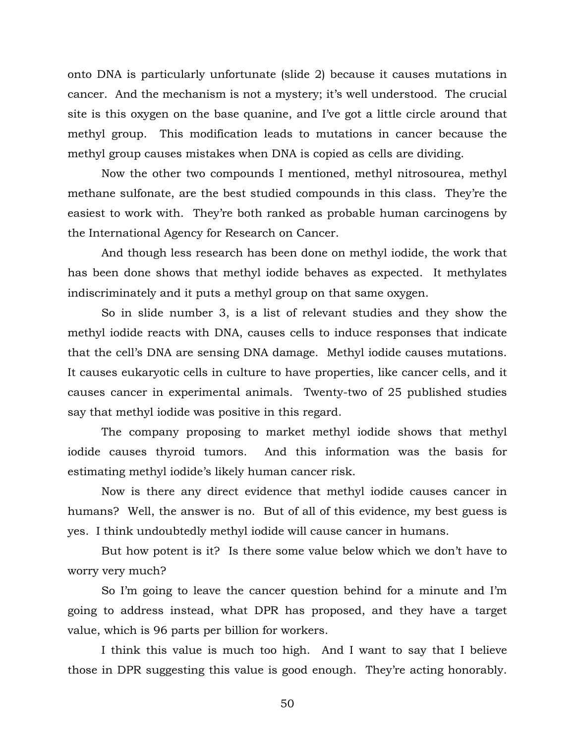onto DNA is particularly unfortunate (slide 2) because it causes mutations in cancer. And the mechanism is not a mystery; it's well understood. The crucial site is this oxygen on the base quanine, and I've got a little circle around that methyl group. This modification leads to mutations in cancer because the methyl group causes mistakes when DNA is copied as cells are dividing.

Now the other two compounds I mentioned, methyl nitrosourea, methyl methane sulfonate, are the best studied compounds in this class. They're the easiest to work with. They're both ranked as probable human carcinogens by the International Agency for Research on Cancer.

And though less research has been done on methyl iodide, the work that has been done shows that methyl iodide behaves as expected. It methylates indiscriminately and it puts a methyl group on that same oxygen.

So in slide number 3, is a list of relevant studies and they show the methyl iodide reacts with DNA, causes cells to induce responses that indicate that the cell's DNA are sensing DNA damage. Methyl iodide causes mutations. It causes eukaryotic cells in culture to have properties, like cancer cells, and it causes cancer in experimental animals. Twenty-two of 25 published studies say that methyl iodide was positive in this regard.

The company proposing to market methyl iodide shows that methyl iodide causes thyroid tumors. And this information was the basis for estimating methyl iodide's likely human cancer risk.

Now is there any direct evidence that methyl iodide causes cancer in humans? Well, the answer is no. But of all of this evidence, my best guess is yes. I think undoubtedly methyl iodide will cause cancer in humans.

But how potent is it? Is there some value below which we don't have to worry very much?

So I'm going to leave the cancer question behind for a minute and I'm going to address instead, what DPR has proposed, and they have a target value, which is 96 parts per billion for workers.

I think this value is much too high. And I want to say that I believe those in DPR suggesting this value is good enough. They're acting honorably.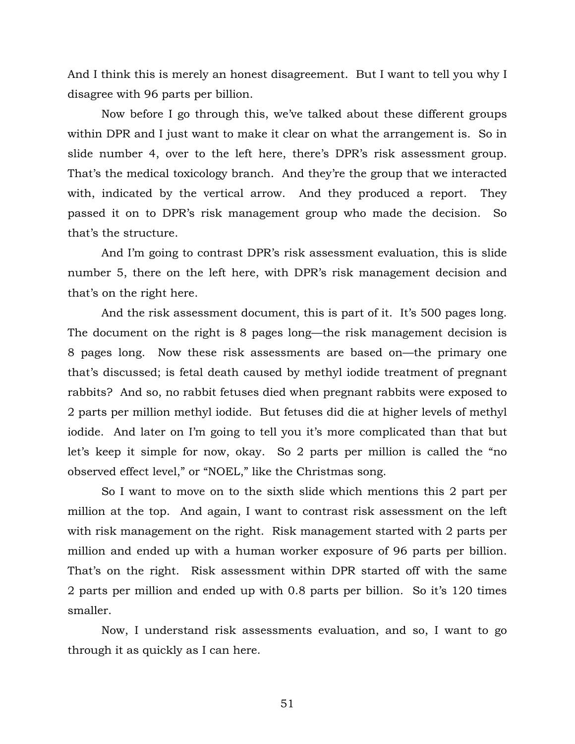And I think this is merely an honest disagreement. But I want to tell you why I disagree with 96 parts per billion.

Now before I go through this, we've talked about these different groups within DPR and I just want to make it clear on what the arrangement is. So in slide number 4, over to the left here, there's DPR's risk assessment group. That's the medical toxicology branch. And they're the group that we interacted with, indicated by the vertical arrow. And they produced a report. They passed it on to DPR's risk management group who made the decision. So that's the structure.

And I'm going to contrast DPR's risk assessment evaluation, this is slide number 5, there on the left here, with DPR's risk management decision and that's on the right here.

And the risk assessment document, this is part of it. It's 500 pages long. The document on the right is 8 pages long—the risk management decision is 8 pages long. Now these risk assessments are based on—the primary one that's discussed; is fetal death caused by methyl iodide treatment of pregnant rabbits? And so, no rabbit fetuses died when pregnant rabbits were exposed to 2 parts per million methyl iodide. But fetuses did die at higher levels of methyl iodide. And later on I'm going to tell you it's more complicated than that but let's keep it simple for now, okay. So 2 parts per million is called the "no observed effect level," or "NOEL," like the Christmas song.

So I want to move on to the sixth slide which mentions this 2 part per million at the top. And again, I want to contrast risk assessment on the left with risk management on the right. Risk management started with 2 parts per million and ended up with a human worker exposure of 96 parts per billion. That's on the right. Risk assessment within DPR started off with the same 2 parts per million and ended up with 0.8 parts per billion. So it's 120 times smaller.

Now, I understand risk assessments evaluation, and so, I want to go through it as quickly as I can here.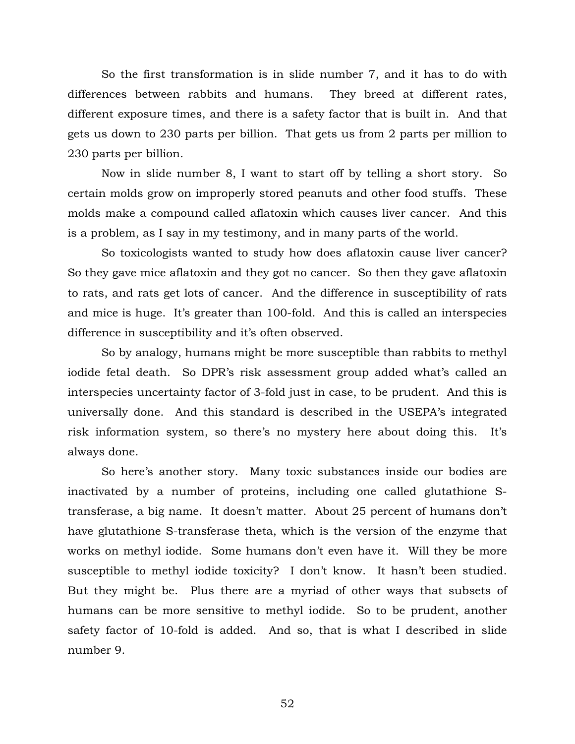So the first transformation is in slide number 7, and it has to do with differences between rabbits and humans. They breed at different rates, different exposure times, and there is a safety factor that is built in. And that gets us down to 230 parts per billion. That gets us from 2 parts per million to 230 parts per billion.

Now in slide number 8, I want to start off by telling a short story. So certain molds grow on improperly stored peanuts and other food stuffs. These molds make a compound called aflatoxin which causes liver cancer. And this is a problem, as I say in my testimony, and in many parts of the world.

So toxicologists wanted to study how does aflatoxin cause liver cancer? So they gave mice aflatoxin and they got no cancer. So then they gave aflatoxin to rats, and rats get lots of cancer. And the difference in susceptibility of rats and mice is huge. It's greater than 100-fold. And this is called an interspecies difference in susceptibility and it's often observed.

So by analogy, humans might be more susceptible than rabbits to methyl iodide fetal death. So DPR's risk assessment group added what's called an interspecies uncertainty factor of 3-fold just in case, to be prudent. And this is universally done. And this standard is described in the USEPA's integrated risk information system, so there's no mystery here about doing this. It's always done.

So here's another story. Many toxic substances inside our bodies are inactivated by a number of proteins, including one called glutathione Stransferase, a big name. It doesn't matter. About 25 percent of humans don't have glutathione S-transferase theta, which is the version of the enzyme that works on methyl iodide. Some humans don't even have it. Will they be more susceptible to methyl iodide toxicity? I don't know. It hasn't been studied. But they might be. Plus there are a myriad of other ways that subsets of humans can be more sensitive to methyl iodide. So to be prudent, another safety factor of 10-fold is added. And so, that is what I described in slide number 9.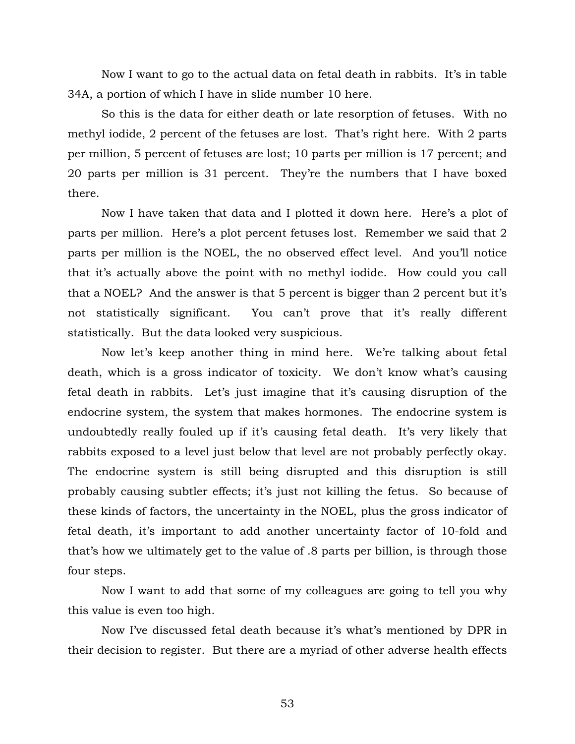Now I want to go to the actual data on fetal death in rabbits. It's in table 34A, a portion of which I have in slide number 10 here.

So this is the data for either death or late resorption of fetuses. With no methyl iodide, 2 percent of the fetuses are lost. That's right here. With 2 parts per million, 5 percent of fetuses are lost; 10 parts per million is 17 percent; and 20 parts per million is 31 percent. They're the numbers that I have boxed there.

Now I have taken that data and I plotted it down here. Here's a plot of parts per million. Here's a plot percent fetuses lost. Remember we said that 2 parts per million is the NOEL, the no observed effect level. And you'll notice that it's actually above the point with no methyl iodide. How could you call that a NOEL? And the answer is that 5 percent is bigger than 2 percent but it's not statistically significant. You can't prove that it's really different statistically. But the data looked very suspicious.

Now let's keep another thing in mind here. We're talking about fetal death, which is a gross indicator of toxicity. We don't know what's causing fetal death in rabbits. Let's just imagine that it's causing disruption of the endocrine system, the system that makes hormones. The endocrine system is undoubtedly really fouled up if it's causing fetal death. It's very likely that rabbits exposed to a level just below that level are not probably perfectly okay. The endocrine system is still being disrupted and this disruption is still probably causing subtler effects; it's just not killing the fetus. So because of these kinds of factors, the uncertainty in the NOEL, plus the gross indicator of fetal death, it's important to add another uncertainty factor of 10-fold and that's how we ultimately get to the value of .8 parts per billion, is through those four steps.

Now I want to add that some of my colleagues are going to tell you why this value is even too high.

Now I've discussed fetal death because it's what's mentioned by DPR in their decision to register. But there are a myriad of other adverse health effects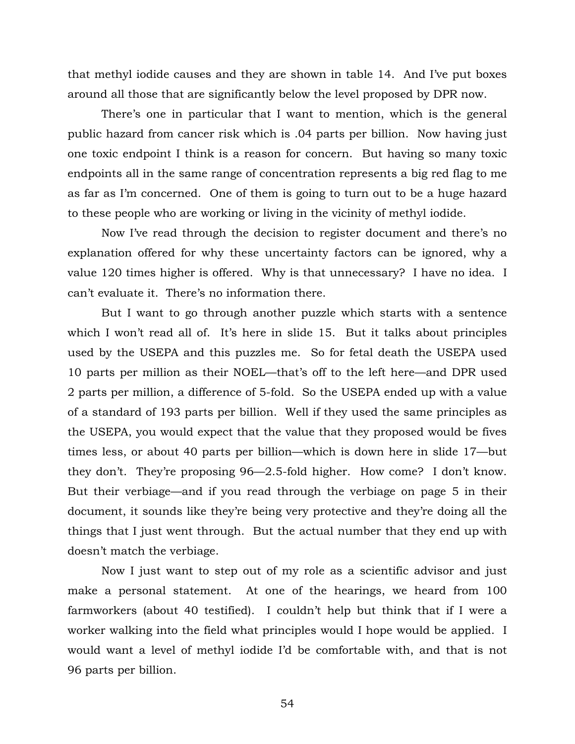that methyl iodide causes and they are shown in table 14. And I've put boxes around all those that are significantly below the level proposed by DPR now.

There's one in particular that I want to mention, which is the general public hazard from cancer risk which is .04 parts per billion. Now having just one toxic endpoint I think is a reason for concern. But having so many toxic endpoints all in the same range of concentration represents a big red flag to me as far as I'm concerned. One of them is going to turn out to be a huge hazard to these people who are working or living in the vicinity of methyl iodide.

Now I've read through the decision to register document and there's no explanation offered for why these uncertainty factors can be ignored, why a value 120 times higher is offered. Why is that unnecessary? I have no idea. I can't evaluate it. There's no information there.

But I want to go through another puzzle which starts with a sentence which I won't read all of. It's here in slide 15. But it talks about principles used by the USEPA and this puzzles me. So for fetal death the USEPA used 10 parts per million as their NOEL—that's off to the left here—and DPR used 2 parts per million, a difference of 5-fold. So the USEPA ended up with a value of a standard of 193 parts per billion. Well if they used the same principles as the USEPA, you would expect that the value that they proposed would be fives times less, or about 40 parts per billion—which is down here in slide 17—but they don't. They're proposing 96—2.5-fold higher. How come? I don't know. But their verbiage—and if you read through the verbiage on page 5 in their document, it sounds like they're being very protective and they're doing all the things that I just went through. But the actual number that they end up with doesn't match the verbiage.

Now I just want to step out of my role as a scientific advisor and just make a personal statement. At one of the hearings, we heard from 100 farmworkers (about 40 testified). I couldn't help but think that if I were a worker walking into the field what principles would I hope would be applied. I would want a level of methyl iodide I'd be comfortable with, and that is not 96 parts per billion.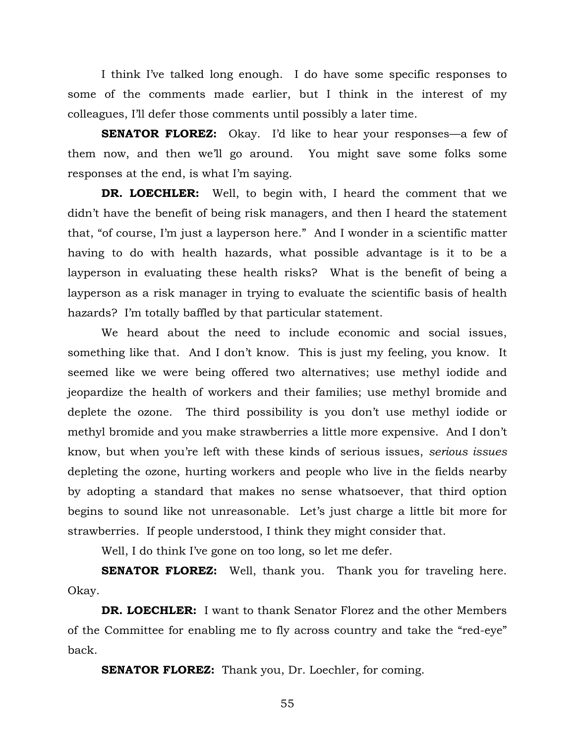I think I've talked long enough. I do have some specific responses to some of the comments made earlier, but I think in the interest of my colleagues, I'll defer those comments until possibly a later time.

**SENATOR FLOREZ:** Okay. I'd like to hear your responses—a few of them now, and then we'll go around. You might save some folks some responses at the end, is what I'm saying.

**DR. LOECHLER:** Well, to begin with, I heard the comment that we didn't have the benefit of being risk managers, and then I heard the statement that, "of course, I'm just a layperson here." And I wonder in a scientific matter having to do with health hazards, what possible advantage is it to be a layperson in evaluating these health risks? What is the benefit of being a layperson as a risk manager in trying to evaluate the scientific basis of health hazards? I'm totally baffled by that particular statement.

We heard about the need to include economic and social issues, something like that. And I don't know. This is just my feeling, you know. It seemed like we were being offered two alternatives; use methyl iodide and jeopardize the health of workers and their families; use methyl bromide and deplete the ozone. The third possibility is you don't use methyl iodide or methyl bromide and you make strawberries a little more expensive. And I don't know, but when you're left with these kinds of serious issues, *serious issues* depleting the ozone, hurting workers and people who live in the fields nearby by adopting a standard that makes no sense whatsoever, that third option begins to sound like not unreasonable. Let's just charge a little bit more for strawberries. If people understood, I think they might consider that.

Well, I do think I've gone on too long, so let me defer.

**SENATOR FLOREZ:** Well, thank you. Thank you for traveling here. Okay.

**DR. LOECHLER:** I want to thank Senator Florez and the other Members of the Committee for enabling me to fly across country and take the "red-eye" back.

**SENATOR FLOREZ:** Thank you, Dr. Loechler, for coming.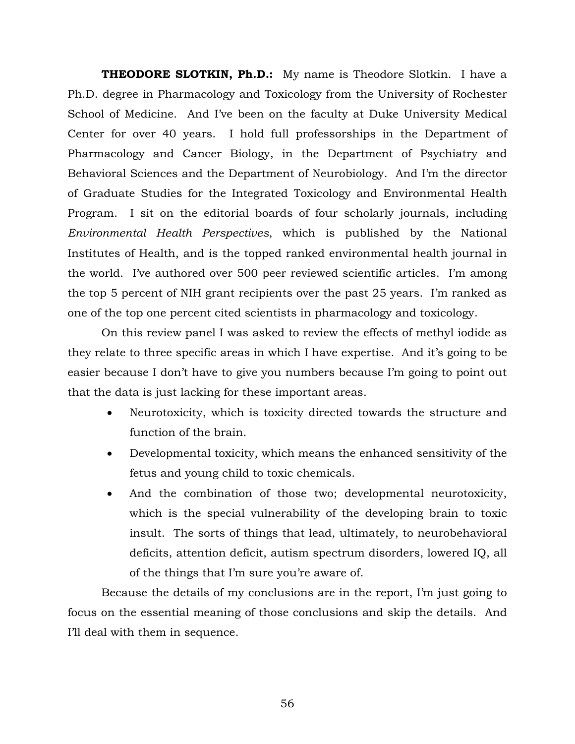**THEODORE SLOTKIN, Ph.D.:** My name is Theodore Slotkin. I have a Ph.D. degree in Pharmacology and Toxicology from the University of Rochester School of Medicine. And I've been on the faculty at Duke University Medical Center for over 40 years. I hold full professorships in the Department of Pharmacology and Cancer Biology, in the Department of Psychiatry and Behavioral Sciences and the Department of Neurobiology. And I'm the director of Graduate Studies for the Integrated Toxicology and Environmental Health Program. I sit on the editorial boards of four scholarly journals, including *Environmental Health Perspectives*, which is published by the National Institutes of Health, and is the topped ranked environmental health journal in the world. I've authored over 500 peer reviewed scientific articles. I'm among the top 5 percent of NIH grant recipients over the past 25 years. I'm ranked as one of the top one percent cited scientists in pharmacology and toxicology.

On this review panel I was asked to review the effects of methyl iodide as they relate to three specific areas in which I have expertise. And it's going to be easier because I don't have to give you numbers because I'm going to point out that the data is just lacking for these important areas.

- Neurotoxicity, which is toxicity directed towards the structure and function of the brain.
- Developmental toxicity, which means the enhanced sensitivity of the fetus and young child to toxic chemicals.
- And the combination of those two; developmental neurotoxicity, which is the special vulnerability of the developing brain to toxic insult. The sorts of things that lead, ultimately, to neurobehavioral deficits, attention deficit, autism spectrum disorders, lowered IQ, all of the things that I'm sure you're aware of.

Because the details of my conclusions are in the report, I'm just going to focus on the essential meaning of those conclusions and skip the details. And I'll deal with them in sequence.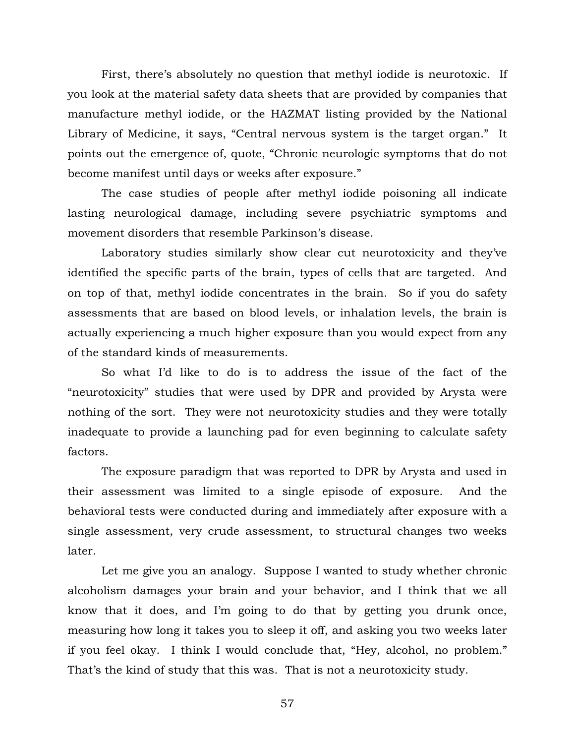First, there's absolutely no question that methyl iodide is neurotoxic. If you look at the material safety data sheets that are provided by companies that manufacture methyl iodide, or the HAZMAT listing provided by the National Library of Medicine, it says, "Central nervous system is the target organ." It points out the emergence of, quote, "Chronic neurologic symptoms that do not become manifest until days or weeks after exposure."

The case studies of people after methyl iodide poisoning all indicate lasting neurological damage, including severe psychiatric symptoms and movement disorders that resemble Parkinson's disease.

Laboratory studies similarly show clear cut neurotoxicity and they've identified the specific parts of the brain, types of cells that are targeted. And on top of that, methyl iodide concentrates in the brain. So if you do safety assessments that are based on blood levels, or inhalation levels, the brain is actually experiencing a much higher exposure than you would expect from any of the standard kinds of measurements.

So what I'd like to do is to address the issue of the fact of the "neurotoxicity" studies that were used by DPR and provided by Arysta were nothing of the sort. They were not neurotoxicity studies and they were totally inadequate to provide a launching pad for even beginning to calculate safety factors.

The exposure paradigm that was reported to DPR by Arysta and used in their assessment was limited to a single episode of exposure. And the behavioral tests were conducted during and immediately after exposure with a single assessment, very crude assessment, to structural changes two weeks later.

Let me give you an analogy. Suppose I wanted to study whether chronic alcoholism damages your brain and your behavior, and I think that we all know that it does, and I'm going to do that by getting you drunk once, measuring how long it takes you to sleep it off, and asking you two weeks later if you feel okay. I think I would conclude that, "Hey, alcohol, no problem." That's the kind of study that this was. That is not a neurotoxicity study.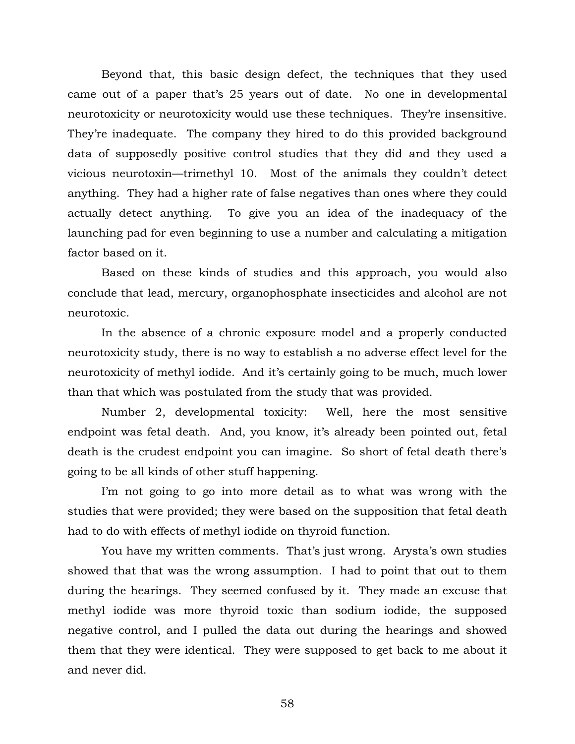Beyond that, this basic design defect, the techniques that they used came out of a paper that's 25 years out of date. No one in developmental neurotoxicity or neurotoxicity would use these techniques. They're insensitive. They're inadequate. The company they hired to do this provided background data of supposedly positive control studies that they did and they used a vicious neurotoxin—trimethyl 10. Most of the animals they couldn't detect anything. They had a higher rate of false negatives than ones where they could actually detect anything. To give you an idea of the inadequacy of the launching pad for even beginning to use a number and calculating a mitigation factor based on it.

Based on these kinds of studies and this approach, you would also conclude that lead, mercury, organophosphate insecticides and alcohol are not neurotoxic.

In the absence of a chronic exposure model and a properly conducted neurotoxicity study, there is no way to establish a no adverse effect level for the neurotoxicity of methyl iodide. And it's certainly going to be much, much lower than that which was postulated from the study that was provided.

Number 2, developmental toxicity: Well, here the most sensitive endpoint was fetal death. And, you know, it's already been pointed out, fetal death is the crudest endpoint you can imagine. So short of fetal death there's going to be all kinds of other stuff happening.

I'm not going to go into more detail as to what was wrong with the studies that were provided; they were based on the supposition that fetal death had to do with effects of methyl iodide on thyroid function.

You have my written comments. That's just wrong. Arysta's own studies showed that that was the wrong assumption. I had to point that out to them during the hearings. They seemed confused by it. They made an excuse that methyl iodide was more thyroid toxic than sodium iodide, the supposed negative control, and I pulled the data out during the hearings and showed them that they were identical. They were supposed to get back to me about it and never did.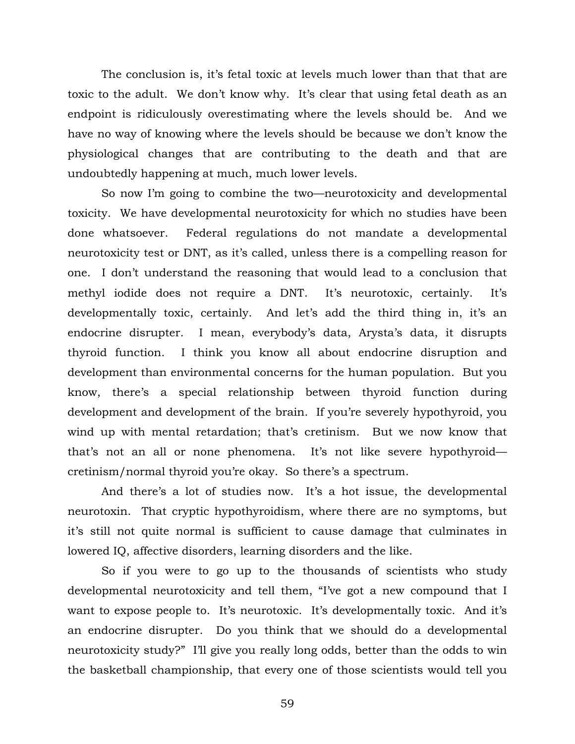The conclusion is, it's fetal toxic at levels much lower than that that are toxic to the adult. We don't know why. It's clear that using fetal death as an endpoint is ridiculously overestimating where the levels should be. And we have no way of knowing where the levels should be because we don't know the physiological changes that are contributing to the death and that are undoubtedly happening at much, much lower levels.

So now I'm going to combine the two—neurotoxicity and developmental toxicity. We have developmental neurotoxicity for which no studies have been done whatsoever. Federal regulations do not mandate a developmental neurotoxicity test or DNT, as it's called, unless there is a compelling reason for one. I don't understand the reasoning that would lead to a conclusion that methyl iodide does not require a DNT. It's neurotoxic, certainly. It's developmentally toxic, certainly. And let's add the third thing in, it's an endocrine disrupter. I mean, everybody's data, Arysta's data, it disrupts thyroid function. I think you know all about endocrine disruption and development than environmental concerns for the human population. But you know, there's a special relationship between thyroid function during development and development of the brain. If you're severely hypothyroid, you wind up with mental retardation; that's cretinism. But we now know that that's not an all or none phenomena. It's not like severe hypothyroid cretinism/normal thyroid you're okay. So there's a spectrum.

And there's a lot of studies now. It's a hot issue, the developmental neurotoxin. That cryptic hypothyroidism, where there are no symptoms, but it's still not quite normal is sufficient to cause damage that culminates in lowered IQ, affective disorders, learning disorders and the like.

So if you were to go up to the thousands of scientists who study developmental neurotoxicity and tell them, "I've got a new compound that I want to expose people to. It's neurotoxic. It's developmentally toxic. And it's an endocrine disrupter. Do you think that we should do a developmental neurotoxicity study?" I'll give you really long odds, better than the odds to win the basketball championship, that every one of those scientists would tell you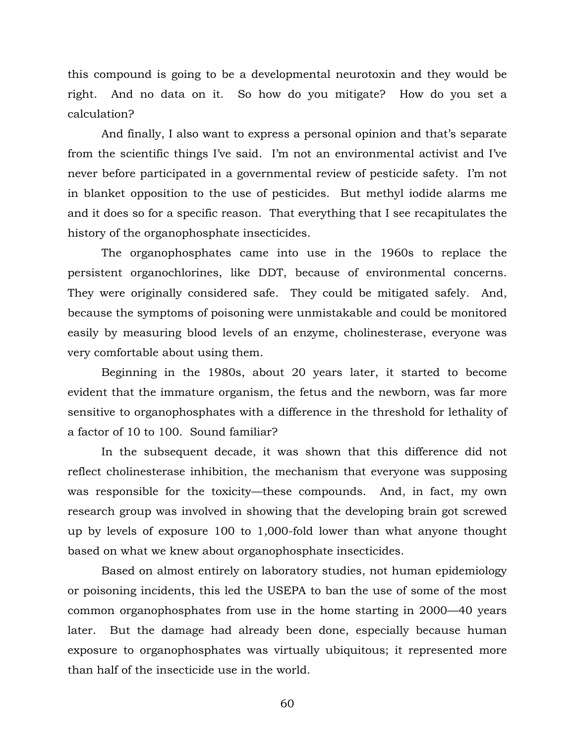this compound is going to be a developmental neurotoxin and they would be right. And no data on it. So how do you mitigate? How do you set a calculation?

And finally, I also want to express a personal opinion and that's separate from the scientific things I've said. I'm not an environmental activist and I've never before participated in a governmental review of pesticide safety. I'm not in blanket opposition to the use of pesticides. But methyl iodide alarms me and it does so for a specific reason. That everything that I see recapitulates the history of the organophosphate insecticides.

The organophosphates came into use in the 1960s to replace the persistent organochlorines, like DDT, because of environmental concerns. They were originally considered safe. They could be mitigated safely. And, because the symptoms of poisoning were unmistakable and could be monitored easily by measuring blood levels of an enzyme, cholinesterase, everyone was very comfortable about using them.

Beginning in the 1980s, about 20 years later, it started to become evident that the immature organism, the fetus and the newborn, was far more sensitive to organophosphates with a difference in the threshold for lethality of a factor of 10 to 100. Sound familiar?

In the subsequent decade, it was shown that this difference did not reflect cholinesterase inhibition, the mechanism that everyone was supposing was responsible for the toxicity—these compounds. And, in fact, my own research group was involved in showing that the developing brain got screwed up by levels of exposure 100 to 1,000-fold lower than what anyone thought based on what we knew about organophosphate insecticides.

Based on almost entirely on laboratory studies, not human epidemiology or poisoning incidents, this led the USEPA to ban the use of some of the most common organophosphates from use in the home starting in 2000—40 years later. But the damage had already been done, especially because human exposure to organophosphates was virtually ubiquitous; it represented more than half of the insecticide use in the world.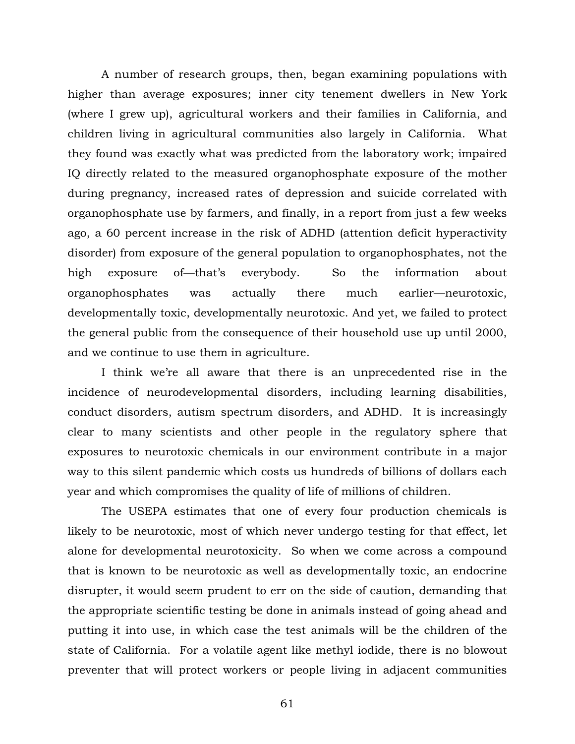A number of research groups, then, began examining populations with higher than average exposures; inner city tenement dwellers in New York (where I grew up), agricultural workers and their families in California, and children living in agricultural communities also largely in California. What they found was exactly what was predicted from the laboratory work; impaired IQ directly related to the measured organophosphate exposure of the mother during pregnancy, increased rates of depression and suicide correlated with organophosphate use by farmers, and finally, in a report from just a few weeks ago, a 60 percent increase in the risk of ADHD (attention deficit hyperactivity disorder) from exposure of the general population to organophosphates, not the high exposure of—that's everybody. So the information about organophosphates was actually there much earlier—neurotoxic, developmentally toxic, developmentally neurotoxic. And yet, we failed to protect the general public from the consequence of their household use up until 2000, and we continue to use them in agriculture.

I think we're all aware that there is an unprecedented rise in the incidence of neurodevelopmental disorders, including learning disabilities, conduct disorders, autism spectrum disorders, and ADHD. It is increasingly clear to many scientists and other people in the regulatory sphere that exposures to neurotoxic chemicals in our environment contribute in a major way to this silent pandemic which costs us hundreds of billions of dollars each year and which compromises the quality of life of millions of children.

The USEPA estimates that one of every four production chemicals is likely to be neurotoxic, most of which never undergo testing for that effect, let alone for developmental neurotoxicity. So when we come across a compound that is known to be neurotoxic as well as developmentally toxic, an endocrine disrupter, it would seem prudent to err on the side of caution, demanding that the appropriate scientific testing be done in animals instead of going ahead and putting it into use, in which case the test animals will be the children of the state of California. For a volatile agent like methyl iodide, there is no blowout preventer that will protect workers or people living in adjacent communities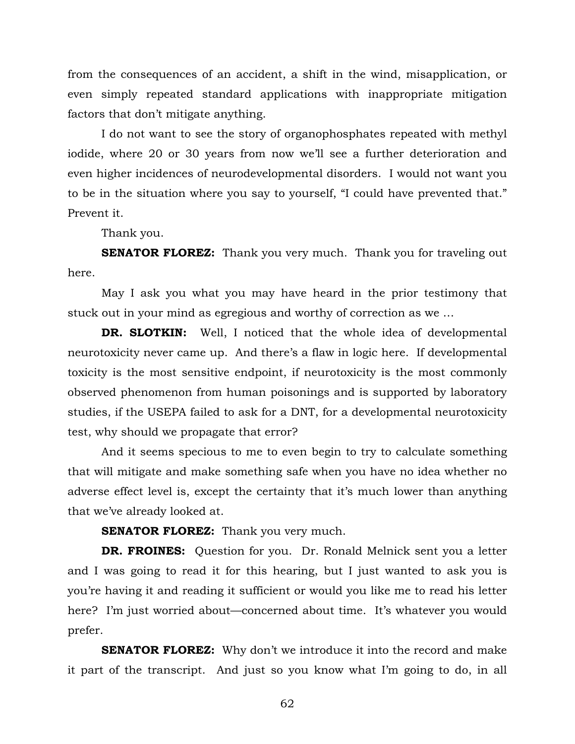from the consequences of an accident, a shift in the wind, misapplication, or even simply repeated standard applications with inappropriate mitigation factors that don't mitigate anything.

I do not want to see the story of organophosphates repeated with methyl iodide, where 20 or 30 years from now we'll see a further deterioration and even higher incidences of neurodevelopmental disorders. I would not want you to be in the situation where you say to yourself, "I could have prevented that." Prevent it.

Thank you.

**SENATOR FLOREZ:** Thank you very much. Thank you for traveling out here.

May I ask you what you may have heard in the prior testimony that stuck out in your mind as egregious and worthy of correction as we …

**DR. SLOTKIN:** Well, I noticed that the whole idea of developmental neurotoxicity never came up. And there's a flaw in logic here. If developmental toxicity is the most sensitive endpoint, if neurotoxicity is the most commonly observed phenomenon from human poisonings and is supported by laboratory studies, if the USEPA failed to ask for a DNT, for a developmental neurotoxicity test, why should we propagate that error?

And it seems specious to me to even begin to try to calculate something that will mitigate and make something safe when you have no idea whether no adverse effect level is, except the certainty that it's much lower than anything that we've already looked at.

**SENATOR FLOREZ:** Thank you very much.

**DR. FROINES:** Question for you. Dr. Ronald Melnick sent you a letter and I was going to read it for this hearing, but I just wanted to ask you is you're having it and reading it sufficient or would you like me to read his letter here? I'm just worried about—concerned about time. It's whatever you would prefer.

**SENATOR FLOREZ:** Why don't we introduce it into the record and make it part of the transcript. And just so you know what I'm going to do, in all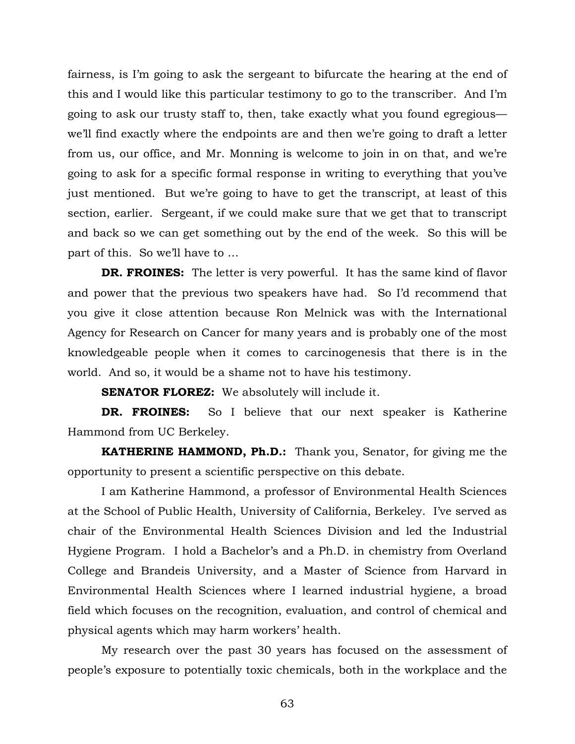fairness, is I'm going to ask the sergeant to bifurcate the hearing at the end of this and I would like this particular testimony to go to the transcriber. And I'm going to ask our trusty staff to, then, take exactly what you found egregious we'll find exactly where the endpoints are and then we're going to draft a letter from us, our office, and Mr. Monning is welcome to join in on that, and we're going to ask for a specific formal response in writing to everything that you've just mentioned. But we're going to have to get the transcript, at least of this section, earlier. Sergeant, if we could make sure that we get that to transcript and back so we can get something out by the end of the week. So this will be part of this. So we'll have to …

**DR. FROINES:** The letter is very powerful. It has the same kind of flavor and power that the previous two speakers have had. So I'd recommend that you give it close attention because Ron Melnick was with the International Agency for Research on Cancer for many years and is probably one of the most knowledgeable people when it comes to carcinogenesis that there is in the world. And so, it would be a shame not to have his testimony.

**SENATOR FLOREZ:** We absolutely will include it.

**DR. FROINES:** So I believe that our next speaker is Katherine Hammond from UC Berkeley.

 **KATHERINE HAMMOND, Ph.D.:** Thank you, Senator, for giving me the opportunity to present a scientific perspective on this debate.

 I am Katherine Hammond, a professor of Environmental Health Sciences at the School of Public Health, University of California, Berkeley. I've served as chair of the Environmental Health Sciences Division and led the Industrial Hygiene Program. I hold a Bachelor's and a Ph.D. in chemistry from Overland College and Brandeis University, and a Master of Science from Harvard in Environmental Health Sciences where I learned industrial hygiene, a broad field which focuses on the recognition, evaluation, and control of chemical and physical agents which may harm workers' health.

 My research over the past 30 years has focused on the assessment of people's exposure to potentially toxic chemicals, both in the workplace and the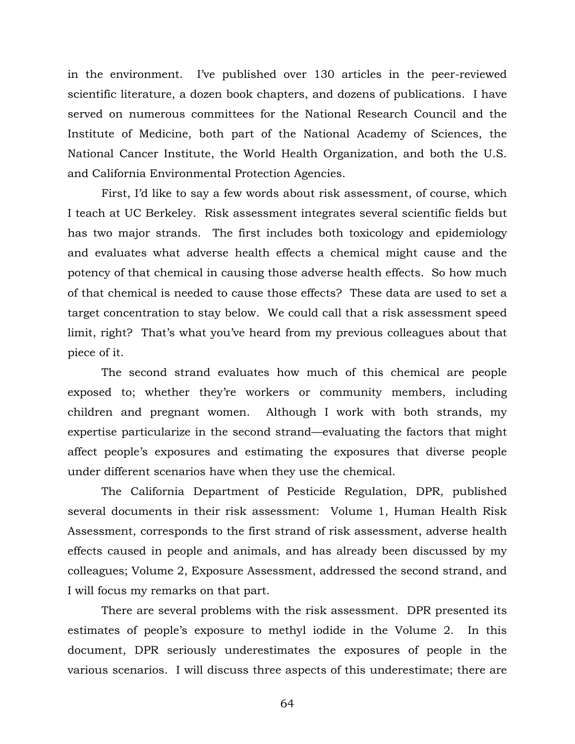in the environment. I've published over 130 articles in the peer-reviewed scientific literature, a dozen book chapters, and dozens of publications. I have served on numerous committees for the National Research Council and the Institute of Medicine, both part of the National Academy of Sciences, the National Cancer Institute, the World Health Organization, and both the U.S. and California Environmental Protection Agencies.

 First, I'd like to say a few words about risk assessment, of course, which I teach at UC Berkeley. Risk assessment integrates several scientific fields but has two major strands. The first includes both toxicology and epidemiology and evaluates what adverse health effects a chemical might cause and the potency of that chemical in causing those adverse health effects. So how much of that chemical is needed to cause those effects? These data are used to set a target concentration to stay below. We could call that a risk assessment speed limit, right? That's what you've heard from my previous colleagues about that piece of it.

 The second strand evaluates how much of this chemical are people exposed to; whether they're workers or community members, including children and pregnant women. Although I work with both strands, my expertise particularize in the second strand—evaluating the factors that might affect people's exposures and estimating the exposures that diverse people under different scenarios have when they use the chemical.

 The California Department of Pesticide Regulation, DPR, published several documents in their risk assessment: Volume 1, Human Health Risk Assessment, corresponds to the first strand of risk assessment, adverse health effects caused in people and animals, and has already been discussed by my colleagues; Volume 2, Exposure Assessment, addressed the second strand, and I will focus my remarks on that part.

 There are several problems with the risk assessment. DPR presented its estimates of people's exposure to methyl iodide in the Volume 2. In this document, DPR seriously underestimates the exposures of people in the various scenarios. I will discuss three aspects of this underestimate; there are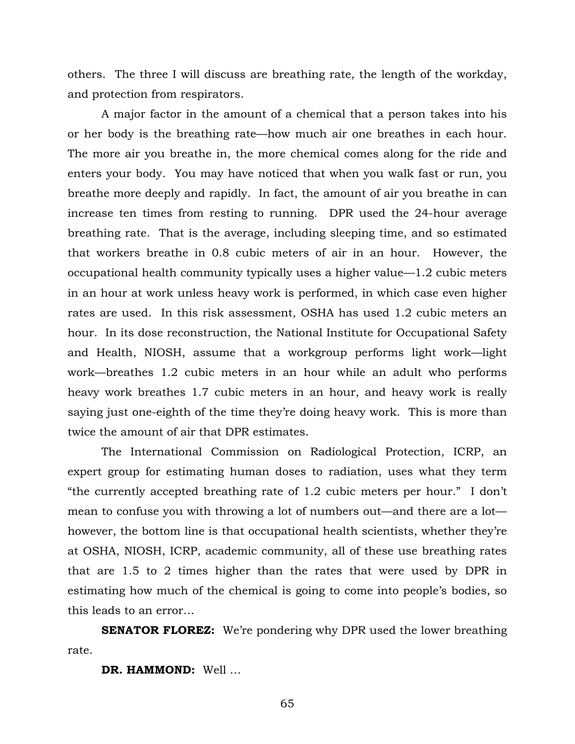others. The three I will discuss are breathing rate, the length of the workday, and protection from respirators.

 A major factor in the amount of a chemical that a person takes into his or her body is the breathing rate—how much air one breathes in each hour. The more air you breathe in, the more chemical comes along for the ride and enters your body. You may have noticed that when you walk fast or run, you breathe more deeply and rapidly. In fact, the amount of air you breathe in can increase ten times from resting to running. DPR used the 24-hour average breathing rate. That is the average, including sleeping time, and so estimated that workers breathe in 0.8 cubic meters of air in an hour. However, the occupational health community typically uses a higher value—1.2 cubic meters in an hour at work unless heavy work is performed, in which case even higher rates are used. In this risk assessment, OSHA has used 1.2 cubic meters an hour. In its dose reconstruction, the National Institute for Occupational Safety and Health, NIOSH, assume that a workgroup performs light work—light work—breathes 1.2 cubic meters in an hour while an adult who performs heavy work breathes 1.7 cubic meters in an hour, and heavy work is really saying just one-eighth of the time they're doing heavy work. This is more than twice the amount of air that DPR estimates.

 The International Commission on Radiological Protection, ICRP, an expert group for estimating human doses to radiation, uses what they term "the currently accepted breathing rate of 1.2 cubic meters per hour." I don't mean to confuse you with throwing a lot of numbers out—and there are a lot however, the bottom line is that occupational health scientists, whether they're at OSHA, NIOSH, ICRP, academic community, all of these use breathing rates that are 1.5 to 2 times higher than the rates that were used by DPR in estimating how much of the chemical is going to come into people's bodies, so this leads to an error…

**SENATOR FLOREZ:** We're pondering why DPR used the lower breathing rate.

**DR. HAMMOND:** Well …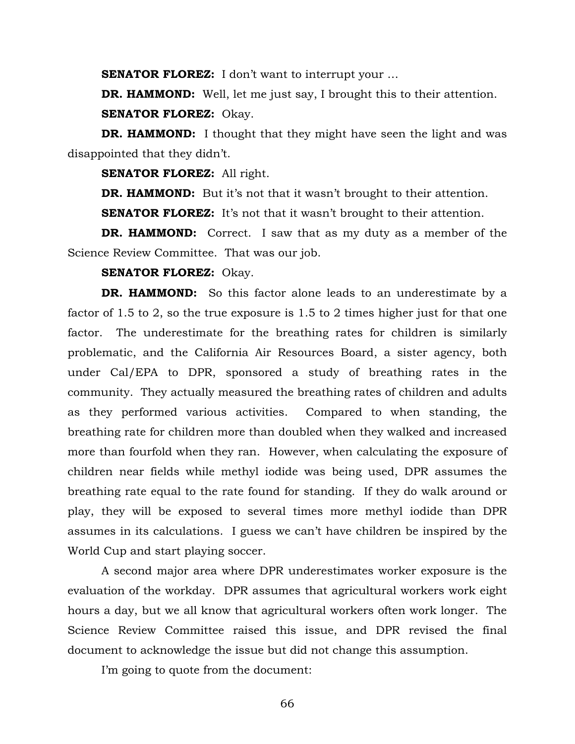**SENATOR FLOREZ:** I don't want to interrupt your ...

**DR. HAMMOND:** Well, let me just say, I brought this to their attention. **SENATOR FLOREZ:** Okay.

**DR. HAMMOND:** I thought that they might have seen the light and was disappointed that they didn't.

**SENATOR FLOREZ:** All right.

**DR. HAMMOND:** But it's not that it wasn't brought to their attention.

**SENATOR FLOREZ:** It's not that it wasn't brought to their attention.

**DR. HAMMOND:** Correct. I saw that as my duty as a member of the Science Review Committee. That was our job.

## **SENATOR FLOREZ:** Okay.

**DR. HAMMOND:** So this factor alone leads to an underestimate by a factor of 1.5 to 2, so the true exposure is 1.5 to 2 times higher just for that one factor. The underestimate for the breathing rates for children is similarly problematic, and the California Air Resources Board, a sister agency, both under Cal/EPA to DPR, sponsored a study of breathing rates in the community. They actually measured the breathing rates of children and adults as they performed various activities. Compared to when standing, the breathing rate for children more than doubled when they walked and increased more than fourfold when they ran. However, when calculating the exposure of children near fields while methyl iodide was being used, DPR assumes the breathing rate equal to the rate found for standing. If they do walk around or play, they will be exposed to several times more methyl iodide than DPR assumes in its calculations. I guess we can't have children be inspired by the World Cup and start playing soccer.

 A second major area where DPR underestimates worker exposure is the evaluation of the workday. DPR assumes that agricultural workers work eight hours a day, but we all know that agricultural workers often work longer. The Science Review Committee raised this issue, and DPR revised the final document to acknowledge the issue but did not change this assumption.

I'm going to quote from the document: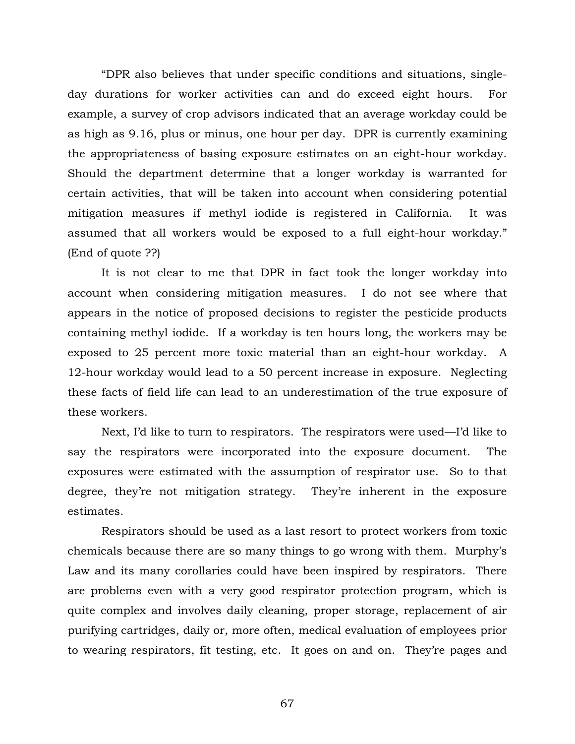"DPR also believes that under specific conditions and situations, singleday durations for worker activities can and do exceed eight hours. For example, a survey of crop advisors indicated that an average workday could be as high as 9.16, plus or minus, one hour per day. DPR is currently examining the appropriateness of basing exposure estimates on an eight-hour workday. Should the department determine that a longer workday is warranted for certain activities, that will be taken into account when considering potential mitigation measures if methyl iodide is registered in California. It was assumed that all workers would be exposed to a full eight-hour workday." (End of quote ??)

 It is not clear to me that DPR in fact took the longer workday into account when considering mitigation measures. I do not see where that appears in the notice of proposed decisions to register the pesticide products containing methyl iodide. If a workday is ten hours long, the workers may be exposed to 25 percent more toxic material than an eight-hour workday. A 12-hour workday would lead to a 50 percent increase in exposure. Neglecting these facts of field life can lead to an underestimation of the true exposure of these workers.

 Next, I'd like to turn to respirators. The respirators were used—I'd like to say the respirators were incorporated into the exposure document. The exposures were estimated with the assumption of respirator use. So to that degree, they're not mitigation strategy. They're inherent in the exposure estimates.

 Respirators should be used as a last resort to protect workers from toxic chemicals because there are so many things to go wrong with them. Murphy's Law and its many corollaries could have been inspired by respirators. There are problems even with a very good respirator protection program, which is quite complex and involves daily cleaning, proper storage, replacement of air purifying cartridges, daily or, more often, medical evaluation of employees prior to wearing respirators, fit testing, etc. It goes on and on. They're pages and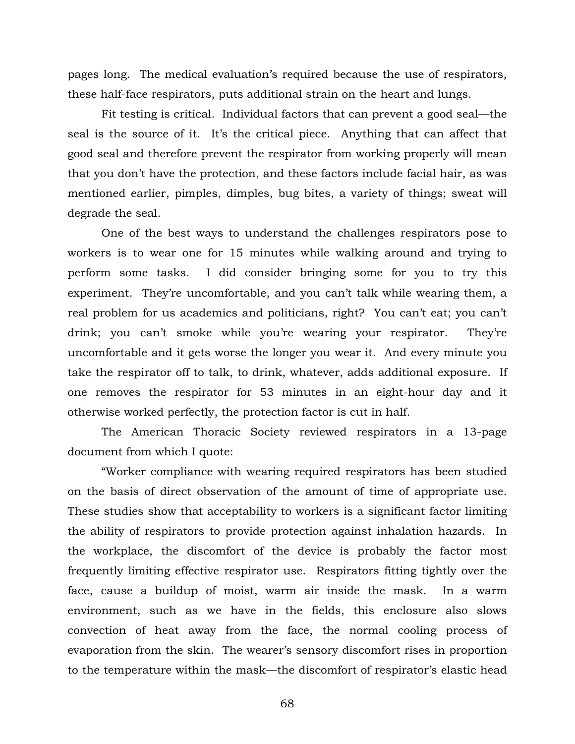pages long. The medical evaluation's required because the use of respirators, these half-face respirators, puts additional strain on the heart and lungs.

Fit testing is critical. Individual factors that can prevent a good seal—the seal is the source of it. It's the critical piece. Anything that can affect that good seal and therefore prevent the respirator from working properly will mean that you don't have the protection, and these factors include facial hair, as was mentioned earlier, pimples, dimples, bug bites, a variety of things; sweat will degrade the seal.

One of the best ways to understand the challenges respirators pose to workers is to wear one for 15 minutes while walking around and trying to perform some tasks. I did consider bringing some for you to try this experiment. They're uncomfortable, and you can't talk while wearing them, a real problem for us academics and politicians, right? You can't eat; you can't drink; you can't smoke while you're wearing your respirator. They're uncomfortable and it gets worse the longer you wear it. And every minute you take the respirator off to talk, to drink, whatever, adds additional exposure. If one removes the respirator for 53 minutes in an eight-hour day and it otherwise worked perfectly, the protection factor is cut in half.

The American Thoracic Society reviewed respirators in a 13-page document from which I quote:

"Worker compliance with wearing required respirators has been studied on the basis of direct observation of the amount of time of appropriate use. These studies show that acceptability to workers is a significant factor limiting the ability of respirators to provide protection against inhalation hazards. In the workplace, the discomfort of the device is probably the factor most frequently limiting effective respirator use. Respirators fitting tightly over the face, cause a buildup of moist, warm air inside the mask. In a warm environment, such as we have in the fields, this enclosure also slows convection of heat away from the face, the normal cooling process of evaporation from the skin. The wearer's sensory discomfort rises in proportion to the temperature within the mask—the discomfort of respirator's elastic head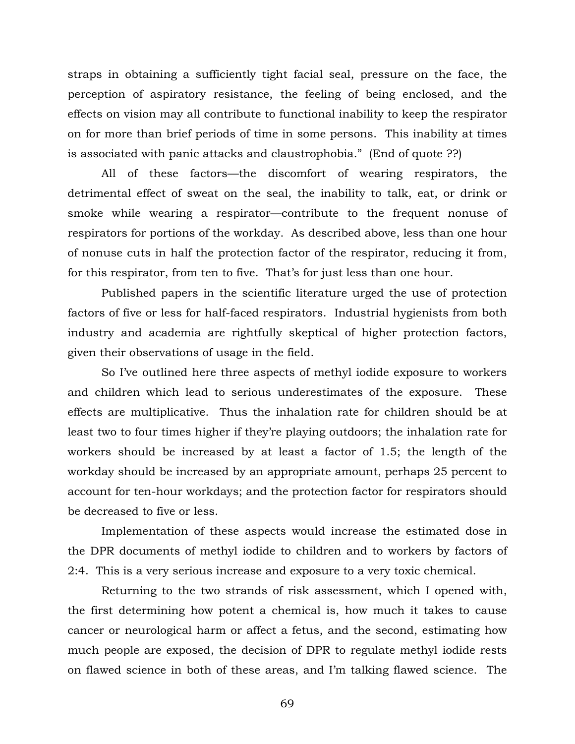straps in obtaining a sufficiently tight facial seal, pressure on the face, the perception of aspiratory resistance, the feeling of being enclosed, and the effects on vision may all contribute to functional inability to keep the respirator on for more than brief periods of time in some persons. This inability at times is associated with panic attacks and claustrophobia." (End of quote ??)

All of these factors—the discomfort of wearing respirators, the detrimental effect of sweat on the seal, the inability to talk, eat, or drink or smoke while wearing a respirator—contribute to the frequent nonuse of respirators for portions of the workday. As described above, less than one hour of nonuse cuts in half the protection factor of the respirator, reducing it from, for this respirator, from ten to five. That's for just less than one hour.

Published papers in the scientific literature urged the use of protection factors of five or less for half-faced respirators. Industrial hygienists from both industry and academia are rightfully skeptical of higher protection factors, given their observations of usage in the field.

So I've outlined here three aspects of methyl iodide exposure to workers and children which lead to serious underestimates of the exposure. These effects are multiplicative. Thus the inhalation rate for children should be at least two to four times higher if they're playing outdoors; the inhalation rate for workers should be increased by at least a factor of 1.5; the length of the workday should be increased by an appropriate amount, perhaps 25 percent to account for ten-hour workdays; and the protection factor for respirators should be decreased to five or less.

Implementation of these aspects would increase the estimated dose in the DPR documents of methyl iodide to children and to workers by factors of 2:4. This is a very serious increase and exposure to a very toxic chemical.

Returning to the two strands of risk assessment, which I opened with, the first determining how potent a chemical is, how much it takes to cause cancer or neurological harm or affect a fetus, and the second, estimating how much people are exposed, the decision of DPR to regulate methyl iodide rests on flawed science in both of these areas, and I'm talking flawed science. The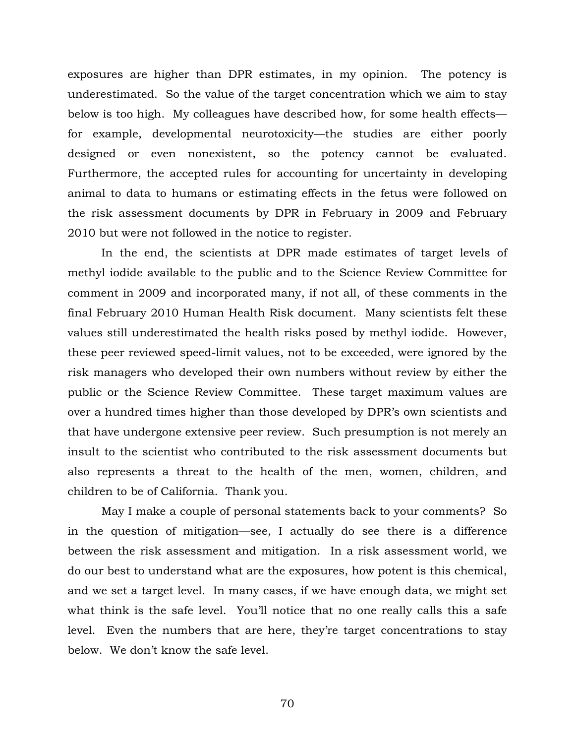exposures are higher than DPR estimates, in my opinion. The potency is underestimated. So the value of the target concentration which we aim to stay below is too high. My colleagues have described how, for some health effects for example, developmental neurotoxicity—the studies are either poorly designed or even nonexistent, so the potency cannot be evaluated. Furthermore, the accepted rules for accounting for uncertainty in developing animal to data to humans or estimating effects in the fetus were followed on the risk assessment documents by DPR in February in 2009 and February 2010 but were not followed in the notice to register.

In the end, the scientists at DPR made estimates of target levels of methyl iodide available to the public and to the Science Review Committee for comment in 2009 and incorporated many, if not all, of these comments in the final February 2010 Human Health Risk document. Many scientists felt these values still underestimated the health risks posed by methyl iodide. However, these peer reviewed speed-limit values, not to be exceeded, were ignored by the risk managers who developed their own numbers without review by either the public or the Science Review Committee. These target maximum values are over a hundred times higher than those developed by DPR's own scientists and that have undergone extensive peer review. Such presumption is not merely an insult to the scientist who contributed to the risk assessment documents but also represents a threat to the health of the men, women, children, and children to be of California. Thank you.

May I make a couple of personal statements back to your comments? So in the question of mitigation—see, I actually do see there is a difference between the risk assessment and mitigation. In a risk assessment world, we do our best to understand what are the exposures, how potent is this chemical, and we set a target level. In many cases, if we have enough data, we might set what think is the safe level. You'll notice that no one really calls this a safe level. Even the numbers that are here, they're target concentrations to stay below. We don't know the safe level.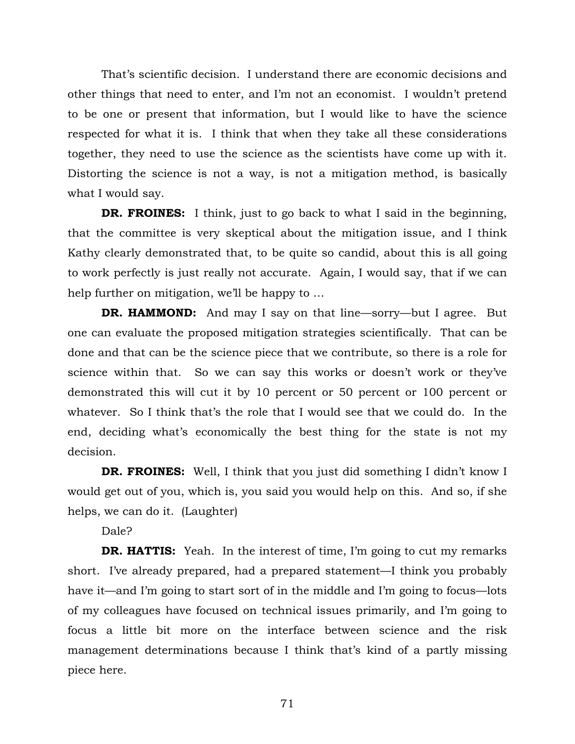That's scientific decision. I understand there are economic decisions and other things that need to enter, and I'm not an economist. I wouldn't pretend to be one or present that information, but I would like to have the science respected for what it is. I think that when they take all these considerations together, they need to use the science as the scientists have come up with it. Distorting the science is not a way, is not a mitigation method, is basically what I would say.

**DR. FROINES:** I think, just to go back to what I said in the beginning, that the committee is very skeptical about the mitigation issue, and I think Kathy clearly demonstrated that, to be quite so candid, about this is all going to work perfectly is just really not accurate. Again, I would say, that if we can help further on mitigation, we'll be happy to …

**DR. HAMMOND:** And may I say on that line—sorry—but I agree. But one can evaluate the proposed mitigation strategies scientifically. That can be done and that can be the science piece that we contribute, so there is a role for science within that. So we can say this works or doesn't work or they've demonstrated this will cut it by 10 percent or 50 percent or 100 percent or whatever. So I think that's the role that I would see that we could do. In the end, deciding what's economically the best thing for the state is not my decision.

**DR. FROINES:** Well, I think that you just did something I didn't know I would get out of you, which is, you said you would help on this. And so, if she helps, we can do it. (Laughter)

Dale?

**DR. HATTIS:** Yeah. In the interest of time, I'm going to cut my remarks short. I've already prepared, had a prepared statement—I think you probably have it—and I'm going to start sort of in the middle and I'm going to focus—lots of my colleagues have focused on technical issues primarily, and I'm going to focus a little bit more on the interface between science and the risk management determinations because I think that's kind of a partly missing piece here.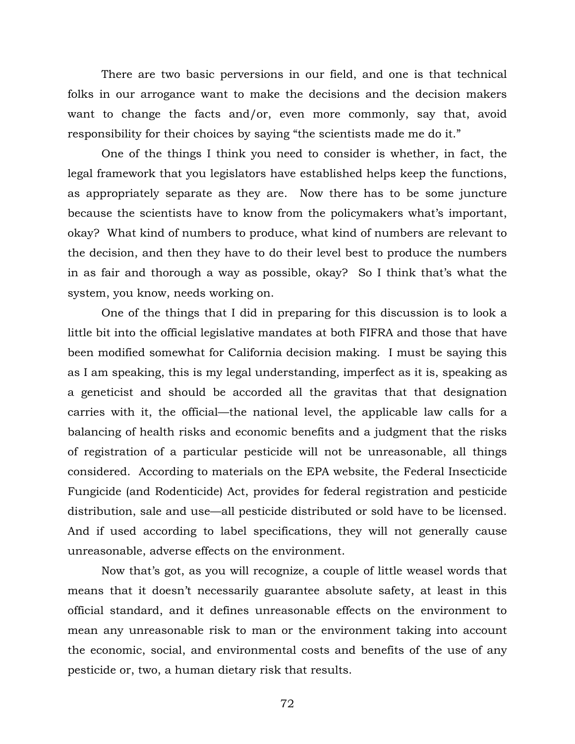There are two basic perversions in our field, and one is that technical folks in our arrogance want to make the decisions and the decision makers want to change the facts and/or, even more commonly, say that, avoid responsibility for their choices by saying "the scientists made me do it."

One of the things I think you need to consider is whether, in fact, the legal framework that you legislators have established helps keep the functions, as appropriately separate as they are. Now there has to be some juncture because the scientists have to know from the policymakers what's important, okay? What kind of numbers to produce, what kind of numbers are relevant to the decision, and then they have to do their level best to produce the numbers in as fair and thorough a way as possible, okay? So I think that's what the system, you know, needs working on.

One of the things that I did in preparing for this discussion is to look a little bit into the official legislative mandates at both FIFRA and those that have been modified somewhat for California decision making. I must be saying this as I am speaking, this is my legal understanding, imperfect as it is, speaking as a geneticist and should be accorded all the gravitas that that designation carries with it, the official—the national level, the applicable law calls for a balancing of health risks and economic benefits and a judgment that the risks of registration of a particular pesticide will not be unreasonable, all things considered. According to materials on the EPA website, the Federal Insecticide Fungicide (and Rodenticide) Act, provides for federal registration and pesticide distribution, sale and use—all pesticide distributed or sold have to be licensed. And if used according to label specifications, they will not generally cause unreasonable, adverse effects on the environment.

Now that's got, as you will recognize, a couple of little weasel words that means that it doesn't necessarily guarantee absolute safety, at least in this official standard, and it defines unreasonable effects on the environment to mean any unreasonable risk to man or the environment taking into account the economic, social, and environmental costs and benefits of the use of any pesticide or, two, a human dietary risk that results.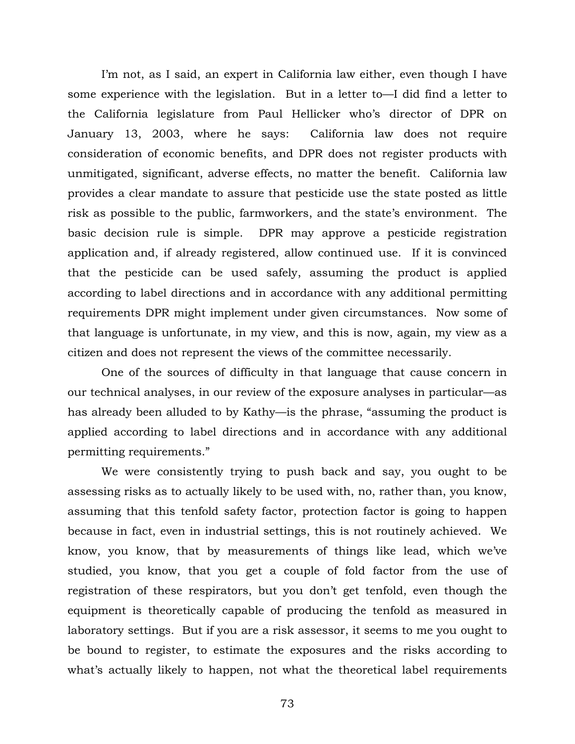I'm not, as I said, an expert in California law either, even though I have some experience with the legislation. But in a letter to—I did find a letter to the California legislature from Paul Hellicker who's director of DPR on January 13, 2003, where he says: California law does not require consideration of economic benefits, and DPR does not register products with unmitigated, significant, adverse effects, no matter the benefit. California law provides a clear mandate to assure that pesticide use the state posted as little risk as possible to the public, farmworkers, and the state's environment. The basic decision rule is simple. DPR may approve a pesticide registration application and, if already registered, allow continued use. If it is convinced that the pesticide can be used safely, assuming the product is applied according to label directions and in accordance with any additional permitting requirements DPR might implement under given circumstances. Now some of that language is unfortunate, in my view, and this is now, again, my view as a citizen and does not represent the views of the committee necessarily.

One of the sources of difficulty in that language that cause concern in our technical analyses, in our review of the exposure analyses in particular—as has already been alluded to by Kathy—is the phrase, "assuming the product is applied according to label directions and in accordance with any additional permitting requirements."

We were consistently trying to push back and say, you ought to be assessing risks as to actually likely to be used with, no, rather than, you know, assuming that this tenfold safety factor, protection factor is going to happen because in fact, even in industrial settings, this is not routinely achieved. We know, you know, that by measurements of things like lead, which we've studied, you know, that you get a couple of fold factor from the use of registration of these respirators, but you don't get tenfold, even though the equipment is theoretically capable of producing the tenfold as measured in laboratory settings. But if you are a risk assessor, it seems to me you ought to be bound to register, to estimate the exposures and the risks according to what's actually likely to happen, not what the theoretical label requirements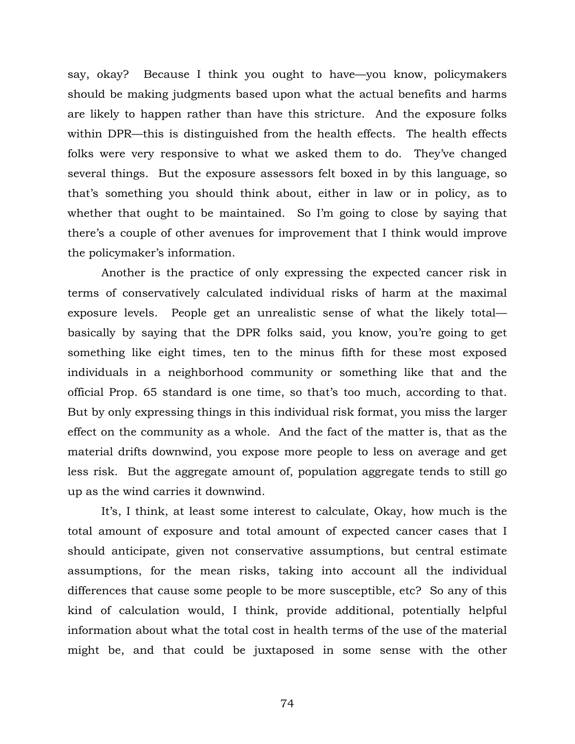say, okay? Because I think you ought to have—you know, policymakers should be making judgments based upon what the actual benefits and harms are likely to happen rather than have this stricture. And the exposure folks within DPR—this is distinguished from the health effects. The health effects folks were very responsive to what we asked them to do. They've changed several things. But the exposure assessors felt boxed in by this language, so that's something you should think about, either in law or in policy, as to whether that ought to be maintained. So I'm going to close by saying that there's a couple of other avenues for improvement that I think would improve the policymaker's information.

Another is the practice of only expressing the expected cancer risk in terms of conservatively calculated individual risks of harm at the maximal exposure levels. People get an unrealistic sense of what the likely total basically by saying that the DPR folks said, you know, you're going to get something like eight times, ten to the minus fifth for these most exposed individuals in a neighborhood community or something like that and the official Prop. 65 standard is one time, so that's too much, according to that. But by only expressing things in this individual risk format, you miss the larger effect on the community as a whole. And the fact of the matter is, that as the material drifts downwind, you expose more people to less on average and get less risk. But the aggregate amount of, population aggregate tends to still go up as the wind carries it downwind.

It's, I think, at least some interest to calculate, Okay, how much is the total amount of exposure and total amount of expected cancer cases that I should anticipate, given not conservative assumptions, but central estimate assumptions, for the mean risks, taking into account all the individual differences that cause some people to be more susceptible, etc? So any of this kind of calculation would, I think, provide additional, potentially helpful information about what the total cost in health terms of the use of the material might be, and that could be juxtaposed in some sense with the other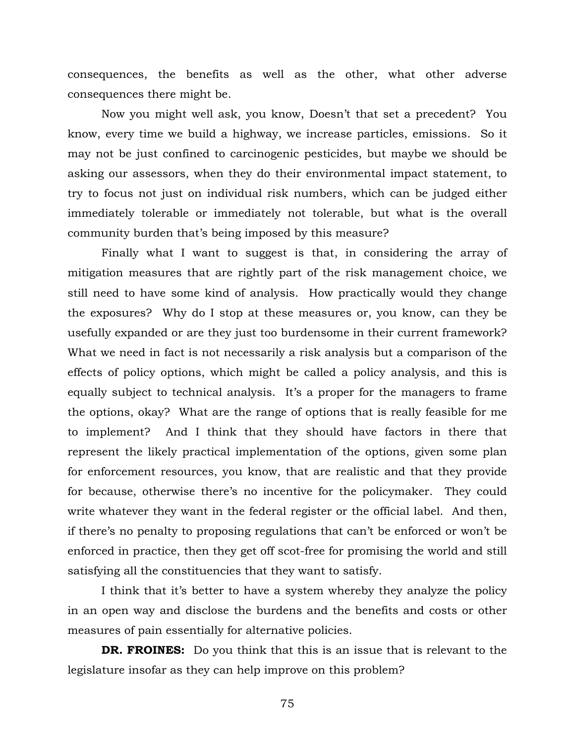consequences, the benefits as well as the other, what other adverse consequences there might be.

Now you might well ask, you know, Doesn't that set a precedent? You know, every time we build a highway, we increase particles, emissions. So it may not be just confined to carcinogenic pesticides, but maybe we should be asking our assessors, when they do their environmental impact statement, to try to focus not just on individual risk numbers, which can be judged either immediately tolerable or immediately not tolerable, but what is the overall community burden that's being imposed by this measure?

Finally what I want to suggest is that, in considering the array of mitigation measures that are rightly part of the risk management choice, we still need to have some kind of analysis. How practically would they change the exposures? Why do I stop at these measures or, you know, can they be usefully expanded or are they just too burdensome in their current framework? What we need in fact is not necessarily a risk analysis but a comparison of the effects of policy options, which might be called a policy analysis, and this is equally subject to technical analysis. It's a proper for the managers to frame the options, okay? What are the range of options that is really feasible for me to implement? And I think that they should have factors in there that represent the likely practical implementation of the options, given some plan for enforcement resources, you know, that are realistic and that they provide for because, otherwise there's no incentive for the policymaker. They could write whatever they want in the federal register or the official label. And then, if there's no penalty to proposing regulations that can't be enforced or won't be enforced in practice, then they get off scot-free for promising the world and still satisfying all the constituencies that they want to satisfy.

I think that it's better to have a system whereby they analyze the policy in an open way and disclose the burdens and the benefits and costs or other measures of pain essentially for alternative policies.

**DR. FROINES:** Do you think that this is an issue that is relevant to the legislature insofar as they can help improve on this problem?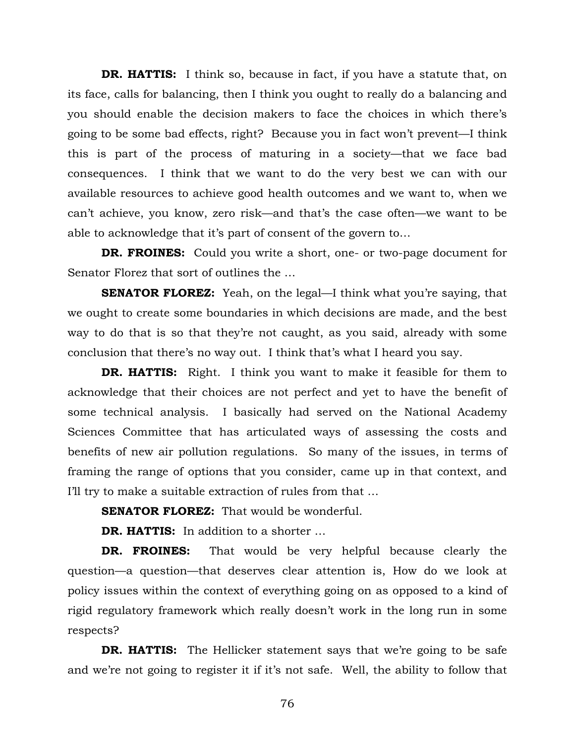**DR. HATTIS:** I think so, because in fact, if you have a statute that, on its face, calls for balancing, then I think you ought to really do a balancing and you should enable the decision makers to face the choices in which there's going to be some bad effects, right? Because you in fact won't prevent—I think this is part of the process of maturing in a society—that we face bad consequences. I think that we want to do the very best we can with our available resources to achieve good health outcomes and we want to, when we can't achieve, you know, zero risk—and that's the case often—we want to be able to acknowledge that it's part of consent of the govern to…

**DR. FROINES:** Could you write a short, one- or two-page document for Senator Florez that sort of outlines the …

**SENATOR FLOREZ:** Yeah, on the legal—I think what you're saying, that we ought to create some boundaries in which decisions are made, and the best way to do that is so that they're not caught, as you said, already with some conclusion that there's no way out. I think that's what I heard you say.

**DR. HATTIS:** Right. I think you want to make it feasible for them to acknowledge that their choices are not perfect and yet to have the benefit of some technical analysis. I basically had served on the National Academy Sciences Committee that has articulated ways of assessing the costs and benefits of new air pollution regulations. So many of the issues, in terms of framing the range of options that you consider, came up in that context, and I'll try to make a suitable extraction of rules from that …

**SENATOR FLOREZ:** That would be wonderful.

**DR. HATTIS:** In addition to a shorter …

**DR. FROINES:** That would be very helpful because clearly the question—a question—that deserves clear attention is, How do we look at policy issues within the context of everything going on as opposed to a kind of rigid regulatory framework which really doesn't work in the long run in some respects?

**DR. HATTIS:** The Hellicker statement says that we're going to be safe and we're not going to register it if it's not safe. Well, the ability to follow that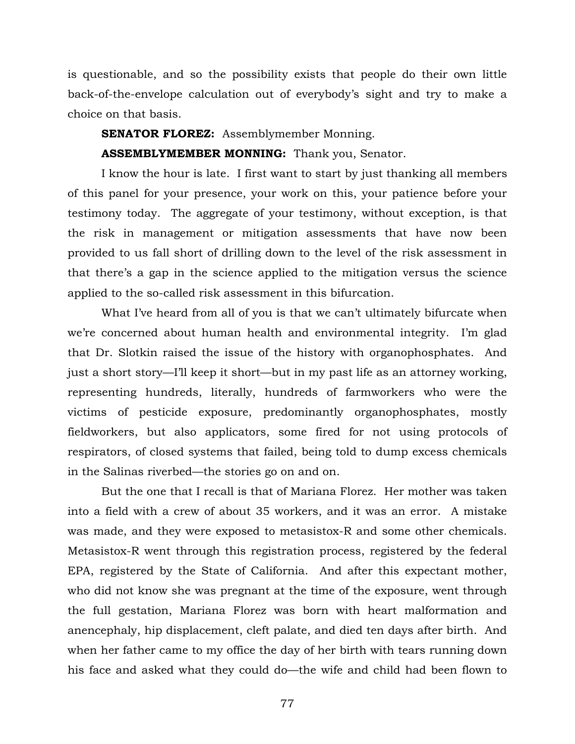is questionable, and so the possibility exists that people do their own little back-of-the-envelope calculation out of everybody's sight and try to make a choice on that basis.

## **SENATOR FLOREZ:** Assemblymember Monning.

## **ASSEMBLYMEMBER MONNING:** Thank you, Senator.

I know the hour is late. I first want to start by just thanking all members of this panel for your presence, your work on this, your patience before your testimony today. The aggregate of your testimony, without exception, is that the risk in management or mitigation assessments that have now been provided to us fall short of drilling down to the level of the risk assessment in that there's a gap in the science applied to the mitigation versus the science applied to the so-called risk assessment in this bifurcation.

What I've heard from all of you is that we can't ultimately bifurcate when we're concerned about human health and environmental integrity. I'm glad that Dr. Slotkin raised the issue of the history with organophosphates. And just a short story—I'll keep it short—but in my past life as an attorney working, representing hundreds, literally, hundreds of farmworkers who were the victims of pesticide exposure, predominantly organophosphates, mostly fieldworkers, but also applicators, some fired for not using protocols of respirators, of closed systems that failed, being told to dump excess chemicals in the Salinas riverbed—the stories go on and on.

But the one that I recall is that of Mariana Florez. Her mother was taken into a field with a crew of about 35 workers, and it was an error. A mistake was made, and they were exposed to metasistox-R and some other chemicals. Metasistox-R went through this registration process, registered by the federal EPA, registered by the State of California. And after this expectant mother, who did not know she was pregnant at the time of the exposure, went through the full gestation, Mariana Florez was born with heart malformation and anencephaly, hip displacement, cleft palate, and died ten days after birth. And when her father came to my office the day of her birth with tears running down his face and asked what they could do—the wife and child had been flown to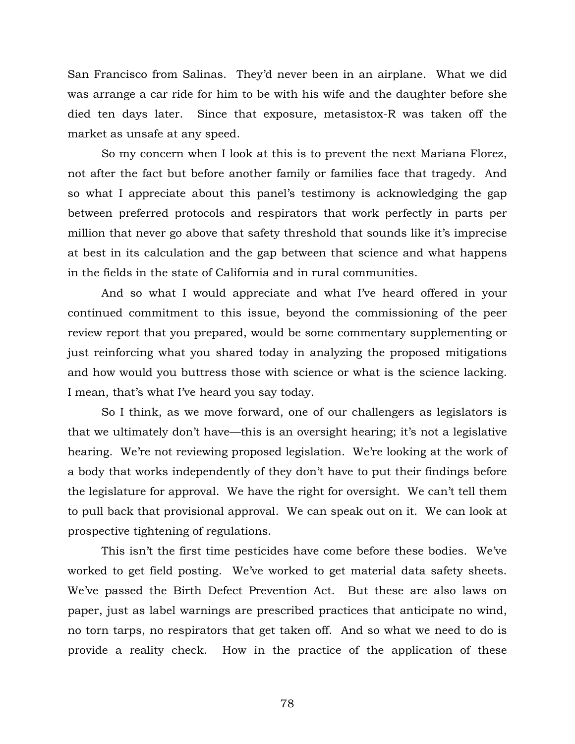San Francisco from Salinas. They'd never been in an airplane. What we did was arrange a car ride for him to be with his wife and the daughter before she died ten days later. Since that exposure, metasistox-R was taken off the market as unsafe at any speed.

So my concern when I look at this is to prevent the next Mariana Florez, not after the fact but before another family or families face that tragedy. And so what I appreciate about this panel's testimony is acknowledging the gap between preferred protocols and respirators that work perfectly in parts per million that never go above that safety threshold that sounds like it's imprecise at best in its calculation and the gap between that science and what happens in the fields in the state of California and in rural communities.

And so what I would appreciate and what I've heard offered in your continued commitment to this issue, beyond the commissioning of the peer review report that you prepared, would be some commentary supplementing or just reinforcing what you shared today in analyzing the proposed mitigations and how would you buttress those with science or what is the science lacking. I mean, that's what I've heard you say today.

So I think, as we move forward, one of our challengers as legislators is that we ultimately don't have—this is an oversight hearing; it's not a legislative hearing. We're not reviewing proposed legislation. We're looking at the work of a body that works independently of they don't have to put their findings before the legislature for approval. We have the right for oversight. We can't tell them to pull back that provisional approval. We can speak out on it. We can look at prospective tightening of regulations.

This isn't the first time pesticides have come before these bodies. We've worked to get field posting. We've worked to get material data safety sheets. We've passed the Birth Defect Prevention Act. But these are also laws on paper, just as label warnings are prescribed practices that anticipate no wind, no torn tarps, no respirators that get taken off. And so what we need to do is provide a reality check. How in the practice of the application of these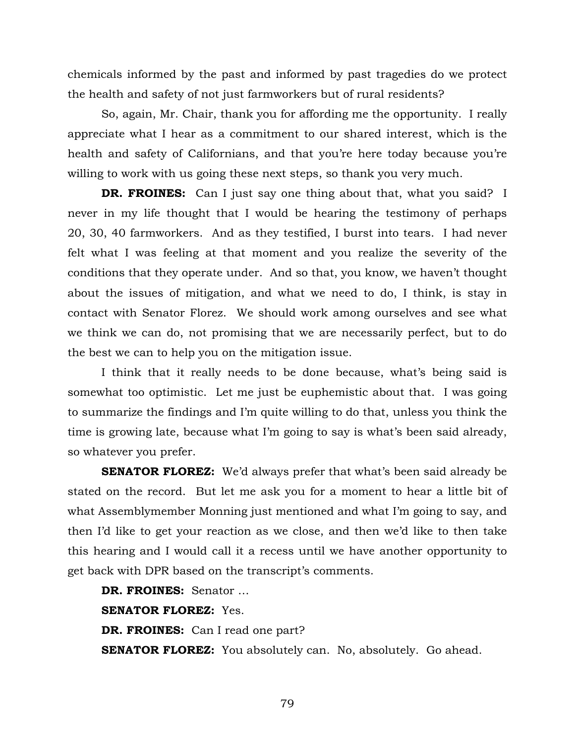chemicals informed by the past and informed by past tragedies do we protect the health and safety of not just farmworkers but of rural residents?

So, again, Mr. Chair, thank you for affording me the opportunity. I really appreciate what I hear as a commitment to our shared interest, which is the health and safety of Californians, and that you're here today because you're willing to work with us going these next steps, so thank you very much.

**DR. FROINES:** Can I just say one thing about that, what you said? I never in my life thought that I would be hearing the testimony of perhaps 20, 30, 40 farmworkers. And as they testified, I burst into tears. I had never felt what I was feeling at that moment and you realize the severity of the conditions that they operate under. And so that, you know, we haven't thought about the issues of mitigation, and what we need to do, I think, is stay in contact with Senator Florez. We should work among ourselves and see what we think we can do, not promising that we are necessarily perfect, but to do the best we can to help you on the mitigation issue.

I think that it really needs to be done because, what's being said is somewhat too optimistic. Let me just be euphemistic about that. I was going to summarize the findings and I'm quite willing to do that, unless you think the time is growing late, because what I'm going to say is what's been said already, so whatever you prefer.

**SENATOR FLOREZ:** We'd always prefer that what's been said already be stated on the record. But let me ask you for a moment to hear a little bit of what Assemblymember Monning just mentioned and what I'm going to say, and then I'd like to get your reaction as we close, and then we'd like to then take this hearing and I would call it a recess until we have another opportunity to get back with DPR based on the transcript's comments.

**DR. FROINES:** Senator … **SENATOR FLOREZ:** Yes. **DR. FROINES:** Can I read one part? **SENATOR FLOREZ:** You absolutely can. No, absolutely. Go ahead.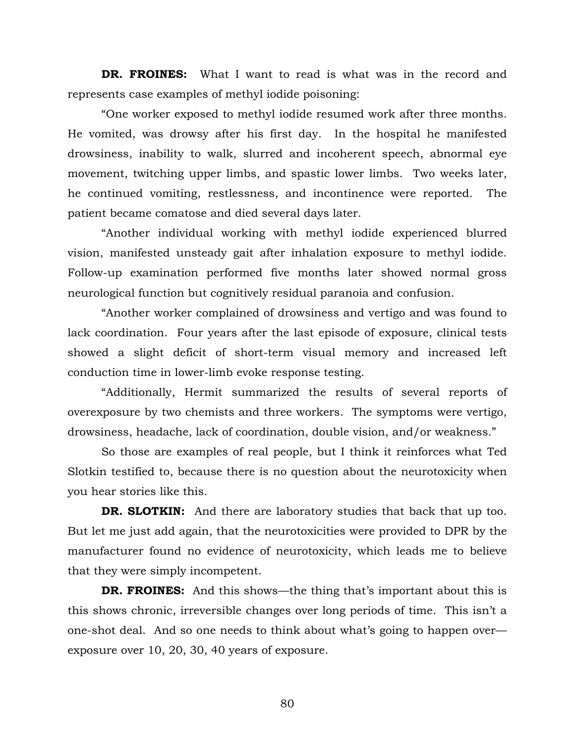**DR. FROINES:** What I want to read is what was in the record and represents case examples of methyl iodide poisoning:

"One worker exposed to methyl iodide resumed work after three months. He vomited, was drowsy after his first day. In the hospital he manifested drowsiness, inability to walk, slurred and incoherent speech, abnormal eye movement, twitching upper limbs, and spastic lower limbs. Two weeks later, he continued vomiting, restlessness, and incontinence were reported. The patient became comatose and died several days later.

"Another individual working with methyl iodide experienced blurred vision, manifested unsteady gait after inhalation exposure to methyl iodide. Follow-up examination performed five months later showed normal gross neurological function but cognitively residual paranoia and confusion.

"Another worker complained of drowsiness and vertigo and was found to lack coordination. Four years after the last episode of exposure, clinical tests showed a slight deficit of short-term visual memory and increased left conduction time in lower-limb evoke response testing.

"Additionally, Hermit summarized the results of several reports of overexposure by two chemists and three workers. The symptoms were vertigo, drowsiness, headache, lack of coordination, double vision, and/or weakness."

So those are examples of real people, but I think it reinforces what Ted Slotkin testified to, because there is no question about the neurotoxicity when you hear stories like this.

**DR. SLOTKIN:** And there are laboratory studies that back that up too. But let me just add again, that the neurotoxicities were provided to DPR by the manufacturer found no evidence of neurotoxicity, which leads me to believe that they were simply incompetent.

**DR. FROINES:** And this shows—the thing that's important about this is this shows chronic, irreversible changes over long periods of time. This isn't a one-shot deal. And so one needs to think about what's going to happen over exposure over 10, 20, 30, 40 years of exposure.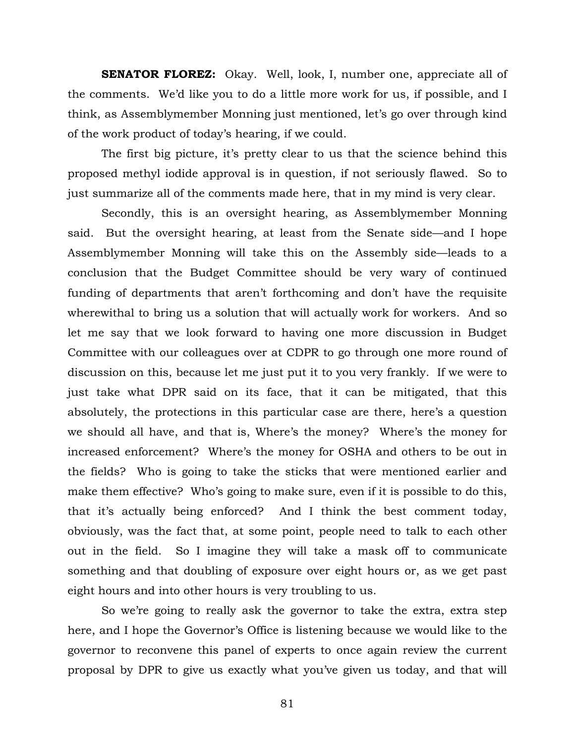**SENATOR FLOREZ:** Okay. Well, look, I, number one, appreciate all of the comments. We'd like you to do a little more work for us, if possible, and I think, as Assemblymember Monning just mentioned, let's go over through kind of the work product of today's hearing, if we could.

The first big picture, it's pretty clear to us that the science behind this proposed methyl iodide approval is in question, if not seriously flawed. So to just summarize all of the comments made here, that in my mind is very clear.

Secondly, this is an oversight hearing, as Assemblymember Monning said. But the oversight hearing, at least from the Senate side—and I hope Assemblymember Monning will take this on the Assembly side—leads to a conclusion that the Budget Committee should be very wary of continued funding of departments that aren't forthcoming and don't have the requisite wherewithal to bring us a solution that will actually work for workers. And so let me say that we look forward to having one more discussion in Budget Committee with our colleagues over at CDPR to go through one more round of discussion on this, because let me just put it to you very frankly. If we were to just take what DPR said on its face, that it can be mitigated, that this absolutely, the protections in this particular case are there, here's a question we should all have, and that is, Where's the money? Where's the money for increased enforcement? Where's the money for OSHA and others to be out in the fields? Who is going to take the sticks that were mentioned earlier and make them effective? Who's going to make sure, even if it is possible to do this, that it's actually being enforced? And I think the best comment today, obviously, was the fact that, at some point, people need to talk to each other out in the field. So I imagine they will take a mask off to communicate something and that doubling of exposure over eight hours or, as we get past eight hours and into other hours is very troubling to us.

So we're going to really ask the governor to take the extra, extra step here, and I hope the Governor's Office is listening because we would like to the governor to reconvene this panel of experts to once again review the current proposal by DPR to give us exactly what you've given us today, and that will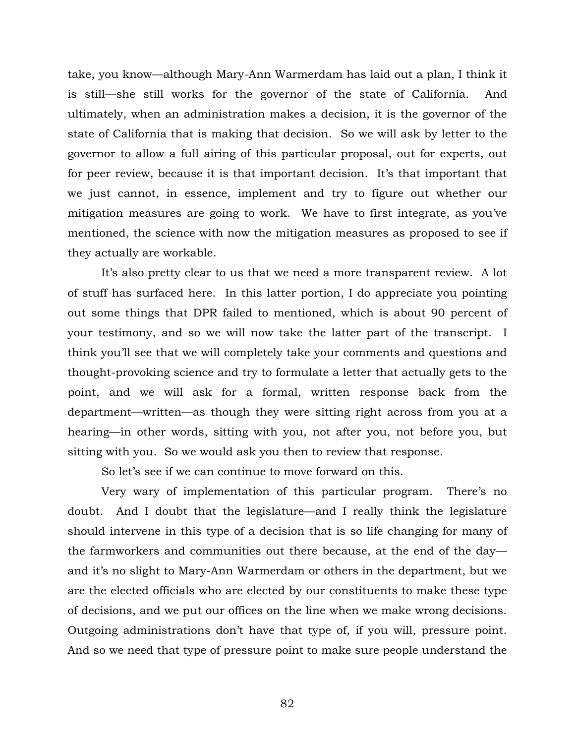take, you know—although Mary-Ann Warmerdam has laid out a plan, I think it is still—she still works for the governor of the state of California. And ultimately, when an administration makes a decision, it is the governor of the state of California that is making that decision. So we will ask by letter to the governor to allow a full airing of this particular proposal, out for experts, out for peer review, because it is that important decision. It's that important that we just cannot, in essence, implement and try to figure out whether our mitigation measures are going to work. We have to first integrate, as you've mentioned, the science with now the mitigation measures as proposed to see if they actually are workable.

It's also pretty clear to us that we need a more transparent review. A lot of stuff has surfaced here. In this latter portion, I do appreciate you pointing out some things that DPR failed to mentioned, which is about 90 percent of your testimony, and so we will now take the latter part of the transcript. I think you'll see that we will completely take your comments and questions and thought-provoking science and try to formulate a letter that actually gets to the point, and we will ask for a formal, written response back from the department—written—as though they were sitting right across from you at a hearing—in other words, sitting with you, not after you, not before you, but sitting with you. So we would ask you then to review that response.

So let's see if we can continue to move forward on this.

Very wary of implementation of this particular program. There's no doubt. And I doubt that the legislature—and I really think the legislature should intervene in this type of a decision that is so life changing for many of the farmworkers and communities out there because, at the end of the day and it's no slight to Mary-Ann Warmerdam or others in the department, but we are the elected officials who are elected by our constituents to make these type of decisions, and we put our offices on the line when we make wrong decisions. Outgoing administrations don't have that type of, if you will, pressure point. And so we need that type of pressure point to make sure people understand the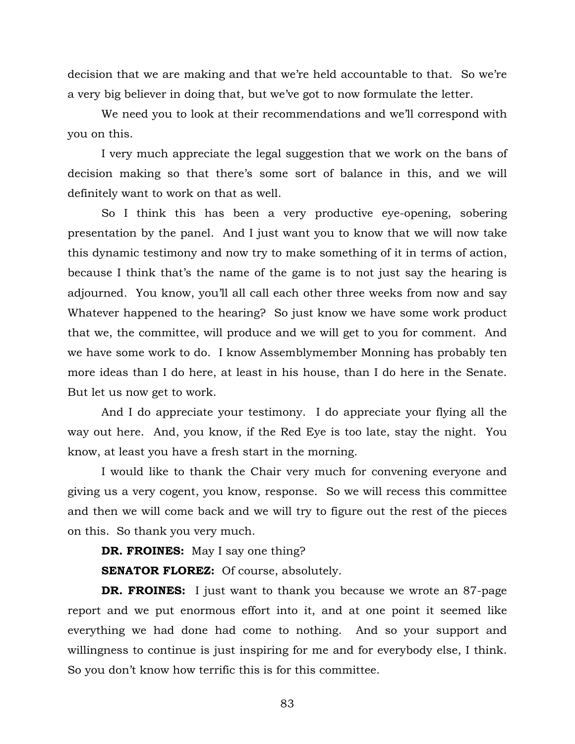decision that we are making and that we're held accountable to that. So we're a very big believer in doing that, but we've got to now formulate the letter.

We need you to look at their recommendations and we'll correspond with you on this.

I very much appreciate the legal suggestion that we work on the bans of decision making so that there's some sort of balance in this, and we will definitely want to work on that as well.

So I think this has been a very productive eye-opening, sobering presentation by the panel. And I just want you to know that we will now take this dynamic testimony and now try to make something of it in terms of action, because I think that's the name of the game is to not just say the hearing is adjourned. You know, you'll all call each other three weeks from now and say Whatever happened to the hearing? So just know we have some work product that we, the committee, will produce and we will get to you for comment. And we have some work to do. I know Assemblymember Monning has probably ten more ideas than I do here, at least in his house, than I do here in the Senate. But let us now get to work.

And I do appreciate your testimony. I do appreciate your flying all the way out here. And, you know, if the Red Eye is too late, stay the night. You know, at least you have a fresh start in the morning.

I would like to thank the Chair very much for convening everyone and giving us a very cogent, you know, response. So we will recess this committee and then we will come back and we will try to figure out the rest of the pieces on this. So thank you very much.

**DR. FROINES:** May I say one thing?

**SENATOR FLOREZ:** Of course, absolutely.

**DR. FROINES:** I just want to thank you because we wrote an 87-page report and we put enormous effort into it, and at one point it seemed like everything we had done had come to nothing. And so your support and willingness to continue is just inspiring for me and for everybody else, I think. So you don't know how terrific this is for this committee.